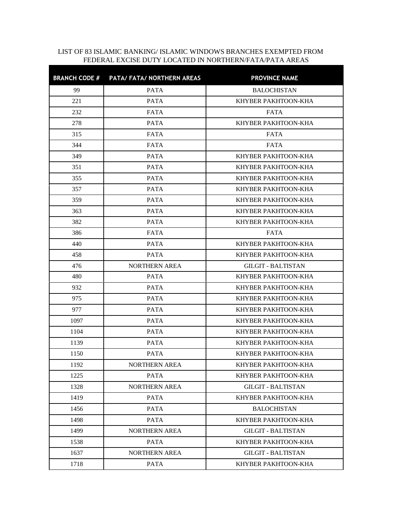## LIST OF 83 ISLAMIC BANKING/ ISLAMIC WINDOWS BRANCHES EXEMPTED FROM FEDERAL EXCISE DUTY LOCATED IN NORTHERN/FATA/PATA AREAS

|      | BRANCH CODE # PATA/ FATA/ NORTHERN AREAS | <b>PROVINCE NAME</b>      |
|------|------------------------------------------|---------------------------|
| 99   | <b>PATA</b>                              | <b>BALOCHISTAN</b>        |
| 221  | <b>PATA</b>                              | KHYBER PAKHTOON-KHA       |
| 232  | <b>FATA</b>                              | <b>FATA</b>               |
| 278  | <b>PATA</b>                              | KHYBER PAKHTOON-KHA       |
| 315  | <b>FATA</b>                              | <b>FATA</b>               |
| 344  | FATA                                     | <b>FATA</b>               |
| 349  | <b>PATA</b>                              | KHYBER PAKHTOON-KHA       |
| 351  | <b>PATA</b>                              | KHYBER PAKHTOON-KHA       |
| 355  | <b>PATA</b>                              | KHYBER PAKHTOON-KHA       |
| 357  | <b>PATA</b>                              | KHYBER PAKHTOON-KHA       |
| 359  | <b>PATA</b>                              | KHYBER PAKHTOON-KHA       |
| 363  | <b>PATA</b>                              | KHYBER PAKHTOON-KHA       |
| 382  | <b>PATA</b>                              | KHYBER PAKHTOON-KHA       |
| 386  | FATA                                     | <b>FATA</b>               |
| 440  | <b>PATA</b>                              | KHYBER PAKHTOON-KHA       |
| 458  | <b>PATA</b>                              | KHYBER PAKHTOON-KHA       |
| 476  | <b>NORTHERN AREA</b>                     | <b>GILGIT - BALTISTAN</b> |
| 480  | <b>PATA</b>                              | KHYBER PAKHTOON-KHA       |
| 932  | <b>PATA</b>                              | KHYBER PAKHTOON-KHA       |
| 975  | <b>PATA</b>                              | KHYBER PAKHTOON-KHA       |
| 977  | <b>PATA</b>                              | KHYBER PAKHTOON-KHA       |
| 1097 | <b>PATA</b>                              | KHYBER PAKHTOON-KHA       |
| 1104 | <b>PATA</b>                              | KHYBER PAKHTOON-KHA       |
| 1139 | <b>PATA</b>                              | KHYBER PAKHTOON-KHA       |
| 1150 | <b>PATA</b>                              | KHYBER PAKHTOON-KHA       |
| 1192 | NORTHERN AREA                            | KHYBER PAKHTOON-KHA       |
| 1225 | PATA                                     | KHYBER PAKHTOON-KHA       |
| 1328 | <b>NORTHERN AREA</b>                     | <b>GILGIT - BALTISTAN</b> |
| 1419 | <b>PATA</b>                              | KHYBER PAKHTOON-KHA       |
| 1456 | <b>PATA</b>                              | <b>BALOCHISTAN</b>        |
| 1498 | <b>PATA</b>                              | KHYBER PAKHTOON-KHA       |
| 1499 | <b>NORTHERN AREA</b>                     | <b>GILGIT - BALTISTAN</b> |
| 1538 | <b>PATA</b>                              | KHYBER PAKHTOON-KHA       |
| 1637 | <b>NORTHERN AREA</b>                     | <b>GILGIT - BALTISTAN</b> |
| 1718 | <b>PATA</b>                              | KHYBER PAKHTOON-KHA       |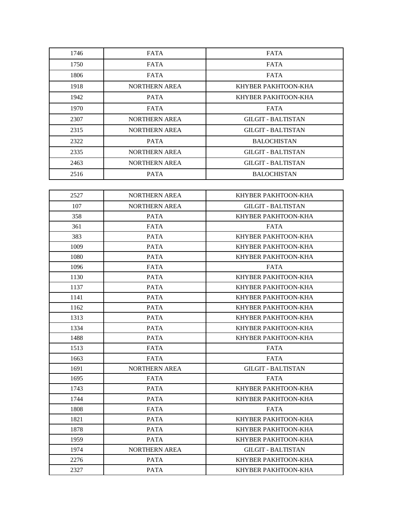| 1746 | <b>FATA</b>          | <b>FATA</b>               |
|------|----------------------|---------------------------|
| 1750 | FATA                 | FATA                      |
| 1806 | FATA                 | <b>FATA</b>               |
| 1918 | <b>NORTHERN AREA</b> | KHYBER PAKHTOON-KHA       |
| 1942 | <b>PATA</b>          | KHYBER PAKHTOON-KHA       |
| 1970 | FATA                 | <b>FATA</b>               |
| 2307 | <b>NORTHERN AREA</b> | <b>GILGIT - BALTISTAN</b> |
| 2315 | <b>NORTHERN AREA</b> | <b>GILGIT - BALTISTAN</b> |
| 2322 | <b>PATA</b>          | <b>BALOCHISTAN</b>        |
| 2335 | NORTHERN AREA        | <b>GILGIT - BALTISTAN</b> |
| 2463 | <b>NORTHERN AREA</b> | <b>GILGIT - BALTISTAN</b> |
| 2516 | <b>PATA</b>          | <b>BALOCHISTAN</b>        |

| 2527 | <b>NORTHERN AREA</b> | KHYBER PAKHTOON-KHA       |
|------|----------------------|---------------------------|
| 107  | <b>NORTHERN AREA</b> | <b>GILGIT - BALTISTAN</b> |
| 358  | <b>PATA</b>          | KHYBER PAKHTOON-KHA       |
| 361  | <b>FATA</b>          | <b>FATA</b>               |
| 383  | <b>PATA</b>          | KHYBER PAKHTOON-KHA       |
| 1009 | <b>PATA</b>          | KHYBER PAKHTOON-KHA       |
| 1080 | <b>PATA</b>          | KHYBER PAKHTOON-KHA       |
| 1096 | <b>FATA</b>          | <b>FATA</b>               |
| 1130 | <b>PATA</b>          | KHYBER PAKHTOON-KHA       |
| 1137 | <b>PATA</b>          | KHYBER PAKHTOON-KHA       |
| 1141 | <b>PATA</b>          | KHYBER PAKHTOON-KHA       |
| 1162 | <b>PATA</b>          | KHYBER PAKHTOON-KHA       |
| 1313 | <b>PATA</b>          | KHYBER PAKHTOON-KHA       |
| 1334 | <b>PATA</b>          | KHYBER PAKHTOON-KHA       |
| 1488 | <b>PATA</b>          | KHYBER PAKHTOON-KHA       |
| 1513 | <b>FATA</b>          | <b>FATA</b>               |
| 1663 | <b>FATA</b>          | <b>FATA</b>               |
| 1691 | <b>NORTHERN AREA</b> | <b>GILGIT - BALTISTAN</b> |
| 1695 | <b>FATA</b>          | <b>FATA</b>               |
| 1743 | <b>PATA</b>          | KHYBER PAKHTOON-KHA       |
| 1744 | <b>PATA</b>          | KHYBER PAKHTOON-KHA       |
| 1808 | <b>FATA</b>          | <b>FATA</b>               |
| 1821 | <b>PATA</b>          | KHYBER PAKHTOON-KHA       |
| 1878 | <b>PATA</b>          | KHYBER PAKHTOON-KHA       |
| 1959 | <b>PATA</b>          | KHYBER PAKHTOON-KHA       |
| 1974 | <b>NORTHERN AREA</b> | <b>GILGIT - BALTISTAN</b> |
| 2276 | <b>PATA</b>          | KHYBER PAKHTOON-KHA       |
| 2327 | <b>PATA</b>          | KHYBER PAKHTOON-KHA       |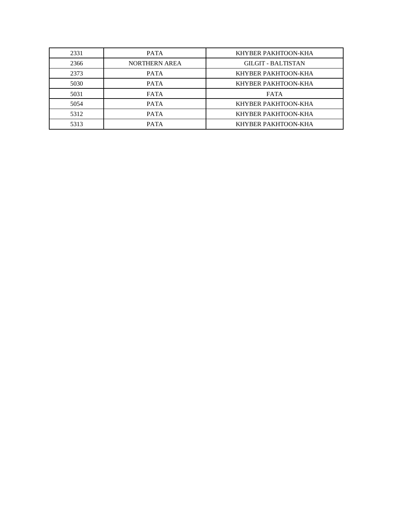| 2331 | <b>PATA</b>          | KHYBER PAKHTOON-KHA       |  |  |
|------|----------------------|---------------------------|--|--|
| 2366 | <b>NORTHERN AREA</b> | <b>GILGIT - BALTISTAN</b> |  |  |
| 2373 | <b>PATA</b>          | KHYBER PAKHTOON-KHA       |  |  |
| 5030 | <b>PATA</b>          | KHYBER PAKHTOON-KHA       |  |  |
| 5031 | <b>FATA</b>          | <b>FATA</b>               |  |  |
| 5054 | <b>PATA</b>          | KHYBER PAKHTOON-KHA       |  |  |
| 5312 | <b>PATA</b>          | KHYBER PAKHTOON-KHA       |  |  |
| 5313 | <b>PATA</b>          | KHYBER PAKHTOON-KHA       |  |  |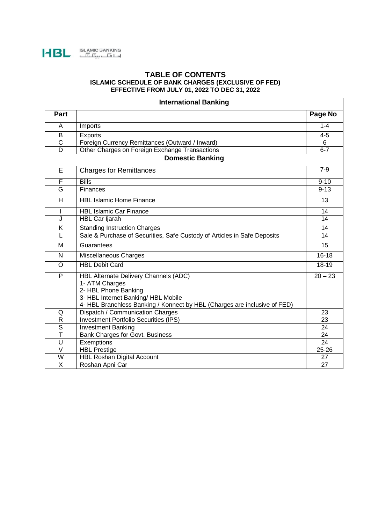

## **TABLE OF CONTENTS ISLAMIC SCHEDULE OF BANK CHARGES (EXCLUSIVE OF FED) EFFECTIVE FROM JULY 01, 2022 TO DEC 31, 2022**

| <b>International Banking</b> |                                                                                  |           |  |  |  |
|------------------------------|----------------------------------------------------------------------------------|-----------|--|--|--|
| <b>Part</b>                  |                                                                                  | Page No   |  |  |  |
| A                            | Imports                                                                          | $1 - 4$   |  |  |  |
| $\overline{B}$               | Exports                                                                          | $4 - 5$   |  |  |  |
| $\overline{\text{c}}$        | Foreign Currency Remittances (Outward / Inward)                                  | 6         |  |  |  |
| $\overline{D}$               | Other Charges on Foreign Exchange Transactions                                   | $6 - 7$   |  |  |  |
|                              | <b>Domestic Banking</b>                                                          |           |  |  |  |
| E                            | <b>Charges for Remittances</b>                                                   | $7-9$     |  |  |  |
| F                            | <b>Bills</b>                                                                     | $9 - 10$  |  |  |  |
| G                            | Finances                                                                         | $9 - 13$  |  |  |  |
| H                            | <b>HBL Islamic Home Finance</b>                                                  | 13        |  |  |  |
|                              | <b>HBL Islamic Car Finance</b>                                                   | 14        |  |  |  |
| J                            | HBL Car Ijarah                                                                   | 14        |  |  |  |
| $\overline{\mathsf{K}}$      | <b>Standing Instruction Charges</b>                                              | 14        |  |  |  |
| L                            | Sale & Purchase of Securities, Safe Custody of Articles in Safe Deposits         | 14        |  |  |  |
| м                            | Guarantees                                                                       | 15        |  |  |  |
| N.                           | Miscellaneous Charges                                                            | $16 - 18$ |  |  |  |
| $\overline{O}$               | <b>HBL Debit Card</b>                                                            | 18-19     |  |  |  |
| P                            | HBL Alternate Delivery Channels (ADC)                                            | $20 - 23$ |  |  |  |
|                              | 1- ATM Charges                                                                   |           |  |  |  |
|                              | 2- HBL Phone Banking                                                             |           |  |  |  |
|                              | 3- HBL Internet Banking/ HBL Mobile                                              |           |  |  |  |
|                              | 4- HBL Branchless Banking / Konnect by HBL (Charges are inclusive of FED)        |           |  |  |  |
| Q<br>$\overline{R}$          | Dispatch / Communication Charges<br><b>Investment Portfolio Securities (IPS)</b> | 23<br>23  |  |  |  |
| $\overline{\mathsf{s}}$      | <b>Investment Banking</b>                                                        | 24        |  |  |  |
| Т                            | Bank Charges for Govt. Business                                                  | 24        |  |  |  |
| U                            | Exemptions                                                                       | 24        |  |  |  |
| $\vee$                       | <b>HBL Prestige</b>                                                              | 25-26     |  |  |  |
| W                            | <b>HBL Roshan Digital Account</b>                                                | 27        |  |  |  |
| X                            | Roshan Apni Car                                                                  | 27        |  |  |  |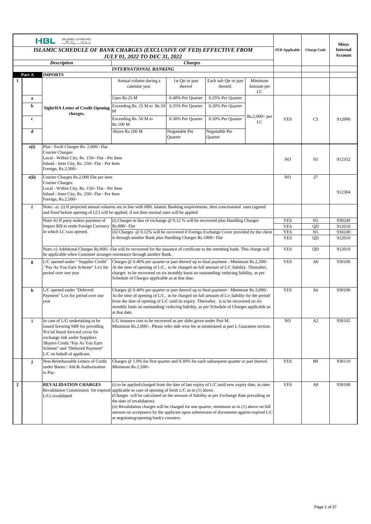|                  |                                                                                                                   | <b>ISLAMIC BANKING</b><br><b>HBL</b><br>$E_{\rm tot}$ $E_{\rm tot}$                                                                                                                                                                        |                                                                                                                                                                                                                                                                                                                                                                                                                                                                                                                                |                                                                                                                                                                                                                                                                                                                                                                                  |                                  |                       |                    |                                   | <b>Misys</b> |
|------------------|-------------------------------------------------------------------------------------------------------------------|--------------------------------------------------------------------------------------------------------------------------------------------------------------------------------------------------------------------------------------------|--------------------------------------------------------------------------------------------------------------------------------------------------------------------------------------------------------------------------------------------------------------------------------------------------------------------------------------------------------------------------------------------------------------------------------------------------------------------------------------------------------------------------------|----------------------------------------------------------------------------------------------------------------------------------------------------------------------------------------------------------------------------------------------------------------------------------------------------------------------------------------------------------------------------------|----------------------------------|-----------------------|--------------------|-----------------------------------|--------------|
|                  | <b>ISLAMIC SCHEDULE OF BANK CHARGES (EXCLUSIVE OF FED) EFFECTIVE FROM</b><br><b>JULY 01, 2022 TO DEC 31, 2022</b> |                                                                                                                                                                                                                                            |                                                                                                                                                                                                                                                                                                                                                                                                                                                                                                                                |                                                                                                                                                                                                                                                                                                                                                                                  |                                  | <b>FED Applicable</b> | <b>Charge Code</b> | <b>Internal</b><br><b>Account</b> |              |
|                  | <b>Description</b><br><b>Charges</b>                                                                              |                                                                                                                                                                                                                                            |                                                                                                                                                                                                                                                                                                                                                                                                                                                                                                                                |                                                                                                                                                                                                                                                                                                                                                                                  |                                  |                       |                    |                                   |              |
|                  |                                                                                                                   |                                                                                                                                                                                                                                            | <b>INTERNATIONAL BANKING</b>                                                                                                                                                                                                                                                                                                                                                                                                                                                                                                   |                                                                                                                                                                                                                                                                                                                                                                                  |                                  |                       |                    |                                   |              |
| 1                | Part A                                                                                                            | <b>IMPORTS</b>                                                                                                                                                                                                                             |                                                                                                                                                                                                                                                                                                                                                                                                                                                                                                                                |                                                                                                                                                                                                                                                                                                                                                                                  |                                  | Minimum               |                    |                                   |              |
|                  |                                                                                                                   |                                                                                                                                                                                                                                            | Annual volume during a<br>calendar year                                                                                                                                                                                                                                                                                                                                                                                                                                                                                        | 1st Qtr or part<br>thereof                                                                                                                                                                                                                                                                                                                                                       | Each sub Qtr or part<br>thereof. | Amount per<br>LC      |                    |                                   |              |
|                  | a                                                                                                                 |                                                                                                                                                                                                                                            | Upto Rs.25 M                                                                                                                                                                                                                                                                                                                                                                                                                                                                                                                   | 0.40% Per Quarter                                                                                                                                                                                                                                                                                                                                                                | 0.25% Per Quarter                |                       |                    |                                   |              |
|                  | b                                                                                                                 | <b>Sight/DA Letter of Credit Opening</b><br>charges.                                                                                                                                                                                       | Exceeding Rs. 25 M to Rs.50                                                                                                                                                                                                                                                                                                                                                                                                                                                                                                    | 0.35% Per Quarter                                                                                                                                                                                                                                                                                                                                                                | 0.20% Per Quarter                |                       |                    |                                   |              |
|                  | $\mathbf c$                                                                                                       |                                                                                                                                                                                                                                            | Exceeding Rs. 50 M to<br>Rs.100 M                                                                                                                                                                                                                                                                                                                                                                                                                                                                                              | 0.30% Per Quarter                                                                                                                                                                                                                                                                                                                                                                | 0.20% Per Quarter                | Rs.2,000/- per<br>LC  | <b>YES</b>         | C <sub>5</sub>                    | 912006       |
|                  | d                                                                                                                 |                                                                                                                                                                                                                                            | Above Rs.100 M                                                                                                                                                                                                                                                                                                                                                                                                                                                                                                                 | Negotiable Per<br>Quarter                                                                                                                                                                                                                                                                                                                                                        | Negotiable Per<br>Quarter        |                       |                    |                                   |              |
|                  | e(i)                                                                                                              | Plus: Swift Charges Rs. 2,000/- Flat<br><b>Courier Charges:</b><br>Local - Within City, Rs. 150/- Flat - Per Item<br>Inland - Inter City, Rs. 250/- Flat - Per Item<br>Foreign, Rs.2,500/-                                                 |                                                                                                                                                                                                                                                                                                                                                                                                                                                                                                                                |                                                                                                                                                                                                                                                                                                                                                                                  |                                  |                       | NO.                | 03                                | 912352       |
|                  | e(ii)                                                                                                             | Courier Charges Rs.2,000 Flat per item<br>Courier Charges:<br>Local - Within City, Rs. 150/- Flat - Per Item<br>Inland - Inter City, Rs. 250/- Flat - Per Item<br>Foreign, Rs.2,500/-                                                      |                                                                                                                                                                                                                                                                                                                                                                                                                                                                                                                                |                                                                                                                                                                                                                                                                                                                                                                                  |                                  |                       | NO                 | 27                                | 912304       |
|                  | f                                                                                                                 | Note:- a) (i) If projected annual volumes are in line with HBL Islamic Banking requirements, then concessional rates (agreed<br>and fixed before opening of LC) will be applied, if not then normal rates will be applied                  |                                                                                                                                                                                                                                                                                                                                                                                                                                                                                                                                |                                                                                                                                                                                                                                                                                                                                                                                  |                                  |                       |                    |                                   |              |
|                  |                                                                                                                   | Note:-b) If party makes payment of                                                                                                                                                                                                         | (i) Charges in lieu of exchange $@$ 0.12 % will be recovered plus Handling Charges                                                                                                                                                                                                                                                                                                                                                                                                                                             |                                                                                                                                                                                                                                                                                                                                                                                  |                                  |                       | <b>YES</b>         | N <sub>5</sub>                    | 930249       |
|                  |                                                                                                                   | Import Bill to settle Foreign Currency Rs.800/- Flat                                                                                                                                                                                       |                                                                                                                                                                                                                                                                                                                                                                                                                                                                                                                                |                                                                                                                                                                                                                                                                                                                                                                                  |                                  |                       | <b>YES</b>         | QD                                | 912010       |
|                  |                                                                                                                   | in which LC was opened.<br>(ii) Charges $@0.12\%$ will be recovered if Foreign Exchange Cover provided by the client<br>is through another Bank plus Handling Charges Rs. 1000/- Flat                                                      |                                                                                                                                                                                                                                                                                                                                                                                                                                                                                                                                |                                                                                                                                                                                                                                                                                                                                                                                  |                                  | <b>YES</b>            | N <sub>5</sub>     | 930249                            |              |
|                  |                                                                                                                   |                                                                                                                                                                                                                                            |                                                                                                                                                                                                                                                                                                                                                                                                                                                                                                                                |                                                                                                                                                                                                                                                                                                                                                                                  |                                  |                       | <b>YES</b>         | QD                                | 912010       |
|                  |                                                                                                                   | Note:-c) Additional Charges Rs.800/- Flat will be recovered for the issuance of certificate to the remitting bank. This charge will<br>be applicable when Customer arranges remittance through another Bank.                               |                                                                                                                                                                                                                                                                                                                                                                                                                                                                                                                                |                                                                                                                                                                                                                                                                                                                                                                                  |                                  |                       | <b>YES</b>         | QD                                | 912010       |
|                  | g                                                                                                                 | L/C opened under " Supplier Credit"<br>"Pay As You Earn Scheme" L/cs for<br>period over one year                                                                                                                                           | Charges @ 0.40% per quarter or part thereof up to final payment - Minimum Rs.2,200/-<br>At the time of opening of $L/C$ , to be charged on full amount of $L/C$ liability. Thereafter,<br>charges to be recovered on six monthly basis on outstanding/reducing liability, as per<br>Schedule of Charges applicable as at that date.                                                                                                                                                                                            |                                                                                                                                                                                                                                                                                                                                                                                  |                                  |                       | <b>YES</b>         | A6                                | 930106       |
|                  | h                                                                                                                 | L/C opened under "Deferred<br>Payment" L/cs for period over one<br>year                                                                                                                                                                    | at that date.                                                                                                                                                                                                                                                                                                                                                                                                                                                                                                                  | Charges @ 0.40% per quarter or part thereof up to final payment - Minimum Rs.3,000/-<br>At the time of opening of $L/C$ , to be charged on full amount of $L/c$ liability for the period<br>from the date of opening of L/C until its expiry. Thereafter, is to be recovered on six<br>monthly basis on outstanding/reducing liability, as per Schedule of Charges applicable as |                                  |                       | <b>YES</b>         | A6                                | 930106       |
|                  | $\mathbf{i}$                                                                                                      | In case of L/G undertaking to be<br>issued favoring SBP for providing<br>Wa'ad based forward cover for<br>exchange risk under Suppliers<br>Buyers Credit "Pay As You Earn<br>Scheme" and "Deferred Payment"<br>L/C on behalf of applicant. |                                                                                                                                                                                                                                                                                                                                                                                                                                                                                                                                | L/G issuance cost to be recovered as per slabs given under Part M.<br>Minimum Rs.2,000/-. Please refer slab wise fee at mentioined at part L Guaratees section.                                                                                                                                                                                                                  |                                  |                       | NO                 | A2                                | 930102       |
|                  | j                                                                                                                 | Non-Reimbursable Letters of Credit<br>under Barter / Aid & Authorization<br>to Pay.                                                                                                                                                        | Charges $@1.0\%$ for first quarter and 0.30% for each subsequent quarter or part thereof.<br>Minimum Rs.1,500/-                                                                                                                                                                                                                                                                                                                                                                                                                |                                                                                                                                                                                                                                                                                                                                                                                  |                                  |                       | <b>YES</b>         | B <sub>0</sub>                    | 930110       |
| $\boldsymbol{2}$ |                                                                                                                   | <b>REVALIDATION CHARGES</b><br>Revalidation Commission for expired<br>L/Cs revalidated                                                                                                                                                     | (i) to be applied/charged from the date of last expiry of $L/C$ until new expiry date, at rates<br>applicable in case of opening of fresh $L/C$ as in (1) above.<br>(Charges will be calculated on the amount of liability as per Exchange Rate prevailing on<br>the date of revalidation).<br>(ii) Revalidation charges will be charged for one quarter, minimum as in (1) above on bill<br>amount on acceptance by the applicant upon submission of documents against expired L/C<br>at negotiating/opening bank's counters. |                                                                                                                                                                                                                                                                                                                                                                                  |                                  |                       | <b>YES</b>         | A8                                | 930108       |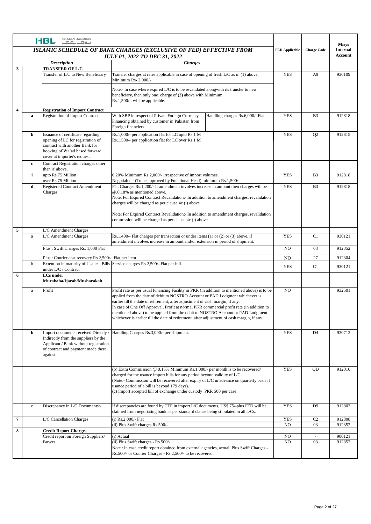|                         |                                                                                                                                            | <b>ISLAMIC BANKING</b><br>HBL<br>اسلامات بہتا گا۔                                                                                                                          |                                                                                                                                                                                                                                                                                                                                                                                                                                                                                                                                             |                |                | <b>Misys</b>                      |
|-------------------------|--------------------------------------------------------------------------------------------------------------------------------------------|----------------------------------------------------------------------------------------------------------------------------------------------------------------------------|---------------------------------------------------------------------------------------------------------------------------------------------------------------------------------------------------------------------------------------------------------------------------------------------------------------------------------------------------------------------------------------------------------------------------------------------------------------------------------------------------------------------------------------------|----------------|----------------|-----------------------------------|
|                         | <b>ISLAMIC SCHEDULE OF BANK CHARGES (EXCLUSIVE OF FED) EFFECTIVE FROM</b><br><b>FED Applicable</b><br><b>JULY 01, 2022 TO DEC 31, 2022</b> |                                                                                                                                                                            |                                                                                                                                                                                                                                                                                                                                                                                                                                                                                                                                             |                |                | <b>Internal</b><br><b>Account</b> |
|                         |                                                                                                                                            | <b>Description</b>                                                                                                                                                         | <b>Charges</b>                                                                                                                                                                                                                                                                                                                                                                                                                                                                                                                              |                |                |                                   |
| 3                       |                                                                                                                                            | <b>TRANSFER OF L/C</b><br>Transfer of L/C to New Beneficiary                                                                                                               | Transfer charges at rates applicable in case of opening of fresh L/C as in (1) above.<br>Minimum Rs- 2,000/-                                                                                                                                                                                                                                                                                                                                                                                                                                | <b>YES</b>     | A <sub>9</sub> | 930109                            |
|                         |                                                                                                                                            |                                                                                                                                                                            | Note:- In case where expired L/C is to be revalidated alongwith its transfer to new<br>beneficiary, then only one charge of (2) above with Minimum<br>Rs.1,500/-. will be applicable.                                                                                                                                                                                                                                                                                                                                                       |                |                |                                   |
| $\overline{\mathbf{4}}$ |                                                                                                                                            | <b>Registration of Import Contract</b>                                                                                                                                     |                                                                                                                                                                                                                                                                                                                                                                                                                                                                                                                                             |                |                |                                   |
|                         | $\mathbf a$                                                                                                                                | <b>Registration of Import Contract</b>                                                                                                                                     | With SBP in respect of Private Foreign Currency<br>Handling charges Rs.6,000/- Flat<br>Financing obtained by customer in Pakistan from<br>Foreign financiers.                                                                                                                                                                                                                                                                                                                                                                               | <b>YES</b>     | B <sub>3</sub> | 912818                            |
|                         | b                                                                                                                                          | Issuance of certificate regarding<br>opening of LC for registration of<br>contract with another Bank for<br>booking of Wa'ad based forward<br>cover at importer's request. | Rs.1,000/- per application flat for LC upto Rs.1 M<br>Rs.1,500/- per application flat for LC over Rs.1 M                                                                                                                                                                                                                                                                                                                                                                                                                                    | <b>YES</b>     | Q <sub>2</sub> | 912815                            |
|                         | c                                                                                                                                          | Contract Registration charges other<br>than 'a' above.                                                                                                                     |                                                                                                                                                                                                                                                                                                                                                                                                                                                                                                                                             |                |                |                                   |
|                         | i                                                                                                                                          | upto Rs.75 Million                                                                                                                                                         | 0.20% Minimum Rs.2,000/- irrespective of import volumes.                                                                                                                                                                                                                                                                                                                                                                                                                                                                                    | <b>YES</b>     | B <sub>3</sub> | 912818                            |
|                         | d                                                                                                                                          | over Rs.75 Million<br>Registered Contract Amendment<br>Charges                                                                                                             | Negotiable - (To be approved by Functional Head) minimum Rs.1,500/-<br>Flat Charges Rs.1,200/- If amendment involves increase in amount then charges will be<br>@.0.18% as mentioned above.<br>Note: For Expired Contract Revalidation: In addition to amendment charges, revalidation<br>charges will be charged as per clause 4c (i) above.<br>Note: For Expired Contract Revalidation: In addition to amendment charges, revalidation<br>commission will be charged as per clause 4c (i) above.                                          | <b>YES</b>     | B <sub>3</sub> | 912818                            |
|                         |                                                                                                                                            |                                                                                                                                                                            |                                                                                                                                                                                                                                                                                                                                                                                                                                                                                                                                             |                |                |                                   |
| 5                       |                                                                                                                                            | L/C Amendment Charges                                                                                                                                                      |                                                                                                                                                                                                                                                                                                                                                                                                                                                                                                                                             |                |                |                                   |
|                         | $\rm{a}$                                                                                                                                   | L/C Amendment Charges                                                                                                                                                      | Rs.1,400/- Flat charges per transaction or under items $(1)$ or $(2)$ or $(3)$ above, if<br>amendment involves increase in amount and/or extension in period of shipment.                                                                                                                                                                                                                                                                                                                                                                   | <b>YES</b>     | C1             | 930121                            |
|                         |                                                                                                                                            | Plus: Swift Charges Rs. 1,000 Flat                                                                                                                                         |                                                                                                                                                                                                                                                                                                                                                                                                                                                                                                                                             | N <sub>O</sub> | 03             | 912352                            |
|                         |                                                                                                                                            | Plus: Courier cost recovery Rs 2,500/- Flat per item                                                                                                                       |                                                                                                                                                                                                                                                                                                                                                                                                                                                                                                                                             |                | 27             | 912304                            |
|                         | b                                                                                                                                          | Extention in maturity of Usance Bills<br>under L/C / Contract                                                                                                              | Service charges Rs.2,500/- Flat per bill.                                                                                                                                                                                                                                                                                                                                                                                                                                                                                                   | <b>YES</b>     | C1             | 930121                            |
| 6                       |                                                                                                                                            | <b>LCs</b> under<br>Murabaha/Ijarah/Musharakah                                                                                                                             |                                                                                                                                                                                                                                                                                                                                                                                                                                                                                                                                             |                |                |                                   |
|                         | $\rm{a}$                                                                                                                                   | Profit                                                                                                                                                                     | Profit rate as per usual Financing Facility in PKR (in addition to mentioned above) is to be<br>applied from the date of debit to NOSTRO Account or PAD Lodgment whichever is<br>earlier till the date of retirement, after adjustment of cash margin, if any.<br>In case of One Off Approval, Profit at normal PKR commercial profit rate (in addition to<br>mentioned above) to be applied from the debit to NOSTRO Account or PAD Lodgment<br>whichever is earlier till the date of retirement, after adjustment of cash margin, if any. | N <sub>O</sub> |                | 932501                            |
|                         | $\mathbf b$                                                                                                                                | Import documents received Directly /<br>Indirectly from the suppliers by the<br>Applicant / Bank without registration<br>of contract and payment made there<br>against.    | Handling Charges Rs.3,000/- per shipment.                                                                                                                                                                                                                                                                                                                                                                                                                                                                                                   | <b>YES</b>     | D <sub>4</sub> | 930712                            |
|                         |                                                                                                                                            |                                                                                                                                                                            | (b) Extra Commission @ 0.15% Minimum Rs.1,000/- per month is to be recovered/<br>charged for the usance import bills for any period beyond validity of L/C.<br>(Note:- Commission will be recovered after expiry of $L/C$ in advance on quarterly basis if<br>usance period of a bill is beyond 179 days).<br>(c) Import accepted bill of exchange under custody PKR 500 per case                                                                                                                                                           | <b>YES</b>     | QD             | 912010                            |
|                         | $\mathbf c$                                                                                                                                | Discrepancy in L/C Documents:-                                                                                                                                             | If discrepancies are found by CTP in import L/C documents, US\$ 75/-plus FED will be<br>claimed from negotiating bank as per standard clause being stipulated in all L/Cs.                                                                                                                                                                                                                                                                                                                                                                  | <b>YES</b>     | D <sub>9</sub> | 912803                            |
| 7                       |                                                                                                                                            | L/C Cancellation Charges                                                                                                                                                   | (i) $Rs.2,000/-$ Flat                                                                                                                                                                                                                                                                                                                                                                                                                                                                                                                       | <b>YES</b>     | C <sub>2</sub> | 912808                            |
|                         |                                                                                                                                            |                                                                                                                                                                            | (ii) Plus Swift charges Rs.500/-                                                                                                                                                                                                                                                                                                                                                                                                                                                                                                            | N <sub>O</sub> | 03             | 912352                            |
| 8                       |                                                                                                                                            | <b>Credit Report Charges</b>                                                                                                                                               | (i) Actual                                                                                                                                                                                                                                                                                                                                                                                                                                                                                                                                  | N <sub>O</sub> |                | 900121                            |
|                         |                                                                                                                                            | Credit report on Foreign Suppliers/<br>Buyers.                                                                                                                             | (ii) Plus Swift charges - Rs.500/-                                                                                                                                                                                                                                                                                                                                                                                                                                                                                                          | N <sub>O</sub> | 03             | 912352                            |
|                         |                                                                                                                                            |                                                                                                                                                                            | Note : In case credit report obtained from external agencies, actual Plus Swift Charges -<br>Rs.500/- or Courier Charges - Rs.2,500/- to be recovered.                                                                                                                                                                                                                                                                                                                                                                                      |                |                |                                   |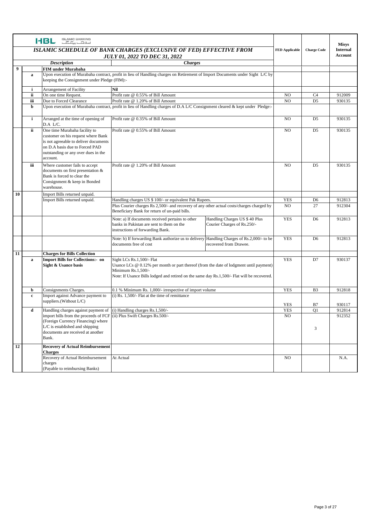|                  |              | <b>ISLAMIC BANKING</b><br>HBL<br>اسلامیک بیک گ                          |                                                                                                                                            |                                                               |                       |                    | <b>Misys</b>                      |
|------------------|--------------|-------------------------------------------------------------------------|--------------------------------------------------------------------------------------------------------------------------------------------|---------------------------------------------------------------|-----------------------|--------------------|-----------------------------------|
|                  |              |                                                                         | ISLAMIC SCHEDULE OF BANK CHARGES (EXCLUSIVE OF FED) EFFECTIVE FROM                                                                         |                                                               | <b>FED Applicable</b> | <b>Charge Code</b> | <b>Internal</b><br><b>Account</b> |
|                  |              |                                                                         | JULY 01, 2022 TO DEC 31, 2022<br><b>Charges</b>                                                                                            |                                                               |                       |                    |                                   |
| $\boldsymbol{9}$ |              | <b>Description</b><br><b>FIM under Murabaha</b>                         |                                                                                                                                            |                                                               |                       |                    |                                   |
|                  | a            |                                                                         | Upon execution of Murabaha contract, profit in lieu of Handling charges on Retirement of Import Documents under Sight L/C by               |                                                               |                       |                    |                                   |
|                  |              | keeping the Consignment under Pledge (FIM):-                            |                                                                                                                                            |                                                               |                       |                    |                                   |
|                  | i.           | Arrangement of Facility<br>Nil                                          |                                                                                                                                            |                                                               |                       |                    |                                   |
|                  | ii           | On one time Request.                                                    | Profit rate @ 0.55% of Bill Amount                                                                                                         |                                                               | N <sub>O</sub>        | C <sub>4</sub>     | 912009                            |
|                  | iii          | Due to Forced Clearance                                                 | Profit rate @ 1.20% of Bill Amount                                                                                                         |                                                               | N <sub>O</sub>        | D <sub>5</sub>     | 930135                            |
|                  | $\mathbf b$  |                                                                         | Upon execution of Murabaha contract, profit in lieu of Handling charges of D.A L/C Consignment cleared & kept under Pledge:-               |                                                               |                       |                    |                                   |
|                  | $\mathbf{i}$ | Arranged at the time of opening of<br>D.A L/C.                          | Profit rate @ 0.35% of Bill Amount                                                                                                         |                                                               | N <sub>O</sub>        | D <sub>5</sub>     | 930135                            |
|                  | ii.          | One time Murabaha facility to<br>customer on his request where Bank     | Profit rate @ 0.55% of Bill Amount                                                                                                         |                                                               | N <sub>O</sub>        | D <sub>5</sub>     | 930135                            |
|                  |              | is not agreeable to deliver documents<br>on D.A basis due to Forced PAD |                                                                                                                                            |                                                               |                       |                    |                                   |
|                  |              | outstanding or any over dues in the                                     |                                                                                                                                            |                                                               |                       |                    |                                   |
|                  |              | account.                                                                |                                                                                                                                            |                                                               |                       |                    |                                   |
|                  | iii          | Where customer fails to accept<br>documents on first presentation &     | Profit rate @ 1.20% of Bill Amount                                                                                                         |                                                               | N <sub>O</sub>        | D <sub>5</sub>     | 930135                            |
|                  |              | Bank is forced to clear the                                             |                                                                                                                                            |                                                               |                       |                    |                                   |
|                  |              | Consignment & keep in Bonded                                            |                                                                                                                                            |                                                               |                       |                    |                                   |
|                  |              | warehouse.                                                              |                                                                                                                                            |                                                               |                       |                    |                                   |
| 10               |              | Import Bills returned unpaid.                                           |                                                                                                                                            |                                                               |                       |                    |                                   |
|                  |              | Import Bills returned unpaid.                                           | Handling charges US \$ 100/- or equivalent Pak Rupees.                                                                                     |                                                               | <b>YES</b>            | D <sub>6</sub>     | 912813                            |
|                  |              |                                                                         | Plus Courier charges Rs 2,500/- and recovery of any other actual costs/charges charged by<br>Beneficiary Bank for return of un-paid bills. |                                                               | N <sub>O</sub>        | 27                 | 912304                            |
|                  |              |                                                                         | Note: a) If documents received pertains to other<br>banks in Pakistan are sent to them on the<br>instructions of forwarding Bank.          | Handling Charges US \$ 40 Plus<br>Courier Charges of Rs.250/- | <b>YES</b>            | D <sub>6</sub>     | 912813                            |
|                  |              |                                                                         | Note: b) If forwarding Bank authorize us to delivery Handling Charges of Rs.2,000/- to be<br>documents free of cost                        | recovered from Drawee.                                        | <b>YES</b>            | D <sub>6</sub>     | 912813                            |
| 11               |              | <b>Charges for Bills Collection</b>                                     |                                                                                                                                            |                                                               |                       |                    |                                   |
|                  | a            | <b>Import Bills for Collections:- on</b>                                | Sight LCs Rs.1,500/- Flat                                                                                                                  |                                                               | <b>YES</b>            | D7                 | 930137                            |
|                  |              | Sight & Usance basis                                                    | Usance LCs $@0.12\%$ per month or part thereof (from the date of lodgment until payment)                                                   |                                                               |                       |                    |                                   |
|                  |              |                                                                         | Minimum Rs.1,500/-<br>Note: If Usance Bills lodged and retired on the same day Rs.1,500/- Flat will be recovered.                          |                                                               |                       |                    |                                   |
|                  |              |                                                                         |                                                                                                                                            |                                                               |                       |                    |                                   |
|                  | b            | Consignments Charges.<br>Import against Advance payment to              | 0.1 % Minimum Rs. 1,000/- irrespective of import volume                                                                                    |                                                               | <b>YES</b>            | B <sub>3</sub>     | 912818                            |
|                  | $\mathbf c$  | suppliers.(Without L/C)                                                 |                                                                                                                                            | $(i)$ Rs. 1.500/- Flat at the time of remittance              |                       |                    | 930117                            |
|                  | d            | Handling charges against payment of (i) Handling charges Rs.1,500/-     |                                                                                                                                            | <b>YES</b>                                                    | Q1                    | 912814             |                                   |
|                  |              | import bills from the proceeds of FCF (ii) Plus Swift Charges Rs.500/-  |                                                                                                                                            | NO                                                            |                       | 912352             |                                   |
|                  |              | (Foreign Currency Financing) where                                      |                                                                                                                                            |                                                               |                       |                    |                                   |
|                  |              | L/C is established and shipping                                         |                                                                                                                                            |                                                               |                       | 3                  |                                   |
|                  |              | documents are received at another<br>Bank.                              |                                                                                                                                            |                                                               |                       |                    |                                   |
| 12               |              | <b>Recovery of Actual Reimbursement</b><br><b>Charges</b>               |                                                                                                                                            |                                                               |                       |                    |                                   |
|                  |              | Recovery of Actual Reimbursement                                        | At Actual                                                                                                                                  |                                                               | NO.                   |                    | N.A.                              |
|                  |              | charges                                                                 |                                                                                                                                            |                                                               |                       |                    |                                   |
|                  |              | (Payable to reimbursing Banks)                                          |                                                                                                                                            |                                                               |                       |                    |                                   |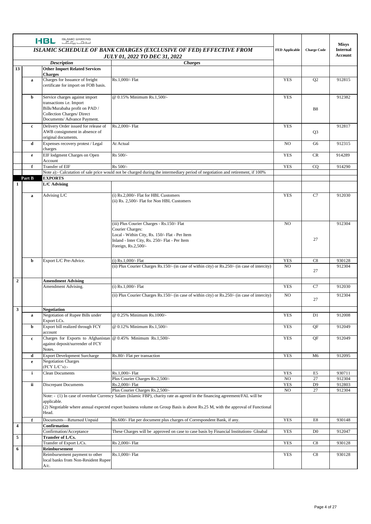|                |              | <b>ISLAMIC BANKING</b><br><b>HBL</b><br>اسلامیات بیک گ                                                                  |                                                                                                                                                                                                                                                            |                    |                                   | <b>Misys</b> |
|----------------|--------------|-------------------------------------------------------------------------------------------------------------------------|------------------------------------------------------------------------------------------------------------------------------------------------------------------------------------------------------------------------------------------------------------|--------------------|-----------------------------------|--------------|
|                |              | ISLAMIC SCHEDULE OF BANK CHARGES (EXCLUSIVE OF FED) EFFECTIVE FROM<br><b>JULY 01, 2022 TO DEC 31, 2022</b>              | <b>FED Applicable</b>                                                                                                                                                                                                                                      | <b>Charge Code</b> | <b>Internal</b><br><b>Account</b> |              |
|                |              | <b>Description</b>                                                                                                      |                                                                                                                                                                                                                                                            |                    |                                   |              |
| 13             |              | <b>Other Import Related Services</b>                                                                                    |                                                                                                                                                                                                                                                            |                    |                                   |              |
|                |              | <b>Charges</b><br>Charges for Issuance of freight                                                                       | Rs.1.000/- Flat                                                                                                                                                                                                                                            |                    |                                   | 912815       |
|                | a            | certificate for import on FOB basis.                                                                                    |                                                                                                                                                                                                                                                            | <b>YES</b>         | Q <sub>2</sub>                    |              |
|                | b            | Service charges against import                                                                                          | @ 0.15% Minimum Rs.1,500/-                                                                                                                                                                                                                                 | <b>YES</b>         |                                   | 912382       |
|                |              | transactions i.e. Import<br>Bills/Murabaha profit on PAD /<br>Collection Charges/ Direct<br>Documents/ Advance Payment. |                                                                                                                                                                                                                                                            |                    | <b>B8</b>                         |              |
|                | c            | Delivery Order issued for release of<br>AWB consignment in absence of<br>original documents.                            | Rs.2,000/- Flat                                                                                                                                                                                                                                            | <b>YES</b>         | Q <sub>3</sub>                    | 912817       |
|                | d            | Expenses recovery protest / Legal<br>charges                                                                            | At Actual                                                                                                                                                                                                                                                  | N <sub>O</sub>     | G6                                | 912315       |
|                | e            | EIF lodgment Charges on Open                                                                                            | Rs 500/-                                                                                                                                                                                                                                                   | <b>YES</b>         | <b>CR</b>                         | 914289       |
|                |              | Account                                                                                                                 |                                                                                                                                                                                                                                                            |                    |                                   |              |
|                | f            | Transfer of EIF                                                                                                         | Rs 500/-                                                                                                                                                                                                                                                   | <b>YES</b>         | CQ                                | 914290       |
|                | Part B       | <b>EXPORTS</b>                                                                                                          | Note a):- Calcutation of sale price would not be charged during the intermediary period of negotiation and retirement, if 100%                                                                                                                             |                    |                                   |              |
| 1              |              | L/C Advising                                                                                                            |                                                                                                                                                                                                                                                            |                    |                                   |              |
|                |              |                                                                                                                         |                                                                                                                                                                                                                                                            |                    |                                   |              |
|                | $\mathbf a$  | Advising L/C                                                                                                            | (i) Rs.2,000/- Flat for HBL Customers<br>(ii) Rs. 2,500/- Flat for Non HBL Customers                                                                                                                                                                       | <b>YES</b>         | C7                                | 912030       |
|                |              |                                                                                                                         | (iii) Plus Courier Charges - Rs.150/- Flat<br>Courier Charges:<br>Local - Within City, Rs. 150/- Flat - Per Item<br>Inland - Inter City, Rs. 250/- Flat - Per Item<br>Foreign, Rs.2,500/-                                                                  | N <sub>O</sub>     | 27                                | 912304       |
|                | b            | Export L/C Pre-Advice.                                                                                                  | (i) $Rs.1,000/-$ Flat                                                                                                                                                                                                                                      | <b>YES</b>         | C8                                | 930128       |
|                |              |                                                                                                                         | (ii) Plus Courier Charges Rs.150/- (in case of within city) or Rs.250/- (in case of intercity)                                                                                                                                                             | N <sub>O</sub>     | 27                                | 912304       |
| $\overline{2}$ |              | <b>Amendment Advising</b>                                                                                               |                                                                                                                                                                                                                                                            |                    |                                   |              |
|                |              | Amendment Advising.                                                                                                     | (i) $Rs.1,000/-$ Flat                                                                                                                                                                                                                                      | <b>YES</b>         | C7                                | 912030       |
|                |              |                                                                                                                         | (ii) Plus Courier Charges Rs.150/- (in case of within city) or Rs.250/- (in case of intercity)                                                                                                                                                             | N <sub>O</sub>     | 27                                | 912304       |
| $\mathbf{3}$   |              | <b>Negotiation</b>                                                                                                      |                                                                                                                                                                                                                                                            |                    |                                   |              |
|                | a            | Negotiation of Rupee Bills under<br>Export LCs.                                                                         | @ 0.25% Minimum Rs.1000/-                                                                                                                                                                                                                                  | YES                | D1                                | 912008       |
|                | b            | Export bill realized through FCY<br>account                                                                             | @ 0.12% Minimum Rs.1,500/-                                                                                                                                                                                                                                 | <b>YES</b>         | QF                                | 912049       |
|                | $\mathbf c$  | Charges for Exports to Afghanistan $@$ 0.45% Minimum Rs.1,500/-<br>against deposit/surrender of FCY<br>Notes.           |                                                                                                                                                                                                                                                            | <b>YES</b>         | QF                                | 912049       |
|                | d            | <b>Export Development Surcharge</b>                                                                                     | Rs.80/- Flat per transaction                                                                                                                                                                                                                               | <b>YES</b>         | M <sub>6</sub>                    | 912095       |
|                | e            | <b>Negotiation Charges</b><br>(FCY L/C's):-                                                                             |                                                                                                                                                                                                                                                            |                    |                                   |              |
|                | $\mathbf{i}$ | <b>Clean Documents</b>                                                                                                  | Rs.1.000/- Flat                                                                                                                                                                                                                                            | <b>YES</b>         | E5                                | 930711       |
|                |              |                                                                                                                         | Plus Courier Charges Rs.2,500/-                                                                                                                                                                                                                            | NO.                | 27                                | 912304       |
|                | ii           | <b>Discrepant Documents</b>                                                                                             | Rs.2,000/- Flat                                                                                                                                                                                                                                            | <b>YES</b>         | D <sub>9</sub>                    | 912803       |
|                |              |                                                                                                                         | Plus Courier Charges Rs.2,500/-                                                                                                                                                                                                                            | NO.                | 27                                | 912304       |
|                |              | applicable.<br>Head.                                                                                                    | Note: - (1) In case of overdue Currency Salam (Islamic FBP), charity rate as agreed in the financing agreement/FAL will be<br>(2) Negotiable where annual expected export business volume on Group Basis is above Rs.25 M, with the approval of Functional |                    |                                   |              |
|                | f            | Documents-Returned Unpaid                                                                                               | Rs.600/- Flat per document plus charges of Correspondent Bank, if any.                                                                                                                                                                                     | <b>YES</b>         | $\rm E8$                          | 930148       |
| 4              |              | Confirmation<br>Confirmation/Acceptance                                                                                 | These Charges will be approved on case to case basis by Financial Institutions- Gloabal                                                                                                                                                                    | <b>YES</b>         | D <sub>0</sub>                    | 912047       |
| 5              |              | Transfer of L/Cs.                                                                                                       |                                                                                                                                                                                                                                                            |                    |                                   |              |
| 6              |              | Transfer of Export L/Cs.<br>Reimbursement                                                                               | Rs 2,000/- Flat                                                                                                                                                                                                                                            | <b>YES</b>         | C8                                | 930128       |
|                |              | Reimbursement payment to other<br>local banks from Non-Resident Rupee<br>$A/c$ .                                        | Rs.1,000/- Flat                                                                                                                                                                                                                                            | <b>YES</b>         | C8                                | 930128       |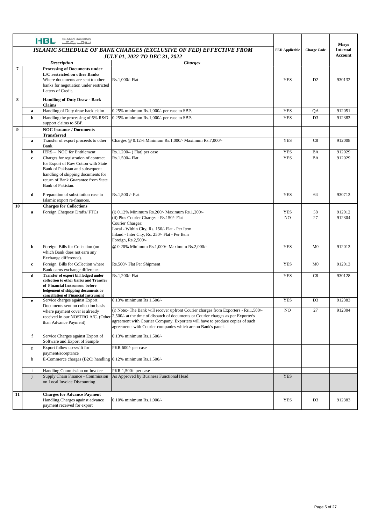|                |              | <b>ISLAMIC BANKING</b><br><b>HBL</b><br>$E_{\rm tot}$                            |                                                                                                                                                                                                       |                          |                    |                                 |
|----------------|--------------|----------------------------------------------------------------------------------|-------------------------------------------------------------------------------------------------------------------------------------------------------------------------------------------------------|--------------------------|--------------------|---------------------------------|
|                |              |                                                                                  | ISLAMIC SCHEDULE OF BANK CHARGES (EXCLUSIVE OF FED) EFFECTIVE FROM                                                                                                                                    | <b>FED Applicable</b>    | <b>Charge Code</b> | <b>Misys</b><br><b>Internal</b> |
|                |              |                                                                                  | <b>JULY 01, 2022 TO DEC 31, 2022</b>                                                                                                                                                                  |                          |                    | <b>Account</b>                  |
|                |              | <b>Description</b>                                                               | <b>Charges</b>                                                                                                                                                                                        |                          |                    |                                 |
| $\overline{7}$ |              | <b>Processing of Documents under</b><br>L/C restricted on other Banks            |                                                                                                                                                                                                       |                          |                    |                                 |
|                |              | Where documents are sent to other                                                | Rs.1,000/- Flat                                                                                                                                                                                       | <b>YES</b>               | D2                 | 930132                          |
|                |              | banks for negotiation under restricted                                           |                                                                                                                                                                                                       |                          |                    |                                 |
|                |              | Letters of Credit.                                                               |                                                                                                                                                                                                       |                          |                    |                                 |
| 8              |              | <b>Handling of Duty Draw - Back</b>                                              |                                                                                                                                                                                                       |                          |                    |                                 |
|                | $\mathbf a$  | Claims<br>Handling of Duty draw back claim                                       | 0.25% minimum Rs.1,000/- per case to SBP.                                                                                                                                                             | <b>YES</b>               | QA                 | 912051                          |
|                | b            | Handling the processing of 6% R&D                                                | 0.25% minimum Rs.1,000/- per case to SBP.                                                                                                                                                             | <b>YES</b>               | D <sub>3</sub>     | 912383                          |
|                |              | support claims to SBP.                                                           |                                                                                                                                                                                                       |                          |                    |                                 |
| 9              |              | <b>NOC Issuance / Documents</b><br><b>Transferred</b>                            |                                                                                                                                                                                                       |                          |                    |                                 |
|                | $\mathbf a$  | Transfer of export proceeds to other                                             | Charges @ 0.12% Minimum Rs.1,000/- Maximum Rs.7,000/-                                                                                                                                                 | <b>YES</b>               | C8                 | 912008                          |
|                |              | Bank.                                                                            |                                                                                                                                                                                                       |                          |                    |                                 |
|                | b            | IERS - NOC for Entitlement                                                       | Rs.1,200/- (Flat) per case<br>Rs.1,500/- Flat                                                                                                                                                         | <b>YES</b><br><b>YES</b> | BA                 | 912029                          |
|                | $\mathbf c$  | Charges for registration of contract<br>for Export of Raw Cotton with State      |                                                                                                                                                                                                       |                          | BA                 | 912029                          |
|                |              | Bank of Pakistan and subsequent                                                  |                                                                                                                                                                                                       |                          |                    |                                 |
|                |              | handling of shipping documents for<br>return of Bank Guarantee from State        |                                                                                                                                                                                                       |                          |                    |                                 |
|                |              | Bank of Pakistan.                                                                |                                                                                                                                                                                                       |                          |                    |                                 |
|                | d            | Preparation of substitution case in                                              | Rs.1.500 /- Flat                                                                                                                                                                                      | <b>YES</b>               | 64                 | 930713                          |
|                |              | Islamic export re-finances.                                                      |                                                                                                                                                                                                       |                          |                    |                                 |
| 10             |              | <b>Charges for Collections</b>                                                   |                                                                                                                                                                                                       |                          |                    |                                 |
|                | $\mathbf a$  | Foreign Cheques/ Drafts/ FTCs                                                    | (i) 0.12% Minimum Rs.200/- Maximum Rs.1,200/-                                                                                                                                                         | <b>YES</b>               | 58                 | 912012                          |
|                |              |                                                                                  | (ii) Plus Courier Charges - Rs.150/- Flat<br>Courier Charges:                                                                                                                                         | N <sub>O</sub>           | 27                 | 912304                          |
|                |              |                                                                                  | Local - Within City, Rs. 150/- Flat - Per Item                                                                                                                                                        |                          |                    |                                 |
|                |              |                                                                                  | Inland - Inter City, Rs. 250/- Flat - Per Item                                                                                                                                                        |                          |                    |                                 |
|                | b            | Foreign Bills for Collection (on                                                 | Foreign, Rs.2,500/-<br>@ 0.20% Minimum Rs.1,000/- Maximum Rs.2,000/-                                                                                                                                  | <b>YES</b>               | M <sub>0</sub>     | 912013                          |
|                |              | which Bank does not earn any                                                     |                                                                                                                                                                                                       |                          |                    |                                 |
|                |              | Exchange difference).                                                            |                                                                                                                                                                                                       |                          |                    |                                 |
|                | $\mathbf c$  | Foreign Bills for Collection where                                               | Rs.500/- Flat Per Shipment                                                                                                                                                                            | <b>YES</b>               | M <sub>0</sub>     | 912013                          |
|                | d            | Bank earns exchange difference.<br>Transfer of export bill lodged under          | Rs.1,200/- Flat                                                                                                                                                                                       | <b>YES</b>               | C8                 | 930128                          |
|                |              | collection to other banks and Transfer                                           |                                                                                                                                                                                                       |                          |                    |                                 |
|                |              | of Financial Instrument before<br>lodgement of shipping documents or             |                                                                                                                                                                                                       |                          |                    |                                 |
|                |              | cancellation of Financial Instrument                                             |                                                                                                                                                                                                       |                          |                    |                                 |
|                | e            | Service charges against Export<br>Documents sent on collection basis             | 0.13% minimum Rs 1,500/-                                                                                                                                                                              | <b>YES</b>               | D <sub>3</sub>     | 912383                          |
|                |              | where payment cover is already                                                   | (i) Note:- The Bank will recover upfront Courier charges from Exporters - Rs.1,500/-                                                                                                                  | N <sub>O</sub>           | 27                 | 912304                          |
|                |              |                                                                                  | received in our NOSTRO A/C. (Other 2,500/- at the time of dispatch of documents or Courier charges as per Exporter's<br>agreement with Courier Company. Exporters will have to produce copies of such |                          |                    |                                 |
|                |              | than Advance Payment)                                                            | agreements with Courier companies which are on Bank's panel.                                                                                                                                          |                          |                    |                                 |
|                | f            | Service Charges against Export of                                                | 0.13% minimum Rs.1,500/-                                                                                                                                                                              |                          |                    |                                 |
|                |              | Software and Export of Sample                                                    |                                                                                                                                                                                                       |                          |                    |                                 |
|                | g            | Export follow up-swift for                                                       | PKR 600/- per case                                                                                                                                                                                    |                          |                    |                                 |
|                | h            | payment/acceptance<br>E-Commerce charges (B2C) handling 0.12% minimum Rs.1,500/- |                                                                                                                                                                                                       |                          |                    |                                 |
|                |              |                                                                                  |                                                                                                                                                                                                       |                          |                    |                                 |
|                | $\mathbf{i}$ | Handling Commission on Invoice                                                   | PKR 1,500/- per case                                                                                                                                                                                  |                          |                    |                                 |
|                | $\mathbf{j}$ | Supply Chain Finance - Commission<br>on Local Invoice Discounting                | As Approved by Business Functional Head                                                                                                                                                               | <b>YES</b>               |                    |                                 |
|                |              |                                                                                  |                                                                                                                                                                                                       |                          |                    |                                 |
| 11             |              | <b>Charges for Advance Payment</b>                                               |                                                                                                                                                                                                       |                          |                    |                                 |
|                |              | Handling Charges against advance                                                 | 0.10% minimum Rs.1,000/-                                                                                                                                                                              | <b>YES</b>               | D <sub>3</sub>     | 912383                          |
|                |              | payment received for export                                                      |                                                                                                                                                                                                       |                          |                    |                                 |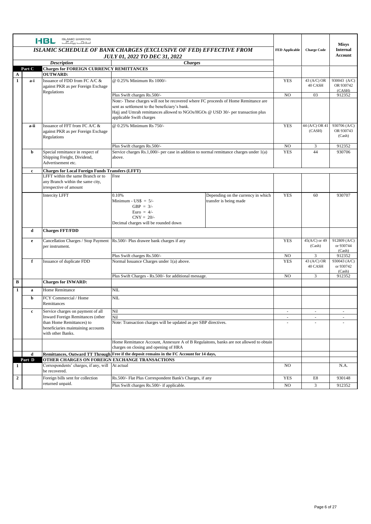|                  |                                      | <b>ISLAMIC BANKING</b><br><b>HBL</b><br>$E_{\rm tot}$ $E_{\rm tot}$ |                                                                                                                                  |                                    |                       |                    | <b>Misys</b>        |
|------------------|--------------------------------------|---------------------------------------------------------------------|----------------------------------------------------------------------------------------------------------------------------------|------------------------------------|-----------------------|--------------------|---------------------|
|                  |                                      |                                                                     | <b>ISLAMIC SCHEDULE OF BANK CHARGES (EXCLUSIVE OF FED) EFFECTIVE FROM</b>                                                        |                                    | <b>FED Applicable</b> | <b>Charge Code</b> | <b>Internal</b>     |
|                  | <b>JULY 01, 2022 TO DEC 31, 2022</b> |                                                                     |                                                                                                                                  |                                    |                       |                    | Account             |
|                  |                                      | <b>Description</b><br><b>Charges</b>                                |                                                                                                                                  |                                    |                       |                    |                     |
| A                | Part C                               | <b>Charges for FOREIGN CURRENCY REMITTANCES</b><br><b>OUTWARD:</b>  |                                                                                                                                  |                                    |                       |                    |                     |
| $\mathbf{1}$     | a-i                                  | Issuance of FDD from FC A/C &                                       | @ 0.25% Minimum Rs 1000/-                                                                                                        |                                    | <b>YES</b>            | 43 (A/C) OR        | 930043 (A/C)        |
|                  |                                      | against PKR as per Foreign Exchage<br>Regulations                   |                                                                                                                                  |                                    |                       | 40 CASH            | OR 930742<br>(CASH) |
|                  |                                      |                                                                     | Plus Swift charges Rs.500/-                                                                                                      |                                    | N <sub>O</sub>        | 03                 | 912352              |
|                  |                                      |                                                                     | Note:- These charges will not be recovered where FC proceeds of Home Remittance are                                              |                                    |                       |                    |                     |
|                  |                                      |                                                                     | sent as settlement to the beneficiary's bank.<br>Hajj and Umrah remittances allowed to NGOs/HGOs @ USD 30/- per transaction plus |                                    |                       |                    |                     |
|                  |                                      |                                                                     | applicable Swift charges                                                                                                         |                                    |                       |                    |                     |
|                  | a-ii                                 | Issuance of FFT from FC A/C &                                       | @ 0.25% Minimum Rs 750/-                                                                                                         |                                    | <b>YES</b>            | 44 (A/C) OR 41     | 930706 (A/C)        |
|                  |                                      | against PKR as per Foreign Exchage<br>Regulations                   |                                                                                                                                  |                                    |                       | (CASH)             | OR 930743<br>(Cash) |
|                  |                                      |                                                                     | Plus Swift charges Rs.500/-                                                                                                      |                                    | N <sub>O</sub>        | 3                  | 912352              |
|                  | b                                    | Special remittance in respect of                                    | Service charges Rs.1,000/- per case in addition to normal remittance charges under $1(a)$                                        |                                    | <b>YES</b>            | 44                 | 930706              |
|                  |                                      | Shipping Freight, Dividend,<br>Advertisement etc.                   | above.                                                                                                                           |                                    |                       |                    |                     |
|                  |                                      | <b>Charges for Local Foreign Funds Transfers (LFFT)</b>             |                                                                                                                                  |                                    |                       |                    |                     |
|                  | $\mathbf c$                          | LFFT within the same Branch or to                                   | Free                                                                                                                             |                                    |                       |                    |                     |
|                  |                                      | any Branch within the same city,                                    |                                                                                                                                  |                                    |                       |                    |                     |
|                  |                                      | irrespective of amount                                              |                                                                                                                                  |                                    |                       |                    |                     |
|                  |                                      | <b>Intercity LFFT</b>                                               | 0.10%                                                                                                                            | Depending on the currency in which | <b>YES</b>            | 60                 | 930707              |
|                  |                                      |                                                                     | Minimum - US\$ = $5/-$                                                                                                           | transfer is being made             |                       |                    |                     |
|                  |                                      |                                                                     | GBP = $3/-$                                                                                                                      |                                    |                       |                    |                     |
|                  |                                      |                                                                     | Euro = $4/-$<br>$CNY = 20/$                                                                                                      |                                    |                       |                    |                     |
|                  |                                      |                                                                     | Decimal charges will be rounded down                                                                                             |                                    |                       |                    |                     |
|                  | d                                    | <b>Charges FFT/FDD</b>                                              |                                                                                                                                  |                                    |                       |                    |                     |
|                  | $\mathbf{e}$                         | Cancellation Charges / Stop Payment                                 | Rs.500/- Plus drawee bank charges if any                                                                                         |                                    | <b>YES</b>            | $45(A/C)$ or 49    | 912809 (A/C)        |
|                  |                                      | per instrument.                                                     |                                                                                                                                  |                                    |                       | (Cash)             | or 930744           |
|                  |                                      |                                                                     | Plus Swift charges Rs.500/-                                                                                                      |                                    | N <sub>O</sub>        | 3                  | (Cash)<br>912352    |
|                  | f                                    | Issuance of duplicate FDD                                           | Normal Issuance Charges under 1(a) above.                                                                                        |                                    | <b>YES</b>            | 43 (A/C) OR        | 930043 (A/C)        |
|                  |                                      |                                                                     |                                                                                                                                  |                                    |                       | 40 CASH            | or 930742<br>(Cash) |
|                  |                                      |                                                                     | Plus Swift Charges - Rs.500/- for additional message.                                                                            |                                    | N <sub>O</sub>        | 3                  | 912352              |
| B                |                                      | <b>Charges for INWARD:</b>                                          |                                                                                                                                  |                                    |                       |                    |                     |
| 1                | $\mathbf a$                          | Home Remittance                                                     | NIL                                                                                                                              |                                    |                       |                    |                     |
|                  | b                                    | FCY Commercial / Home<br>Remittances                                | NIL                                                                                                                              |                                    |                       |                    |                     |
|                  | c                                    | Service charges on payment of all                                   | Nil                                                                                                                              |                                    | $\sim$                | $\sim$             |                     |
|                  |                                      | Inward Foreign Remittances (other                                   | Nil                                                                                                                              |                                    |                       |                    |                     |
|                  |                                      | than Home Remittances) to<br>beneficiaries maintaining accounts     | Note: Transaction charges will be updated as per SBP directives.                                                                 |                                    |                       |                    |                     |
|                  |                                      | with other Banks.                                                   |                                                                                                                                  |                                    |                       |                    |                     |
|                  |                                      |                                                                     | Home Remittance Account, Annexure A of B Regulaitons, banks are not allowed to obtain<br>charges on closing and opening of HRA   |                                    |                       |                    |                     |
|                  | d                                    |                                                                     | Remittances, Outward TT Through Free if the deposit remains in the FC Account for 14 days,                                       |                                    |                       |                    |                     |
|                  | Part D                               | OTHER CHARGES ON FOREIGN EXCHANGE TRANSACTIONS                      |                                                                                                                                  |                                    |                       |                    |                     |
| 1                |                                      | Correspondents' charges, if any, will At actual<br>be recovered.    |                                                                                                                                  |                                    | N <sub>O</sub>        |                    | N.A.                |
| $\boldsymbol{2}$ |                                      | Foreign bills sent for collection                                   | Rs.500/- Flat Plus Correspondent Bank's Charges, if any                                                                          |                                    | <b>YES</b>            | E8                 | 930148              |
|                  |                                      | returned unpaid.                                                    | Plus Swift charges Rs.500/- if applicable.                                                                                       |                                    | N <sub>O</sub>        | 3                  | 912352              |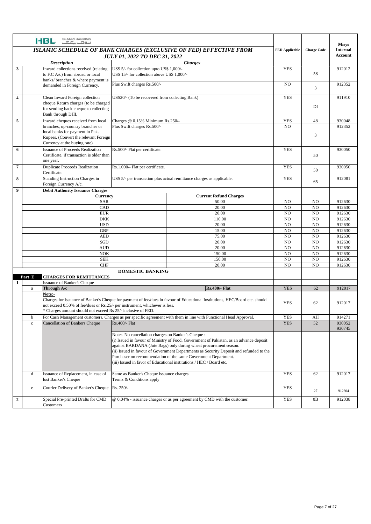|                         |         | ISLAMIC BANKING<br>اسلا <del>مات پیکا گ</del> ا<br><b>HBL</b>                                                                                        |                                                                                          |                                                                                                                                                                                                                                                                                                                                                                                                                                                          |                       |                                  | <b>Misys</b>     |
|-------------------------|---------|------------------------------------------------------------------------------------------------------------------------------------------------------|------------------------------------------------------------------------------------------|----------------------------------------------------------------------------------------------------------------------------------------------------------------------------------------------------------------------------------------------------------------------------------------------------------------------------------------------------------------------------------------------------------------------------------------------------------|-----------------------|----------------------------------|------------------|
|                         |         |                                                                                                                                                      |                                                                                          | ISLAMIC SCHEDULE OF BANK CHARGES (EXCLUSIVE OF FED) EFFECTIVE FROM                                                                                                                                                                                                                                                                                                                                                                                       | <b>FED Applicable</b> | <b>Charge Code</b>               | <b>Internal</b>  |
|                         |         |                                                                                                                                                      | <b>JULY 01, 2022 TO DEC 31, 2022</b>                                                     |                                                                                                                                                                                                                                                                                                                                                                                                                                                          |                       |                                  | Account          |
|                         |         | <b>Description</b>                                                                                                                                   |                                                                                          | <b>Charges</b>                                                                                                                                                                                                                                                                                                                                                                                                                                           |                       |                                  |                  |
| 3                       |         | Inward collections received (relating<br>to F.C A/c) from abroad or local                                                                            | US\$ 5/- for collection upto US\$ 1,000/-<br>US\$ 15/- for collection above US\$ 1,000/- |                                                                                                                                                                                                                                                                                                                                                                                                                                                          | <b>YES</b>            | 58                               | 912012           |
|                         |         | banks/ branches & where payment is<br>demanded in Foreign Currency.                                                                                  | Plus Swift charges Rs.500/-                                                              |                                                                                                                                                                                                                                                                                                                                                                                                                                                          | N <sub>O</sub>        | 3                                | 912352           |
| $\overline{\mathbf{4}}$ |         | Clean Inward Foreign collection<br>cheque Return charges (to be charged<br>for sending back cheque to collecting<br>Bank through DHL                 | US\$20/- (To be recovered from collecting Bank)                                          |                                                                                                                                                                                                                                                                                                                                                                                                                                                          | <b>YES</b>            | DI                               | 911910           |
| 5                       |         | Inward cheques received from local                                                                                                                   | Charges @ 0.15% Minimum Rs.250/-                                                         |                                                                                                                                                                                                                                                                                                                                                                                                                                                          | <b>YES</b>            | 48                               | 930048           |
|                         |         | branches, up-country branches or<br>local banks for payment in Pak.<br>Rupees. (Convert the relevant Foreign<br>Currency at the buying rate)         | Plus Swift charges Rs.500/-                                                              |                                                                                                                                                                                                                                                                                                                                                                                                                                                          | N <sub>O</sub>        | 3                                | 912352           |
| 6                       |         | <b>Issuance of Proceeds Realization</b><br>Certificate, if transaction is older than<br>one year.                                                    | Rs.500/- Flat per certificate.                                                           |                                                                                                                                                                                                                                                                                                                                                                                                                                                          | <b>YES</b>            | 50                               | 930050           |
| 7                       |         | <b>Duplicate Proceeds Realization</b><br>Certificate.                                                                                                | Rs.1,000/- Flat per certificate.                                                         |                                                                                                                                                                                                                                                                                                                                                                                                                                                          | <b>YES</b>            | 50                               | 930050           |
| 8                       |         | Standing Instruction Charges in<br>Foreign Currency A/c.                                                                                             |                                                                                          | US\$ 5/- per transaction plus actual remittance charges as applicable.                                                                                                                                                                                                                                                                                                                                                                                   | <b>YES</b>            | 65                               | 912081           |
| $\boldsymbol{9}$        |         | <b>Debit Authority Issuance Charges</b>                                                                                                              |                                                                                          |                                                                                                                                                                                                                                                                                                                                                                                                                                                          |                       |                                  |                  |
|                         |         | <b>Currency</b>                                                                                                                                      |                                                                                          | <b>Current Refund Charges</b>                                                                                                                                                                                                                                                                                                                                                                                                                            |                       |                                  |                  |
|                         |         | <b>SAR</b>                                                                                                                                           |                                                                                          | 50.00                                                                                                                                                                                                                                                                                                                                                                                                                                                    | N <sub>O</sub>        | N <sub>O</sub>                   | 912630           |
|                         |         | CAD<br><b>EUR</b>                                                                                                                                    |                                                                                          | 20.00                                                                                                                                                                                                                                                                                                                                                                                                                                                    | N <sub>O</sub>        | N <sub>O</sub><br>N <sub>O</sub> | 912630           |
|                         |         | <b>DKK</b>                                                                                                                                           |                                                                                          | 20.00<br>110.00                                                                                                                                                                                                                                                                                                                                                                                                                                          | NO<br>NO              | N <sub>O</sub>                   | 912630<br>912630 |
|                         |         | <b>USD</b>                                                                                                                                           |                                                                                          | 20.00                                                                                                                                                                                                                                                                                                                                                                                                                                                    | N <sub>O</sub>        | N <sub>O</sub>                   | 912630           |
|                         |         | <b>GBP</b>                                                                                                                                           |                                                                                          | 15.00                                                                                                                                                                                                                                                                                                                                                                                                                                                    | N <sub>O</sub>        | N <sub>O</sub>                   | 912630           |
|                         |         | <b>AED</b>                                                                                                                                           |                                                                                          | 75.00                                                                                                                                                                                                                                                                                                                                                                                                                                                    | N <sub>O</sub>        | N <sub>O</sub>                   | 912630           |
|                         |         | SGD                                                                                                                                                  |                                                                                          | 20.00                                                                                                                                                                                                                                                                                                                                                                                                                                                    | N <sub>O</sub>        | N <sub>O</sub>                   | 912630           |
|                         |         | <b>AUD</b>                                                                                                                                           |                                                                                          | 20.00                                                                                                                                                                                                                                                                                                                                                                                                                                                    | N <sub>O</sub>        | N <sub>O</sub>                   | 912630           |
|                         |         | <b>NOK</b>                                                                                                                                           |                                                                                          | 150.00                                                                                                                                                                                                                                                                                                                                                                                                                                                   | N <sub>O</sub>        | N <sub>O</sub>                   | 912630           |
|                         |         | <b>SEK</b>                                                                                                                                           |                                                                                          | 150.00                                                                                                                                                                                                                                                                                                                                                                                                                                                   | N <sub>O</sub>        | N <sub>O</sub>                   | 912630           |
|                         |         | <b>CHF</b>                                                                                                                                           |                                                                                          | 20.00                                                                                                                                                                                                                                                                                                                                                                                                                                                    | N <sub>O</sub>        | N <sub>O</sub>                   | 912630           |
|                         |         |                                                                                                                                                      | <b>DOMESTIC BANKING</b>                                                                  |                                                                                                                                                                                                                                                                                                                                                                                                                                                          |                       |                                  |                  |
|                         | Part E  | <b>CHARGES FOR REMITTANCES</b>                                                                                                                       |                                                                                          |                                                                                                                                                                                                                                                                                                                                                                                                                                                          |                       |                                  |                  |
| 1                       |         | <b>Issuance of Banker's Cheque</b><br>Through A/c                                                                                                    |                                                                                          |                                                                                                                                                                                                                                                                                                                                                                                                                                                          | <b>YES</b>            | 62                               | 912017           |
|                         | a       | Note:-<br>not exceed 0.50% of fee/dues or Rs.25/- per instrument, whichever is less.<br>* Charges amount should not exceed Rs 25/- inclusive of FED. |                                                                                          | <b>Rs.400/- Flat</b><br>Charges for issuance of Banker's Cheque for payment of fee/dues in favour of Educational Institutions, HEC/Board etc. should                                                                                                                                                                                                                                                                                                     | <b>YES</b>            | 62                               | 912017           |
|                         | b       |                                                                                                                                                      |                                                                                          | For Cash Management customers, Charges as per specific agreement with them in line with Functional Head Approval.                                                                                                                                                                                                                                                                                                                                        | <b>YES</b>            | AH                               | 914271           |
|                         |         | Rs.400/- Flat<br><b>Cancellation of Bankers Cheque</b><br>$\mathbf c$                                                                                |                                                                                          |                                                                                                                                                                                                                                                                                                                                                                                                                                                          | <b>YES</b>            | 52                               | 930052<br>930745 |
|                         |         |                                                                                                                                                      |                                                                                          | Note:- No cancellation charges on Banker's Cheque :<br>(i) Issued in favour of Ministry of Food, Government of Pakistan, as an advance deposit<br>against BARDANA (Jute Bags) only during wheat procurement season.<br>(ii) Issued in favour of Government Departments as Security Deposit and refunded to the<br>Purchaser on recommendation of the same Government Department.<br>(iii) Issued in favor of Educational institutions / HEC / Board etc. |                       |                                  |                  |
|                         | d       | Issuance of Replacement, in case of<br>lost Banker's Cheque                                                                                          | Same as Banker's Cheque issuance charges<br>Terms & Conditions apply                     |                                                                                                                                                                                                                                                                                                                                                                                                                                                          | <b>YES</b>            | 62                               | 912017           |
|                         | $\rm e$ | Courier Delivery of Banker's Cheque                                                                                                                  | Rs. 250/-                                                                                |                                                                                                                                                                                                                                                                                                                                                                                                                                                          | <b>YES</b>            | 27                               | 912304           |
| $\boldsymbol{2}$        |         | Special Pre-printed Drafts for CMD<br>Customers                                                                                                      |                                                                                          | @ 0.04% - issuance charges or as per agreement by CMD with the customer.                                                                                                                                                                                                                                                                                                                                                                                 | <b>YES</b>            | 0B                               | 912038           |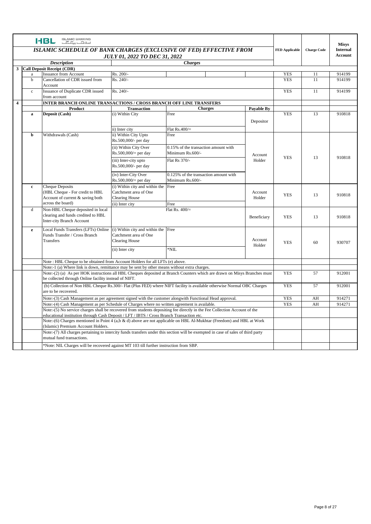|                                    |                                                                                                                                                                                                                                                                                                                                                                                                                                                   | <b>ISLAMIC BANKING</b><br><b>HBL</b><br>$\underline{\overline{\mathcal{F}}_1 \overline{\mathcal{F}}_{222}}$ $\underline{\overline{\mathcal{F}}_2}$ |                                                |                                                                                                                                   |                   |            |                    | <b>Misys</b>                      |
|------------------------------------|---------------------------------------------------------------------------------------------------------------------------------------------------------------------------------------------------------------------------------------------------------------------------------------------------------------------------------------------------------------------------------------------------------------------------------------------------|----------------------------------------------------------------------------------------------------------------------------------------------------|------------------------------------------------|-----------------------------------------------------------------------------------------------------------------------------------|-------------------|------------|--------------------|-----------------------------------|
|                                    | <b>ISLAMIC SCHEDULE OF BANK CHARGES (EXCLUSIVE OF FED) EFFECTIVE FROM</b><br><b>FED Applicable</b><br><b>JULY 01, 2022 TO DEC 31, 2022</b>                                                                                                                                                                                                                                                                                                        |                                                                                                                                                    |                                                |                                                                                                                                   |                   |            | <b>Charge Code</b> | <b>Internal</b><br><b>Account</b> |
|                                    |                                                                                                                                                                                                                                                                                                                                                                                                                                                   | <b>Description</b>                                                                                                                                 |                                                |                                                                                                                                   |                   |            |                    |                                   |
|                                    |                                                                                                                                                                                                                                                                                                                                                                                                                                                   | 3 Call Deposit Receipt (CDR)                                                                                                                       |                                                | <b>Charges</b>                                                                                                                    |                   |            |                    |                                   |
|                                    | $\rm{a}$                                                                                                                                                                                                                                                                                                                                                                                                                                          | <b>Issuance from Account</b>                                                                                                                       | Rs. 200/-                                      |                                                                                                                                   |                   | <b>YES</b> | 11                 | 914199                            |
|                                    | $\mathbf b$                                                                                                                                                                                                                                                                                                                                                                                                                                       | Cancellation of CDR issued from                                                                                                                    | Rs. 240/-                                      |                                                                                                                                   |                   | <b>YES</b> | 11                 | 914199                            |
|                                    |                                                                                                                                                                                                                                                                                                                                                                                                                                                   | Account                                                                                                                                            |                                                |                                                                                                                                   |                   |            |                    |                                   |
|                                    | $\mathbf{c}$                                                                                                                                                                                                                                                                                                                                                                                                                                      | Issuance of Duplicate CDR issued<br>from account                                                                                                   | Rs. 240/-                                      |                                                                                                                                   |                   | <b>YES</b> | 11                 | 914199                            |
| $\overline{\mathbf{4}}$            |                                                                                                                                                                                                                                                                                                                                                                                                                                                   | <b>INTER BRANCH ONLINE TRANSACTIONS / CROSS BRANCH OFF LINE TRANSFERS</b>                                                                          |                                                |                                                                                                                                   |                   |            |                    |                                   |
|                                    |                                                                                                                                                                                                                                                                                                                                                                                                                                                   | Product                                                                                                                                            | <b>Transaction</b>                             | <b>Charges</b>                                                                                                                    | <b>Payable By</b> |            |                    |                                   |
|                                    | $\mathbf a$                                                                                                                                                                                                                                                                                                                                                                                                                                       | Deposit (Cash)                                                                                                                                     | (i) Within City                                | Free                                                                                                                              |                   | <b>YES</b> | 13                 | 910818                            |
|                                    |                                                                                                                                                                                                                                                                                                                                                                                                                                                   |                                                                                                                                                    |                                                |                                                                                                                                   | Depositor         |            |                    |                                   |
|                                    |                                                                                                                                                                                                                                                                                                                                                                                                                                                   |                                                                                                                                                    |                                                |                                                                                                                                   |                   |            |                    |                                   |
|                                    |                                                                                                                                                                                                                                                                                                                                                                                                                                                   |                                                                                                                                                    | ii) Inter city                                 | Flat $Rs.400/=$                                                                                                                   |                   |            |                    |                                   |
|                                    | b                                                                                                                                                                                                                                                                                                                                                                                                                                                 | Withdrawals (Cash)                                                                                                                                 | ii) Within City Upto<br>Rs.500,000/- per day   | Free                                                                                                                              |                   |            |                    |                                   |
|                                    |                                                                                                                                                                                                                                                                                                                                                                                                                                                   |                                                                                                                                                    | (ii) Within City Over                          | 0.15% of the transaction amount with                                                                                              |                   |            |                    |                                   |
|                                    |                                                                                                                                                                                                                                                                                                                                                                                                                                                   |                                                                                                                                                    | $Rs.500,000/=$ per day                         | Minimum Rs.600/-                                                                                                                  | Account           |            |                    |                                   |
|                                    |                                                                                                                                                                                                                                                                                                                                                                                                                                                   |                                                                                                                                                    | (iii) Inter-city upto                          | Flat Rs 370/-                                                                                                                     | Holder            | <b>YES</b> | 13                 | 910818                            |
|                                    |                                                                                                                                                                                                                                                                                                                                                                                                                                                   |                                                                                                                                                    | Rs.500,000/- per day                           |                                                                                                                                   |                   |            |                    |                                   |
|                                    |                                                                                                                                                                                                                                                                                                                                                                                                                                                   |                                                                                                                                                    |                                                |                                                                                                                                   |                   |            |                    |                                   |
|                                    |                                                                                                                                                                                                                                                                                                                                                                                                                                                   |                                                                                                                                                    | (iv) Inter-City Over                           | 0.125% of the transaction amount with                                                                                             |                   |            |                    |                                   |
|                                    |                                                                                                                                                                                                                                                                                                                                                                                                                                                   |                                                                                                                                                    | $Rs.500,000/=$ per day                         | Minimum Rs.600/-                                                                                                                  |                   |            |                    |                                   |
|                                    | $\mathbf c$                                                                                                                                                                                                                                                                                                                                                                                                                                       | <b>Cheque Deposits</b>                                                                                                                             | (i) Within city and within the                 | Free                                                                                                                              |                   |            |                    |                                   |
|                                    |                                                                                                                                                                                                                                                                                                                                                                                                                                                   | (HBL Cheque - For credit to HBL<br>Account of current & saving both                                                                                | Catchment area of One<br><b>Clearing House</b> |                                                                                                                                   | Account<br>Holder | <b>YES</b> | 13                 | 910818                            |
|                                    |                                                                                                                                                                                                                                                                                                                                                                                                                                                   | across the board)                                                                                                                                  | (ii) Inter city                                | Free                                                                                                                              |                   |            |                    |                                   |
|                                    | d                                                                                                                                                                                                                                                                                                                                                                                                                                                 | Non-HBL Cheque deposited in local                                                                                                                  |                                                | Flat Rs. $400/$ =                                                                                                                 |                   |            |                    |                                   |
|                                    |                                                                                                                                                                                                                                                                                                                                                                                                                                                   | clearing and funds credited to HBL                                                                                                                 |                                                |                                                                                                                                   |                   |            |                    |                                   |
|                                    |                                                                                                                                                                                                                                                                                                                                                                                                                                                   | <b>Inter-city Branch Account</b>                                                                                                                   |                                                |                                                                                                                                   | Beneficiary       | <b>YES</b> | 13                 | 910818                            |
|                                    |                                                                                                                                                                                                                                                                                                                                                                                                                                                   |                                                                                                                                                    |                                                |                                                                                                                                   |                   |            |                    |                                   |
|                                    | $\mathbf{e}$                                                                                                                                                                                                                                                                                                                                                                                                                                      | Local Funds Transfers (LFTs) Online                                                                                                                | (i) Within city and within the Free            |                                                                                                                                   |                   |            |                    |                                   |
|                                    |                                                                                                                                                                                                                                                                                                                                                                                                                                                   | Funds Transfer / Cross Branch                                                                                                                      | Catchment area of One                          |                                                                                                                                   | Account           |            |                    |                                   |
|                                    |                                                                                                                                                                                                                                                                                                                                                                                                                                                   | <b>Transfers</b>                                                                                                                                   | <b>Clearing House</b>                          |                                                                                                                                   | Holder            | <b>YES</b> | 60                 | 930707                            |
|                                    |                                                                                                                                                                                                                                                                                                                                                                                                                                                   |                                                                                                                                                    | (ii) Inter city                                | *NIL                                                                                                                              |                   |            |                    |                                   |
|                                    |                                                                                                                                                                                                                                                                                                                                                                                                                                                   |                                                                                                                                                    |                                                |                                                                                                                                   |                   |            |                    |                                   |
|                                    |                                                                                                                                                                                                                                                                                                                                                                                                                                                   | Note: HBL Cheque to be obtained from Account Holders for all LFTs (e) above.                                                                       |                                                |                                                                                                                                   |                   |            |                    |                                   |
|                                    |                                                                                                                                                                                                                                                                                                                                                                                                                                                   | Note:-1 (a) Where link is down, remittance may be sent by other means without extra charges.                                                       |                                                |                                                                                                                                   |                   |            |                    |                                   |
|                                    |                                                                                                                                                                                                                                                                                                                                                                                                                                                   | be collected through Online facility instead of NIFT.                                                                                              |                                                | Note:-(2) (a) As per HOK instructions all HBL Cheques deposited at Branch Counters which are drawn on Misys Branches must         |                   | <b>YES</b> | 57                 | 912001                            |
|                                    |                                                                                                                                                                                                                                                                                                                                                                                                                                                   |                                                                                                                                                    |                                                |                                                                                                                                   |                   | <b>YES</b> | 57                 | 912001                            |
|                                    |                                                                                                                                                                                                                                                                                                                                                                                                                                                   |                                                                                                                                                    |                                                | (b) Collection of Non HBL Cheque Rs.300/- Flat (Plus FED) where NIFT facility is available otherwise Normal OBC Charges           |                   |            |                    |                                   |
|                                    |                                                                                                                                                                                                                                                                                                                                                                                                                                                   | are to be recovered.                                                                                                                               |                                                |                                                                                                                                   |                   |            |                    |                                   |
|                                    |                                                                                                                                                                                                                                                                                                                                                                                                                                                   |                                                                                                                                                    |                                                | Note:-(3) Cash Management as per agreement signed with the customer alongwith Functional Head approval.                           |                   | <b>YES</b> | AH                 | 914271                            |
|                                    | Note:-(4) Cash Management as per Schedule of Charges where no written agreement is available.<br>Note:-(5) No service charges shall be recovered from students depositing fee directly in the Fee Collection Account of the<br>educational institution through Cash Deposit / LFT / IBTS / Cross Branch Transaction etc.<br>Note:-(6) Charges mentioned in Point 4 (a,b & d) above are not applicable on HBL Al-Mukhtar (Freedom) and HBL at Work |                                                                                                                                                    |                                                |                                                                                                                                   | <b>YES</b>        | AH         | 914271             |                                   |
|                                    |                                                                                                                                                                                                                                                                                                                                                                                                                                                   |                                                                                                                                                    |                                                |                                                                                                                                   |                   |            |                    |                                   |
|                                    |                                                                                                                                                                                                                                                                                                                                                                                                                                                   |                                                                                                                                                    |                                                |                                                                                                                                   |                   |            |                    |                                   |
| (Islamic) Premium Account Holders. |                                                                                                                                                                                                                                                                                                                                                                                                                                                   |                                                                                                                                                    |                                                |                                                                                                                                   |                   |            |                    |                                   |
|                                    |                                                                                                                                                                                                                                                                                                                                                                                                                                                   |                                                                                                                                                    |                                                | Note:-(7) All charges pertaining to intercity funds transfers under this section will be exempted in case of sales of third party |                   |            |                    |                                   |
|                                    |                                                                                                                                                                                                                                                                                                                                                                                                                                                   | mutual fund transactions.                                                                                                                          |                                                |                                                                                                                                   |                   |            |                    |                                   |
|                                    |                                                                                                                                                                                                                                                                                                                                                                                                                                                   | *Note: NIL Charges will be recovered against MT 103 till further instruction from SBP.                                                             |                                                |                                                                                                                                   |                   |            |                    |                                   |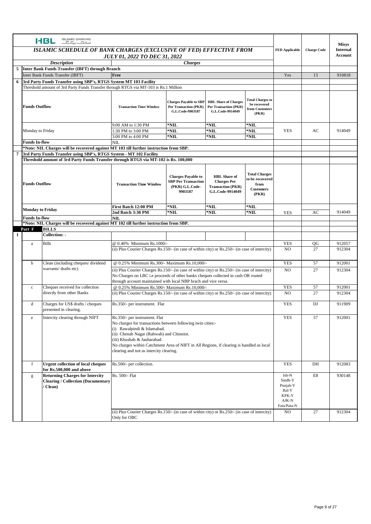|   |                                                                                                                                                                                                                                                                                                                              | <b>ISLAMIC BANKING</b><br><b>HBL</b><br>$C$ $E$ $E_{\mu\nu}$ $C_{\mu}$ $E_{\mu\nu}$           |                                                                                                                                                      |                                                                                                                                                                                                                                                |                                                                                 |                                                                    |                                                                               |                 | <b>Misys</b>     |
|---|------------------------------------------------------------------------------------------------------------------------------------------------------------------------------------------------------------------------------------------------------------------------------------------------------------------------------|-----------------------------------------------------------------------------------------------|------------------------------------------------------------------------------------------------------------------------------------------------------|------------------------------------------------------------------------------------------------------------------------------------------------------------------------------------------------------------------------------------------------|---------------------------------------------------------------------------------|--------------------------------------------------------------------|-------------------------------------------------------------------------------|-----------------|------------------|
|   | ISLAMIC SCHEDULE OF BANK CHARGES (EXCLUSIVE OF FED) EFFECTIVE FROM                                                                                                                                                                                                                                                           |                                                                                               |                                                                                                                                                      |                                                                                                                                                                                                                                                |                                                                                 | <b>FED Applicable</b>                                              | <b>Charge Code</b>                                                            | <b>Internal</b> |                  |
|   | <b>JULY 01, 2022 TO DEC 31, 2022</b>                                                                                                                                                                                                                                                                                         |                                                                                               |                                                                                                                                                      |                                                                                                                                                                                                                                                |                                                                                 |                                                                    |                                                                               | Account         |                  |
|   | <b>Description</b><br><b>Charges</b>                                                                                                                                                                                                                                                                                         |                                                                                               |                                                                                                                                                      |                                                                                                                                                                                                                                                |                                                                                 |                                                                    |                                                                               |                 |                  |
|   |                                                                                                                                                                                                                                                                                                                              | 5 Inter Bank Funds Transfer (IBFT) through Branch<br>Inter Bank Funds Transfer (IBFT)         | Free                                                                                                                                                 |                                                                                                                                                                                                                                                |                                                                                 |                                                                    | Yes                                                                           | 13              | 910818           |
| 6 |                                                                                                                                                                                                                                                                                                                              | 3rd Party Funds Transfer using SBP's, RTGS System MT 103 Facility                             |                                                                                                                                                      |                                                                                                                                                                                                                                                |                                                                                 |                                                                    |                                                                               |                 |                  |
|   |                                                                                                                                                                                                                                                                                                                              | Threshold amount of 3rd Party Funds Transfer through RTGS via MT-103 is Rs.1 Million          |                                                                                                                                                      |                                                                                                                                                                                                                                                |                                                                                 |                                                                    |                                                                               |                 |                  |
|   |                                                                                                                                                                                                                                                                                                                              |                                                                                               |                                                                                                                                                      |                                                                                                                                                                                                                                                |                                                                                 |                                                                    |                                                                               |                 |                  |
|   | <b>Funds Outflow</b>                                                                                                                                                                                                                                                                                                         |                                                                                               | <b>Transaction Time Window</b>                                                                                                                       | <b>Charges Payable to SBP</b><br><b>Per Transaction (PKR)</b><br>G.L.Code-9903187                                                                                                                                                              | <b>HBL Share of Charges</b><br><b>Per Transaction (PKR)</b><br>G.L.Code-9914049 | <b>Total Charges to</b><br>be recovered<br>from Customers<br>(PKR) |                                                                               |                 |                  |
|   | 9:00 AM to 1:30 PM<br>*NIL<br>*NIL<br>$*$ NIL                                                                                                                                                                                                                                                                                |                                                                                               |                                                                                                                                                      |                                                                                                                                                                                                                                                |                                                                                 |                                                                    |                                                                               |                 |                  |
|   | $*$ NIL<br>$*$ NIL<br>1:30 PM to 3:00 PM<br>Monday to Friday                                                                                                                                                                                                                                                                 |                                                                                               |                                                                                                                                                      | $*$ NIL                                                                                                                                                                                                                                        | <b>YES</b>                                                                      | AC                                                                 | 914049                                                                        |                 |                  |
|   | <b>Funds In-flow</b>                                                                                                                                                                                                                                                                                                         |                                                                                               | 3:00 PM to 4:00 PM<br>$*$ NIL<br>$*$ NIL<br>*NIL<br>NIL                                                                                              |                                                                                                                                                                                                                                                |                                                                                 |                                                                    |                                                                               |                 |                  |
|   |                                                                                                                                                                                                                                                                                                                              |                                                                                               |                                                                                                                                                      | *Note: NIL Charges will be recovered against MT 103 till further instruction from SBP.                                                                                                                                                         |                                                                                 |                                                                    |                                                                               |                 |                  |
| 7 |                                                                                                                                                                                                                                                                                                                              | 3rd Party Funds Transfer using SBP's, RTGS System - MT 102 Facility                           |                                                                                                                                                      |                                                                                                                                                                                                                                                |                                                                                 |                                                                    |                                                                               |                 |                  |
|   |                                                                                                                                                                                                                                                                                                                              | Threshold amount of 3rd Party Funds Transfer through RTGS via MT-102 is Rs. 100,000           |                                                                                                                                                      |                                                                                                                                                                                                                                                |                                                                                 |                                                                    |                                                                               |                 |                  |
|   | <b>Total Charges</b><br><b>Charges Payable to</b><br><b>HBL</b> Share of<br>to be recovered<br><b>SBP Per Transaction</b><br><b>Charges Per</b><br><b>Funds Outflow</b><br><b>Transaction Time Window</b><br>from<br>(PKR) G.L.Code-<br><b>Transaction (PKR)</b><br><b>Customers</b><br>9903187<br>G.L.Code-9914049<br>(PKR) |                                                                                               |                                                                                                                                                      |                                                                                                                                                                                                                                                |                                                                                 |                                                                    |                                                                               |                 |                  |
|   |                                                                                                                                                                                                                                                                                                                              |                                                                                               | First Batch 12:00 PM                                                                                                                                 | *NIL                                                                                                                                                                                                                                           | *NIL                                                                            | *NIL                                                               |                                                                               |                 |                  |
|   | <b>Monday to Friday</b>                                                                                                                                                                                                                                                                                                      |                                                                                               | 2nd Batch 3:30 PM                                                                                                                                    | *NIL                                                                                                                                                                                                                                           | *NIL                                                                            | $*$ NIL                                                            | <b>YES</b>                                                                    | AC              | 914049           |
|   | <b>Funds In-flow</b>                                                                                                                                                                                                                                                                                                         | *Note: NIL Charges will be recovered against MT 102 till further instruction from SBP.        | NII.                                                                                                                                                 |                                                                                                                                                                                                                                                |                                                                                 |                                                                    |                                                                               |                 |                  |
|   | Part F                                                                                                                                                                                                                                                                                                                       | <b>BILLS</b>                                                                                  |                                                                                                                                                      |                                                                                                                                                                                                                                                |                                                                                 |                                                                    |                                                                               |                 |                  |
| 1 |                                                                                                                                                                                                                                                                                                                              | Collection: -                                                                                 |                                                                                                                                                      |                                                                                                                                                                                                                                                |                                                                                 |                                                                    |                                                                               |                 |                  |
|   | a                                                                                                                                                                                                                                                                                                                            | <b>Bills</b>                                                                                  | @ 0.40% Minimum Rs.1000/-                                                                                                                            |                                                                                                                                                                                                                                                |                                                                                 |                                                                    | <b>YES</b>                                                                    | QG              | 912057           |
|   |                                                                                                                                                                                                                                                                                                                              |                                                                                               | (ii) Plus Courier Charges Rs.150/- (in case of within city) or Rs.250/- (in case of intercity)                                                       |                                                                                                                                                                                                                                                |                                                                                 |                                                                    | NO.                                                                           | 27              | 912304           |
|   |                                                                                                                                                                                                                                                                                                                              |                                                                                               |                                                                                                                                                      |                                                                                                                                                                                                                                                |                                                                                 |                                                                    |                                                                               |                 |                  |
|   | b                                                                                                                                                                                                                                                                                                                            | Clean (including cheques/dividend                                                             | @ 0.25% Minimum Rs.300/- Maximum Rs.10,000/-                                                                                                         |                                                                                                                                                                                                                                                |                                                                                 |                                                                    | <b>YES</b>                                                                    | 57              | 912001           |
|   |                                                                                                                                                                                                                                                                                                                              | warrants/ drafts etc)                                                                         | (ii) Plus Courier Charges Rs.150/- (in case of within city) or Rs.250/- (in case of intercity)                                                       |                                                                                                                                                                                                                                                |                                                                                 |                                                                    | N <sub>O</sub>                                                                | 27              | 912304           |
|   |                                                                                                                                                                                                                                                                                                                              |                                                                                               | No Charges on LBC i.e proceeds of other banks cheques collected in cash OR routed<br>through account maintained with local NBP brach and vice versa. |                                                                                                                                                                                                                                                |                                                                                 |                                                                    |                                                                               |                 |                  |
|   | $\rm c$                                                                                                                                                                                                                                                                                                                      | Cheques received for collection                                                               | @ 0.25% Minimum Rs.500/- Maximum Rs.10,000/-                                                                                                         |                                                                                                                                                                                                                                                |                                                                                 |                                                                    | <b>YES</b>                                                                    | 57              | 912001           |
|   |                                                                                                                                                                                                                                                                                                                              | directly from other Banks                                                                     | (ii) Plus Courier Charges Rs.150/- (in case of within city) or Rs.250/- (in case of intercity)                                                       |                                                                                                                                                                                                                                                |                                                                                 |                                                                    | N <sub>O</sub>                                                                | 27              | 912304           |
|   |                                                                                                                                                                                                                                                                                                                              |                                                                                               |                                                                                                                                                      |                                                                                                                                                                                                                                                |                                                                                 |                                                                    |                                                                               |                 |                  |
|   | d                                                                                                                                                                                                                                                                                                                            | Charges for US\$ drafts / cheques<br>presented in clearing.                                   | Rs.350/- per instrument. Flat                                                                                                                        |                                                                                                                                                                                                                                                |                                                                                 |                                                                    | <b>YES</b>                                                                    | DJ              | 911909           |
|   | ${\bf e}$                                                                                                                                                                                                                                                                                                                    | Intercity clearing through NIFT                                                               | Rs.350/- per instrument. Flat<br>(i) Rawalpindi & Islamabad.<br>(iii) Khushab & Jauharabad.                                                          | No charges for transactions between following twin cities:-<br>(ii) Chenab Nagar (Rabwah) and Chinniot.<br>No charges within Catchment Area of NIFT in All Regions, if clearing is handled as local<br>clearing and not as intercity clearing. |                                                                                 |                                                                    | <b>YES</b>                                                                    | 57              | 912001           |
|   | f                                                                                                                                                                                                                                                                                                                            | <b>Urgent collection of local cheques</b><br>for Rs.500,000 and above                         | Rs.500/- per collection.                                                                                                                             |                                                                                                                                                                                                                                                |                                                                                 |                                                                    | <b>YES</b>                                                                    | DH              | 912083           |
|   | g                                                                                                                                                                                                                                                                                                                            | <b>Returning Charges for Intercity</b><br><b>Clearing / Collection (Documentary</b><br>Clean) | Rs. 500/- Flat<br>(ii) Plus Courier Charges Rs.150/- (in case of within city) or Rs.250/- (in case of intercity)                                     |                                                                                                                                                                                                                                                |                                                                                 |                                                                    | Isb-N<br>Sindh-Y<br>Punjab-Y<br>Bal-Y<br>KPK-Y<br>AJK-N<br>Fata/Pata-N<br>NO. | E8<br>27        | 930148<br>912304 |
|   |                                                                                                                                                                                                                                                                                                                              |                                                                                               | Only for OBC                                                                                                                                         |                                                                                                                                                                                                                                                |                                                                                 |                                                                    |                                                                               |                 |                  |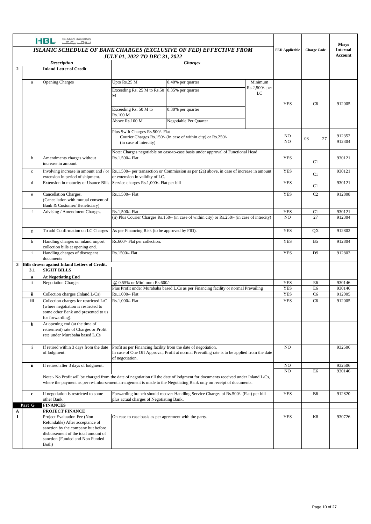|                | <b>ISLAMIC BANKING</b><br><b>HBL</b><br>$-5.5$                                                                                                                   |                                                                                                                                                                                         |                                                                                   |                                                                                                                                                                                                                                                        |                           |            |                    | <b>Misys</b>               |
|----------------|------------------------------------------------------------------------------------------------------------------------------------------------------------------|-----------------------------------------------------------------------------------------------------------------------------------------------------------------------------------------|-----------------------------------------------------------------------------------|--------------------------------------------------------------------------------------------------------------------------------------------------------------------------------------------------------------------------------------------------------|---------------------------|------------|--------------------|----------------------------|
|                | <b>ISLAMIC SCHEDULE OF BANK CHARGES (EXCLUSIVE OF FED) EFFECTIVE FROM</b><br><b>JULY 01, 2022 TO DEC 31, 2022</b><br><b>Description</b><br><b><i>Charges</i></b> |                                                                                                                                                                                         |                                                                                   |                                                                                                                                                                                                                                                        |                           |            | <b>Charge Code</b> | <b>Internal</b><br>Account |
|                |                                                                                                                                                                  | <b>Inland Letter of Credit</b>                                                                                                                                                          |                                                                                   |                                                                                                                                                                                                                                                        |                           |            |                    |                            |
| $\overline{2}$ |                                                                                                                                                                  |                                                                                                                                                                                         |                                                                                   |                                                                                                                                                                                                                                                        |                           |            |                    |                            |
|                |                                                                                                                                                                  |                                                                                                                                                                                         |                                                                                   |                                                                                                                                                                                                                                                        |                           |            |                    |                            |
|                | a                                                                                                                                                                | <b>Opening Charges</b>                                                                                                                                                                  | Upto Rs.25 M                                                                      | 0.40% per quarter                                                                                                                                                                                                                                      | Minimum<br>Rs.2,500/- per |            |                    |                            |
|                |                                                                                                                                                                  |                                                                                                                                                                                         | Exceeding Rs. $25$ M to Rs. $50$ 0.35% per quarter                                |                                                                                                                                                                                                                                                        | LC                        |            |                    |                            |
|                |                                                                                                                                                                  |                                                                                                                                                                                         | М                                                                                 |                                                                                                                                                                                                                                                        |                           |            |                    |                            |
|                |                                                                                                                                                                  |                                                                                                                                                                                         |                                                                                   |                                                                                                                                                                                                                                                        |                           | <b>YES</b> | C <sub>6</sub>     | 912005                     |
|                |                                                                                                                                                                  |                                                                                                                                                                                         | Exceeding Rs. 50 M to<br>Rs.100 M                                                 | 0.30% per quarter                                                                                                                                                                                                                                      |                           |            |                    |                            |
|                |                                                                                                                                                                  |                                                                                                                                                                                         | Above Rs.100 M                                                                    | Negotiable Per Quarter                                                                                                                                                                                                                                 |                           |            |                    |                            |
|                |                                                                                                                                                                  |                                                                                                                                                                                         | Plus Swift Charges Rs.500/- Flat                                                  |                                                                                                                                                                                                                                                        |                           |            |                    |                            |
|                |                                                                                                                                                                  |                                                                                                                                                                                         |                                                                                   | Courier Charges Rs.150/- (in case of within city) or Rs.250/-                                                                                                                                                                                          |                           | NO<br>NO   | 03<br>27           | 912352<br>912304           |
|                |                                                                                                                                                                  |                                                                                                                                                                                         | (in case of intercity)                                                            |                                                                                                                                                                                                                                                        |                           |            |                    |                            |
|                |                                                                                                                                                                  |                                                                                                                                                                                         |                                                                                   | Note: Charges negotiable on case-to-case basis under approval of Functional Head                                                                                                                                                                       |                           |            |                    |                            |
|                | b                                                                                                                                                                | Amendments charges without<br>increase in amount.                                                                                                                                       | Rs.1.500/- Flat                                                                   |                                                                                                                                                                                                                                                        |                           | <b>YES</b> | C1                 | 930121                     |
|                | $\mathbf c$                                                                                                                                                      | Involving increase in amount and / or                                                                                                                                                   |                                                                                   | Rs.1,500/- per transaction or Commission as per (2a) above, in case of increase in amount                                                                                                                                                              |                           | <b>YES</b> | C1                 | 930121                     |
|                |                                                                                                                                                                  | extension in period of shipment.                                                                                                                                                        | or extension in validity of LC.                                                   |                                                                                                                                                                                                                                                        |                           |            |                    |                            |
|                | d                                                                                                                                                                | Extension in maturity of Usance Bills                                                                                                                                                   | Service charges Rs.1,000/- Flat per bill                                          |                                                                                                                                                                                                                                                        |                           | <b>YES</b> | C1                 | 930121                     |
|                | $\rm e$                                                                                                                                                          | Cancellation Charges.                                                                                                                                                                   | Rs.1,500/- Flat                                                                   |                                                                                                                                                                                                                                                        |                           | <b>YES</b> | C <sub>2</sub>     | 912808                     |
|                |                                                                                                                                                                  | (Cancellation with mutual consent of<br>Bank & Customer/Beneficiary)                                                                                                                    |                                                                                   |                                                                                                                                                                                                                                                        |                           |            |                    |                            |
|                | f                                                                                                                                                                | Advising / Amendment Charges.                                                                                                                                                           | Rs.1,500/- Flat                                                                   |                                                                                                                                                                                                                                                        |                           | <b>YES</b> | C1                 | 930121                     |
|                |                                                                                                                                                                  |                                                                                                                                                                                         |                                                                                   | (ii) Plus Courier Charges Rs.150/- (in case of within city) or Rs.250/- (in case of intercity)                                                                                                                                                         |                           | NO.        | 27                 | 912304                     |
|                | g                                                                                                                                                                | To add Confirmation on LC Charges                                                                                                                                                       | As per Financing Risk (to be approved by FID).                                    |                                                                                                                                                                                                                                                        |                           | <b>YES</b> | QX                 | 912802                     |
|                | h                                                                                                                                                                | Handling charges on inland import<br>collection bills at opening end.                                                                                                                   | Rs.600/- Flat per collection.                                                     |                                                                                                                                                                                                                                                        |                           | <b>YES</b> | B <sub>5</sub>     | 912804                     |
|                | $\mathbf{i}$                                                                                                                                                     | Handling charges of discrepant<br>documents                                                                                                                                             | Rs.1500/- Flat                                                                    |                                                                                                                                                                                                                                                        |                           | <b>YES</b> | D <sub>9</sub>     | 912803                     |
|                | 3.1                                                                                                                                                              | 3 Bills drawn against Inland Letters of Credit.<br><b>SIGHT BILLS</b>                                                                                                                   |                                                                                   |                                                                                                                                                                                                                                                        |                           |            |                    |                            |
|                | a                                                                                                                                                                | <b>At Negotiating End</b>                                                                                                                                                               |                                                                                   |                                                                                                                                                                                                                                                        |                           |            |                    |                            |
|                | i.                                                                                                                                                               | <b>Negotiation Charges</b>                                                                                                                                                              | @ 0.55% or Minimum Rs.600/-                                                       |                                                                                                                                                                                                                                                        |                           | <b>YES</b> | E6                 | 930146                     |
|                |                                                                                                                                                                  |                                                                                                                                                                                         |                                                                                   | Plus Profit under Murabaha based L.Cs as per Financing facility or normal Prevailing                                                                                                                                                                   |                           | <b>YES</b> | E6                 | 930146                     |
|                | ii                                                                                                                                                               | Collection charges (Inland L/Cs)                                                                                                                                                        | Rs.1,000/- Flat                                                                   |                                                                                                                                                                                                                                                        |                           | <b>YES</b> | C <sub>6</sub>     | 912005                     |
|                | iii                                                                                                                                                              | Collection charges for restricted L/C<br>(where negotiation is restricted to<br>some other Bank and presented to us<br>for forwarding).                                                 | Rs.1,000/- Flat                                                                   |                                                                                                                                                                                                                                                        |                           | <b>YES</b> | C <sub>6</sub>     | 912005                     |
|                | b                                                                                                                                                                | At opening end (at the time of<br>retirement) rate of Charges or Profit<br>rate under Murabaha based L.Cs                                                                               |                                                                                   |                                                                                                                                                                                                                                                        |                           |            |                    |                            |
|                | i.                                                                                                                                                               | If retired within 3 days from the date<br>of lodgment.                                                                                                                                  | Profit as per Financing facility from the date of negotiation.<br>of negotiation. | In case of One Off Approval, Profit at normal Prevailing rate is to be applied from the date                                                                                                                                                           |                           | NO         |                    | 932506                     |
|                | ii                                                                                                                                                               | If retired after 3 days of lodgment.                                                                                                                                                    |                                                                                   |                                                                                                                                                                                                                                                        |                           | NO         |                    | 932506                     |
|                |                                                                                                                                                                  |                                                                                                                                                                                         |                                                                                   |                                                                                                                                                                                                                                                        |                           | NO         | E6                 | 930146                     |
|                |                                                                                                                                                                  |                                                                                                                                                                                         |                                                                                   | Note:- No Profit will be charged from the date of negotiation till the date of lodgment for documents received under Inland L/Cs,<br>where the payment as per re-imbursement arrangement is made to the Negotiating Bank only on receipt of documents. |                           |            |                    |                            |
|                | $\mathbf c$                                                                                                                                                      | If negotiation is restricted to some<br>other Bank.                                                                                                                                     | plus actual charges of Negotiating Bank.                                          | Forwarding branch should recover Handling Service Charges of Rs.500/- (Flat) per bill                                                                                                                                                                  |                           | <b>YES</b> | B <sub>6</sub>     | 912820                     |
|                | Part G                                                                                                                                                           | <b>FINANCES</b>                                                                                                                                                                         |                                                                                   |                                                                                                                                                                                                                                                        |                           |            |                    |                            |
| A              |                                                                                                                                                                  | <b>PROJECT FINANCE</b>                                                                                                                                                                  |                                                                                   |                                                                                                                                                                                                                                                        |                           |            |                    |                            |
| $\mathbf{1}$   |                                                                                                                                                                  | Project Evaluation Fee (Non<br>Refundable) After acceptance of<br>sanction by the company but before<br>disbursement of the total amount of<br>sanction (Funded and Non Funded<br>Both) | On case to case basis as per agreement with the party.                            |                                                                                                                                                                                                                                                        |                           | <b>YES</b> | K8                 | 930726                     |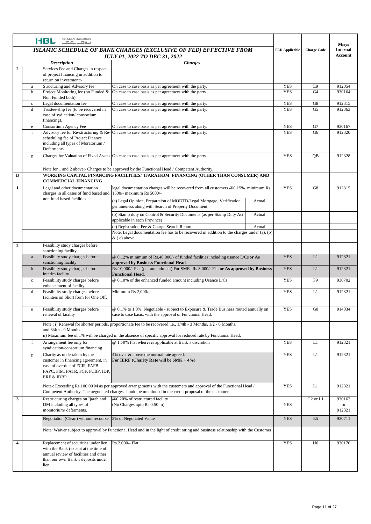|              |             | <b>ISLAMIC BANKING</b><br><b>HBL</b><br>$E_{\rm max}$ $E_{\rm min}$                                                                                                  |                                                                                                                                                                                                                                         |                    |                                   |                                  | <b>Misys</b>          |
|--------------|-------------|----------------------------------------------------------------------------------------------------------------------------------------------------------------------|-----------------------------------------------------------------------------------------------------------------------------------------------------------------------------------------------------------------------------------------|--------------------|-----------------------------------|----------------------------------|-----------------------|
|              |             | ISLAMIC SCHEDULE OF BANK CHARGES (EXCLUSIVE OF FED) EFFECTIVE FROM<br><b>JULY 01, 2022 TO DEC 31, 2022</b>                                                           | <b>FED Applicable</b>                                                                                                                                                                                                                   | <b>Charge Code</b> | <b>Internal</b><br><b>Account</b> |                                  |                       |
|              |             | <b>Description</b>                                                                                                                                                   |                                                                                                                                                                                                                                         |                    |                                   |                                  |                       |
| $\mathbf{2}$ |             | Services Fee and Charges in respect<br>of project financing in addition to<br>return on investment:-                                                                 |                                                                                                                                                                                                                                         |                    |                                   |                                  |                       |
|              | a           | Structuring and Advisory fee                                                                                                                                         | On case to case basis as per agreement with the party.                                                                                                                                                                                  |                    | <b>YES</b>                        | E <sub>9</sub>                   | 912054                |
|              | b           | Project Monitoring fee (on Funded &<br>Non Funded both)                                                                                                              | On case to case basis as per agreement with the party.                                                                                                                                                                                  |                    | <b>YES</b>                        | G <sub>4</sub>                   | 930164                |
|              | $\rm c$     | Legal documentation fee                                                                                                                                              | On case to case basis as per agreement with the party.                                                                                                                                                                                  |                    | <b>YES</b>                        | G8                               | 912315                |
|              | d           | Trustee-ship fee (to be recovered in<br>case of sydication/consortium<br>financing).                                                                                 | On case to case basis as per agreement with the party.                                                                                                                                                                                  |                    | <b>YES</b>                        | G <sub>5</sub>                   | 912363                |
|              | e           | Consortium Agency Fee                                                                                                                                                | On case to case basis as per agreement with the party.                                                                                                                                                                                  |                    | <b>YES</b>                        | G7                               | 930167                |
|              | f           | Advisory fee for Re-structuring & Re-<br>scheduling fee of Project Finance<br>including all types of Moratorium /<br>Deferments.                                     | On case to case basis as per agreement with the party.                                                                                                                                                                                  |                    | <b>YES</b>                        | G <sub>6</sub>                   | 912320                |
|              | g           |                                                                                                                                                                      | Charges for Valuation of Fixed Assets On case to case basis as per agreement with the party.                                                                                                                                            | <b>YES</b>         | OB                                | 912328                           |                       |
|              |             |                                                                                                                                                                      | Note for 1 and 2 above:- Charges to be approved by the Functional Head / Competent Authority.                                                                                                                                           |                    |                                   |                                  |                       |
| B            |             |                                                                                                                                                                      | WORKING CAPITAL FINANCING FACILITIES/ IJARAH/DM_FINANCING (OTHER THAN CONSUMER) AND                                                                                                                                                     |                    |                                   |                                  |                       |
|              |             | <b>COMMERCIAL FINANCING</b>                                                                                                                                          |                                                                                                                                                                                                                                         |                    |                                   |                                  |                       |
| 1            |             | Legal and other documentation<br>charges in all cases of fund based and 1500/- maximum Rs 5000/-<br>non fund based facilities                                        | legal documentation charges will be recovered from all customers @0.15%. minimum Rs                                                                                                                                                     |                    | <b>YES</b>                        | G8                               | 912315                |
|              |             |                                                                                                                                                                      | (a) Legal Opinion, Preparation of MODTD/Legal Mortgage, Verification<br>genuineness along with Search of Property Document.                                                                                                             | Actual             |                                   |                                  |                       |
|              |             |                                                                                                                                                                      | (b) Stamp duty on Control & Security Documents (as per Stamp Duty Act<br>applicable in each Province)                                                                                                                                   | Actual             |                                   |                                  |                       |
|              |             |                                                                                                                                                                      | (c) Registration Fee & Charge Search Report.                                                                                                                                                                                            | Actual             |                                   |                                  |                       |
|              |             |                                                                                                                                                                      | Note: Legal documentation fee has to be recovered in addition to the charges under (a), (b)<br>$&$ (c) above.                                                                                                                           |                    |                                   |                                  |                       |
| $\mathbf{2}$ |             | Feasibilty study charges before<br>sanctioning facility                                                                                                              |                                                                                                                                                                                                                                         |                    |                                   |                                  |                       |
|              | a           | Feasibilty study charges before<br>sanctioning facility                                                                                                              | $@$ 0.12% minimum of Rs.40,000/- of funded facilities including usance L/Cs or As<br>approved by Business Functional Head.                                                                                                              |                    | <b>YES</b>                        | L1                               | 912321                |
|              | $\mathbf b$ | Feasibilty study charges before<br>interim facility                                                                                                                  | Rs.10,000/- Flat (per amendment) For SMEs Rs.3,000/- Flat or As approved by Business<br><b>Functional Head.</b>                                                                                                                         |                    | <b>YES</b>                        | L1                               | 912321                |
|              | $\rm c$     | Feasibility study charges before<br>enhancement of facility.                                                                                                         | @ 0.10% of the enhanced funded amount including Usance L/Cs.                                                                                                                                                                            |                    | <b>YES</b>                        | F <sub>9</sub>                   | 930702                |
|              | d           | Feasibility study charges before<br>facilities on Short form for One Off.                                                                                            | Minimum Rs.2,000/-                                                                                                                                                                                                                      |                    | <b>YES</b>                        | L1                               | 912321                |
|              | e           | Feasibility study charges before<br>renewal of facility                                                                                                              | @ 0.1% to 1.0%. Negotiable - subject to Exposure & Trade Business routed annually on<br>case to case basis, with the approval of Functional Head.                                                                                       |                    | <b>YES</b>                        | G <sub>0</sub>                   | 914034                |
|              |             | and 3/4th - 9 Months                                                                                                                                                 | Note : i) Renewal for shorter periods, proportionate fee to be recovered i.e., $1/4$ th - 3 Months, $1/2$ - 6 Months,<br>ii) Maximum fee of 1% will be charged in the absence of specific approval for reduced rate by Functional Head. |                    |                                   |                                  |                       |
|              | f           | Arrangement fee only for<br>syndication/consortium financing                                                                                                         | @ 1.50% Flat wherever applicable at Bank's discretion                                                                                                                                                                                   |                    | <b>YES</b>                        | L1                               | 912321                |
|              | g           | Charity as undertaken by the<br>customer in financing agreement, in<br>case of overdue of FCIF, FAFB,<br>FAPC, FIM, FATR, FCF, FCBP, IDP,<br>ERF & IDBP.             | 4% over & above the normal rate agreed.<br>For IERF (Charity Rate will be $6MK + 4\%$ )                                                                                                                                                 |                    | <b>YES</b>                        | L1                               | 912321                |
|              |             |                                                                                                                                                                      | Note-: Exceeding Rs.100.00 M as per approved arrangements with the customers and approval of the Functional Head /<br>Competent Authority. The negotiated charges should be mentioned in the credit proposal of the customer.           |                    | <b>YES</b>                        | L1                               | 912321                |
| 3            |             | Restructuring charges on Ijarah and                                                                                                                                  | @0.20% of restructured facility                                                                                                                                                                                                         |                    |                                   | G <sub>2</sub> or L <sub>1</sub> | 930162                |
|              |             | DM including all types of<br>moratorium/deferments.                                                                                                                  | (No Charges upto Rs 0.50 m)                                                                                                                                                                                                             |                    | <b>YES</b>                        |                                  | $\hbox{or}$<br>912321 |
|              |             | Negotiation (Clean) without recourse 2% of Negotiated Value                                                                                                          |                                                                                                                                                                                                                                         |                    | <b>YES</b>                        | E <sub>5</sub>                   | 930711                |
|              |             |                                                                                                                                                                      | Note: Waiver subject to approval by Functional Head and in the light of credit rating and business relationship with the Customer.                                                                                                      |                    |                                   |                                  |                       |
| 4            |             | Replacement of securities under lien<br>with the Bank (except at the time of<br>annual review of facilities and other<br>than our own Bank's deposits under<br>lien. | Rs.2,000/- Flat                                                                                                                                                                                                                         |                    | <b>YES</b>                        | H <sub>6</sub>                   | 930176                |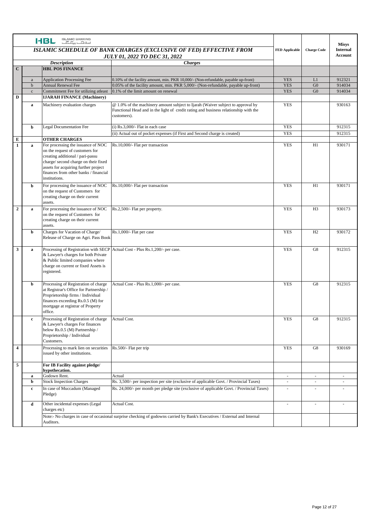|                  |                            | <b>ISLAMIC BANKING</b><br><b>HBL</b><br>$C_{\rm tot}$                    |                                                                                                                           |                          |                                  | <b>Misys</b>     |
|------------------|----------------------------|--------------------------------------------------------------------------|---------------------------------------------------------------------------------------------------------------------------|--------------------------|----------------------------------|------------------|
|                  |                            | ISLAMIC SCHEDULE OF BANK CHARGES (EXCLUSIVE OF FED) EFFECTIVE FROM       | <b>FED Applicable</b>                                                                                                     | <b>Charge Code</b>       | <b>Internal</b>                  |                  |
|                  |                            | <b>JULY 01, 2022 TO DEC 31, 2022</b>                                     |                                                                                                                           |                          | <b>Account</b>                   |                  |
| $\mathbf C$      |                            | <b>Description</b><br><b>HBL POS FINANCE</b>                             | <b>Charges</b>                                                                                                            |                          |                                  |                  |
|                  |                            |                                                                          |                                                                                                                           |                          |                                  |                  |
|                  | $\rm{a}$                   | <b>Application Processing Fee</b>                                        | 0.10% of the facility amount, min. PKR 10,000/- (Non-refundable, payable up-front)                                        | <b>YES</b>               | L1                               | 912321           |
|                  | $\mathbf b$<br>$\mathbf c$ | <b>Annual Renewal Fee</b><br>Commitment Fee for utilizing atleast        | 0.05% of the facility amount, min. PKR 5,000/- (Non-refundable, payable up-front)<br>0.1% of the limit amount on renewal  | <b>YES</b><br><b>YES</b> | G <sub>0</sub><br>G <sub>0</sub> | 914034<br>914034 |
| D                |                            | <b>IJARAH FINANCE (Machinery)</b>                                        |                                                                                                                           |                          |                                  |                  |
|                  | $\mathbf a$                | Machinery evaluation charges                                             | @ 1.0% of the machinery amount subject to Ijarah (Waiver subject to approval by                                           | <b>YES</b>               |                                  | 930163           |
|                  |                            |                                                                          | Functional Head and in the light of credit rating and business relationship with the                                      |                          |                                  |                  |
|                  |                            |                                                                          | customers).                                                                                                               |                          |                                  |                  |
|                  |                            |                                                                          |                                                                                                                           | <b>YES</b>               |                                  |                  |
|                  | b                          | <b>Legal Documentation Fee</b>                                           | $(i)$ Rs.3,000/- Flat in each case<br>(ii) Actual out of pocket expenses (if First and Second charge is created)          | <b>YES</b>               |                                  | 912315<br>912315 |
| ${\bf E}$        |                            | <b>OTHER CHARGES</b>                                                     |                                                                                                                           |                          |                                  |                  |
| $\mathbf{1}$     | a                          | For processing the issuance of NOC                                       | Rs.10,000/- Flat per transaction                                                                                          | <b>YES</b>               | H1                               | 930171           |
|                  |                            | on the request of customers for                                          |                                                                                                                           |                          |                                  |                  |
|                  |                            | creating additional / pari-passu<br>charge/ second charge on their fixed |                                                                                                                           |                          |                                  |                  |
|                  |                            | assets for acquiring further project                                     |                                                                                                                           |                          |                                  |                  |
|                  |                            | finances from other banks / financial                                    |                                                                                                                           |                          |                                  |                  |
|                  |                            | institutions.                                                            |                                                                                                                           |                          |                                  |                  |
|                  | b                          | For processing the issuance of NOC                                       | Rs.10,000/- Flat per transaction                                                                                          | <b>YES</b>               | H1                               | 930171           |
|                  |                            | on the request of Customers for<br>creating charge on their current      |                                                                                                                           |                          |                                  |                  |
|                  |                            | assets.                                                                  |                                                                                                                           |                          |                                  |                  |
| $\boldsymbol{2}$ | a                          | For processing the issuance of NOC                                       | Rs.2,500/- Flat per property.                                                                                             | <b>YES</b>               | H <sub>3</sub>                   | 930173           |
|                  |                            | on the request of Customers for                                          |                                                                                                                           |                          |                                  |                  |
|                  |                            | creating charge on their current<br>assets.                              |                                                                                                                           |                          |                                  |                  |
|                  | b                          | Charges for Vacation of Charge/                                          | Rs.1,000/- Flat per case                                                                                                  | <b>YES</b>               | H <sub>2</sub>                   | 930172           |
|                  |                            | Release of Charge on Agri. Pass Book                                     |                                                                                                                           |                          |                                  |                  |
|                  |                            |                                                                          |                                                                                                                           |                          |                                  |                  |
| 3                | a                          | & Lawyer's charges for both Private                                      | Processing of Registration with SECP Actual Cost - Plus Rs.1,200/- per case.                                              | <b>YES</b>               | G8                               | 912315           |
|                  |                            | & Public limited companies where                                         |                                                                                                                           |                          |                                  |                  |
|                  |                            | charge on current or fixed Assets is                                     |                                                                                                                           |                          |                                  |                  |
|                  |                            | registered.                                                              |                                                                                                                           |                          |                                  |                  |
|                  | b                          | Processing of Registration of charge                                     | Actual Cost - Plus Rs.1,000/- per case.                                                                                   | <b>YES</b>               | G8                               | 912315           |
|                  |                            | at Registrar's Office for Partnership /                                  |                                                                                                                           |                          |                                  |                  |
|                  |                            | Proprietorship firms / Individual                                        |                                                                                                                           |                          |                                  |                  |
|                  |                            | finances exceeding Rs.0.5 (M) for<br>mortgage at registrar of Property   |                                                                                                                           |                          |                                  |                  |
|                  |                            | office.                                                                  |                                                                                                                           |                          |                                  |                  |
|                  | c                          | Processing of Registration of charge                                     | Actual Cost.                                                                                                              | <b>YES</b>               | G8                               | 912315           |
|                  |                            | & Lawyer's charges For finances                                          |                                                                                                                           |                          |                                  |                  |
|                  |                            | below Rs.0.5 (M) Partnership /<br>Proprietorship / Individual            |                                                                                                                           |                          |                                  |                  |
|                  |                            | Customers.                                                               |                                                                                                                           |                          |                                  |                  |
| $\boldsymbol{4}$ |                            | Processing to mark lien on securities                                    | Rs.500/- Flat per trip                                                                                                    | <b>YES</b>               | G8                               | 930169           |
|                  |                            | issued by other institutions.                                            |                                                                                                                           |                          |                                  |                  |
| 5                |                            | For IB Facility against pledge/                                          |                                                                                                                           |                          |                                  |                  |
|                  |                            | hypothecation.                                                           |                                                                                                                           |                          |                                  |                  |
|                  | a                          | Godown Rent.                                                             | Actual                                                                                                                    | $\blacksquare$           | $\sim$                           | $\sim$           |
|                  | b                          | <b>Stock Inspection Charges</b>                                          | Rs. 3,500/- per inspection per site (exclusive of applicable Govt. / Provincial Taxes)                                    | $\overline{\phantom{a}}$ | $\overline{\phantom{a}}$         |                  |
|                  | $\mathbf c$                | In case of Muccadum (Managed<br>Pledge)                                  | Rs. 24,000/- per month per pledge site (exclusive of applicable Govt. / Provincial Taxes)                                 |                          |                                  |                  |
|                  | d                          | Other incidental expenses (Legal<br>charges etc)                         | Actual Cost.                                                                                                              | $\overline{\phantom{a}}$ | $\overline{\phantom{a}}$         |                  |
|                  |                            | Auditors.                                                                | Note:- No charges in case of occasional surprise checking of godowns carried by Bank's Executives / External and Internal |                          |                                  |                  |
|                  |                            |                                                                          |                                                                                                                           |                          |                                  |                  |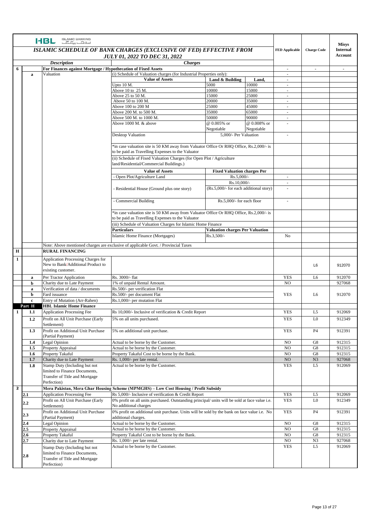|                |              | <b>ISLAMIC BANKING</b><br>HBL<br>$\underline{\overline{\mathbb{E}}\mathbb{E}}$                                                               |                                                                                                                                              |                                        |                    |                                   |                          | <b>Misys</b>             |
|----------------|--------------|----------------------------------------------------------------------------------------------------------------------------------------------|----------------------------------------------------------------------------------------------------------------------------------------------|----------------------------------------|--------------------|-----------------------------------|--------------------------|--------------------------|
|                |              | ISLAMIC SCHEDULE OF BANK CHARGES (EXCLUSIVE OF FED) EFFECTIVE FROM<br><b>JULY 01, 2022 TO DEC 31, 2022</b>                                   |                                                                                                                                              | <b>FED Applicable</b>                  | <b>Charge Code</b> | <b>Internal</b><br><b>Account</b> |                          |                          |
|                |              | <b>Description</b>                                                                                                                           |                                                                                                                                              |                                        |                    |                                   |                          |                          |
| 6              |              | For Finances against Mortgage / Hypothecation of Fixed Assets                                                                                |                                                                                                                                              |                                        |                    |                                   | $\overline{\phantom{a}}$ | $\overline{\phantom{a}}$ |
|                | a            | Valuation                                                                                                                                    | (i) Schedule of Valuation charges (for Industrial Properties only):                                                                          |                                        |                    | $\sim$                            |                          |                          |
|                |              |                                                                                                                                              | <b>Value of Assets</b>                                                                                                                       | Land & Building                        | Land,              | ÷,                                |                          |                          |
|                |              |                                                                                                                                              | Upto 10 M.                                                                                                                                   | 5000                                   | 10000              | $\omega$                          |                          |                          |
|                |              |                                                                                                                                              | Above 10 to 25 M.                                                                                                                            | 10000                                  | 15000              | $\overline{\phantom{a}}$          |                          |                          |
|                |              |                                                                                                                                              | Above 25 to 50 M.<br>Above 50 to 100 M.                                                                                                      | 15000<br>20000                         | 25000<br>35000     | $\sim$                            |                          |                          |
|                |              |                                                                                                                                              | Above 100 to 200 M                                                                                                                           | 25000                                  | 45000              | $\sim$                            |                          |                          |
|                |              |                                                                                                                                              | Above 200 M. to 500 M.                                                                                                                       | 35000                                  | 65000              |                                   |                          |                          |
|                |              |                                                                                                                                              | Above 500 M. to 1000 M.                                                                                                                      | 50000                                  | 90000              | $\sim$                            |                          |                          |
|                |              |                                                                                                                                              | Above 1000 M. & above                                                                                                                        | @ 0.005% or                            | @ 0.008% or        |                                   |                          |                          |
|                |              |                                                                                                                                              |                                                                                                                                              | Negotiable<br>5,000/- Per Valuation    | Negotiable         |                                   |                          |                          |
|                |              |                                                                                                                                              | Desktop Valuation                                                                                                                            |                                        |                    |                                   |                          |                          |
|                |              | *in case valuation site is 50 KM away from Valuator Office Or RHQ Office, Rs.2,000/- is<br>to be paid as Travelling Expenses to the Valuator |                                                                                                                                              |                                        |                    |                                   |                          |                          |
|                |              |                                                                                                                                              | (ii) Schedule of Fixed Valuation Charges (for Open Plot / Agriculture<br>land/Residential/Commercial Buildings.)                             |                                        |                    |                                   |                          |                          |
|                |              |                                                                                                                                              | <b>Value of Assets</b>                                                                                                                       | <b>Fixed Valuation charges Per</b>     |                    |                                   |                          |                          |
|                |              |                                                                                                                                              | Open Plot/Agriculture Land                                                                                                                   | Rs.5.000/-                             |                    | $\sim$                            |                          |                          |
|                |              |                                                                                                                                              |                                                                                                                                              | Rs.10,000/-                            |                    |                                   |                          |                          |
|                |              |                                                                                                                                              | Residential House (Ground plus one story)                                                                                                    | (Rs.5,000/- for each additional story) |                    | ÷.                                |                          |                          |
|                |              |                                                                                                                                              | Commercial Building                                                                                                                          | Rs.5,000/- for each floor              |                    | $\sim$                            |                          |                          |
|                |              |                                                                                                                                              | *in case valuation site is 50 KM away from Valuator Office Or RHQ Office, Rs.2,000/- is<br>to be paid as Travelling Expenses to the Valuator |                                        |                    |                                   |                          |                          |
|                |              |                                                                                                                                              | (iii) Schedule of Valuation Charges for Islamic Home Finance                                                                                 |                                        |                    |                                   |                          |                          |
|                |              |                                                                                                                                              | Particulars                                                                                                                                  | <b>Valuation charges Per Valuation</b> |                    |                                   |                          |                          |
|                |              |                                                                                                                                              | Islamic Home Finance (Mortgages)                                                                                                             | Rs.3,500/-                             |                    | No                                |                          |                          |
|                |              |                                                                                                                                              | Note: Above mentioned charges are exclusive of applicable Govt. / Provincial Taxes                                                           |                                        |                    |                                   |                          |                          |
| $\mathbf H$    |              | <b>RURAL FINANCING</b>                                                                                                                       |                                                                                                                                              |                                        |                    |                                   |                          |                          |
| 1              |              | <b>Application Processing Charges for</b><br>New to Bank/Additional Product to                                                               |                                                                                                                                              |                                        |                    |                                   | L6                       | 912070                   |
|                | a            | existing customer.<br>Per Tractor Application                                                                                                | Rs. 3000/- flat                                                                                                                              |                                        |                    | <b>YES</b>                        | L6                       | 912070                   |
|                | b            | Charity due to Late Payment                                                                                                                  | 1% of unpaid Rental Amount.                                                                                                                  |                                        |                    | N <sub>O</sub>                    |                          | 927068                   |
|                | a            | Verification of data / documents                                                                                                             | Rs.500/- per verification Flat                                                                                                               |                                        |                    |                                   |                          |                          |
|                | b            | Fard issuance                                                                                                                                | Rs.500/- per document Flat                                                                                                                   |                                        |                    | <b>YES</b>                        | L6                       | 912070                   |
|                | $\mathbf{c}$ | Entry of Mutation (Arr-Rahen)                                                                                                                | Rs.1,000/- per mutation Flat                                                                                                                 |                                        |                    |                                   |                          |                          |
|                | Part H       | <b>HBL Islamic Home Finance</b>                                                                                                              |                                                                                                                                              |                                        |                    |                                   |                          |                          |
| 1              | 1.1          | <b>Application Processing Fee</b>                                                                                                            | Rs 10,000/- Inclusive of verification & Credit Report                                                                                        |                                        |                    | <b>YES</b>                        | L <sub>5</sub>           | 912069                   |
|                | 1.2          | Profit on All Unit Purchase (Early<br>Settlement)                                                                                            | 5% on all units purchased.                                                                                                                   |                                        |                    | <b>YES</b>                        | L <sub>0</sub>           | 912349                   |
|                | 1.3          | Profit on Additional Unit Purchase<br>(Partial Payment)                                                                                      | 5% on additional unit purchase.                                                                                                              |                                        |                    | <b>YES</b>                        | <b>P4</b>                | 912391                   |
|                | 1.4<br>1.5   | Legal Opinion<br>Property Appraisal                                                                                                          | Actual to be borne by the Customer.<br>Actual to be borne by the Customer.                                                                   |                                        |                    | N <sub>O</sub><br>NO              | G8<br>G8                 | 912315<br>912315         |
|                | 1.6          | Property Takaful                                                                                                                             | Property Takaful Cost to be borne by the Bank.                                                                                               |                                        |                    | NO                                | G8                       | 912315                   |
|                | 1.7          | Charity due to Late Payment                                                                                                                  | Rs. 1,000/- per late rental.                                                                                                                 |                                        |                    | NO                                | N <sub>3</sub>           | 927068                   |
|                | 1.8          | Stamp Duty (Including but not<br>limited to Finance Documents,<br>Transfer of Title and Mortgage<br>Perfection)                              | Actual to be borne by the Customer.                                                                                                          |                                        |                    | <b>YES</b>                        | L5                       | 912069                   |
| $\overline{2}$ |              |                                                                                                                                              | Mera Pakistan, Mera Ghar Housing Scheme (MPMGHS) – Low Cost Housing / Profit Subsidy                                                         |                                        |                    |                                   |                          |                          |
|                | 2.1          | <b>Application Processing Fee</b>                                                                                                            | Rs 5,000/- Inclusive of verification & Credit Report                                                                                         |                                        |                    | <b>YES</b>                        | L5                       | 912069                   |
|                | 2.2          | Profit on All Unit Purchase (Early<br>Settlement)                                                                                            | 0% profit on all units purchased. Outstanding principal/ units will be sold at face value i.e.<br>No additional charges                      |                                        |                    | <b>YES</b>                        | L <sub>0</sub>           | 912349                   |
|                | 2.3          | Profit on Additional Unit Purchase<br>(Partial Payment)                                                                                      | 0% profit on additional unit purchase. Units will be sold by the bank on face value i.e. No<br>additional charges.                           |                                        |                    | <b>YES</b>                        | <b>P4</b>                | 912391                   |
|                | 2.4          | Legal Opinion                                                                                                                                | Actual to be borne by the Customer.                                                                                                          |                                        |                    | N <sub>O</sub>                    | G8                       | 912315                   |
|                | 2.5          | Property Appraisal                                                                                                                           | Actual to be borne by the Customer.                                                                                                          |                                        |                    | NO                                | G8                       | 912315                   |
|                | 2.6          | Property Takaful                                                                                                                             | Property Takaful Cost to be borne by the Bank.                                                                                               |                                        |                    | NO.                               | G8                       | 912315                   |
|                | 2.7          | Charity due to Late Payment                                                                                                                  | Rs. 1,000/- per late rental.                                                                                                                 |                                        |                    | NO                                | N3                       | 927068                   |
|                | 2.8          | Stamp Duty (Including but not<br>limited to Finance Documents,<br>Transfer of Title and Mortgage                                             | Actual to be borne by the Customer.                                                                                                          |                                        |                    | <b>YES</b>                        | L <sub>5</sub>           | 912069                   |
|                |              | Perfection)                                                                                                                                  |                                                                                                                                              |                                        |                    |                                   |                          |                          |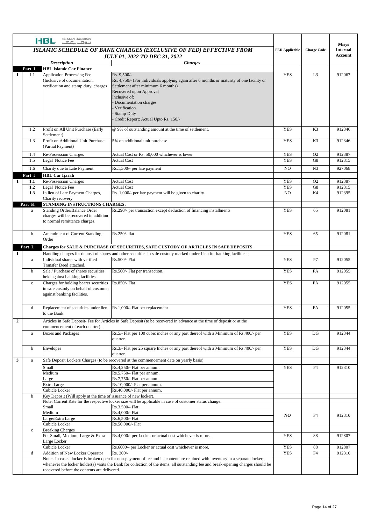|              |             | <b>ISLAMIC BANKING</b><br><b>HBL</b><br>اسلاهات بنگا گ                                                                                   |                                                                                                                                                                                                                                                                                                  |                    |                                   | <b>Misys</b> |
|--------------|-------------|------------------------------------------------------------------------------------------------------------------------------------------|--------------------------------------------------------------------------------------------------------------------------------------------------------------------------------------------------------------------------------------------------------------------------------------------------|--------------------|-----------------------------------|--------------|
|              |             | ISLAMIC SCHEDULE OF BANK CHARGES (EXCLUSIVE OF FED) EFFECTIVE FROM<br><b>JULY 01, 2022 TO DEC 31, 2022</b>                               | <b>FED Applicable</b>                                                                                                                                                                                                                                                                            | <b>Charge Code</b> | <b>Internal</b><br><b>Account</b> |              |
|              |             | <b>Description</b>                                                                                                                       |                                                                                                                                                                                                                                                                                                  |                    |                                   |              |
|              | Part I      | <b>HBL Islamic Car Finance</b>                                                                                                           |                                                                                                                                                                                                                                                                                                  |                    |                                   |              |
| 1            | 1.1         | <b>Application Processing Fee</b><br>(Inclusive of documentation,<br>verification and stamp duty charges                                 | Rs. 9,500/-<br>Rs. 4,750/- (For individuals applying again after 6 months or maturity of one facility or<br>Settlement after minimum 6 months)<br>Recovered upon Approval<br>Inclusive of:<br>Documentation charges<br>Verification<br><b>Stamp Duty</b><br>Credit Report: Actual Upto Rs. 150/- | <b>YES</b>         | L <sub>3</sub>                    | 912067       |
|              | 1.2         | Profit on All Unit Purchase (Early<br>Settlement)                                                                                        | @ 9% of outstanding amount at the time of settlement.                                                                                                                                                                                                                                            | <b>YES</b>         | K3                                | 912346       |
|              | 1.3         | Profit on Additional Unit Purchase<br>(Partial Payment)                                                                                  | 5% on additional unit purchase                                                                                                                                                                                                                                                                   | <b>YES</b>         | K <sub>3</sub>                    | 912346       |
|              | 1.4         | Re-Possession Charges                                                                                                                    | Actual Cost or Rs. 50,000 whichever is lower                                                                                                                                                                                                                                                     | <b>YES</b>         | O <sub>2</sub>                    | 912387       |
|              | 1.5         | Legal Notice Fee                                                                                                                         | <b>Actual Cost</b>                                                                                                                                                                                                                                                                               | <b>YES</b>         | G8                                | 912315       |
|              | 1.6         | Charity due to Late Payment                                                                                                              | Rs.1,300/- per late payment                                                                                                                                                                                                                                                                      | N <sub>O</sub>     | N <sub>3</sub>                    | 927068       |
|              | Part J      | <b>HBL Car Ijarah</b>                                                                                                                    |                                                                                                                                                                                                                                                                                                  |                    |                                   |              |
| $\mathbf{1}$ | 1.1         | Re-Possession Charges                                                                                                                    | <b>Actual Cost</b>                                                                                                                                                                                                                                                                               | <b>YES</b>         | O <sub>2</sub>                    | 912387       |
|              | 1,2         | Legal Notice Fee                                                                                                                         | <b>Actual Cost</b>                                                                                                                                                                                                                                                                               | <b>YES</b>         | G8                                | 912315       |
|              | 1.3         | In lieu of Late Payment Charges,<br>Charity recovery                                                                                     | Rs. 1,000/- per late payment will be given to charity.                                                                                                                                                                                                                                           | NO.                | K4                                | 912395       |
|              | Part K<br>a | STANDING INSTRUCTIONS CHARGES:<br>Standing Order/Balance Order<br>charges will be recovered in addition<br>to normal remittance charges. | Rs.290/- per transaction except deduction of financing installments                                                                                                                                                                                                                              | <b>YES</b>         | 65                                | 912081       |
|              | b           | Amendment of Current Standing<br>Order                                                                                                   | Rs.250/- flat                                                                                                                                                                                                                                                                                    | <b>YES</b>         | 65                                | 912081       |
|              | Part L      |                                                                                                                                          | Charges for SALE & PURCHASE OF SECURITIES, SAFE CUSTODY OF ARTICLES IN SAFE DEPOSITS                                                                                                                                                                                                             |                    |                                   |              |
| 1            |             |                                                                                                                                          | Handling charges for deposit of shares and other securities in safe custody marked under Lien for banking facilities:-                                                                                                                                                                           |                    |                                   |              |
|              | a           | Individual shares with verified<br>Transfer Deed attached.                                                                               | Rs.500/- Flat                                                                                                                                                                                                                                                                                    | <b>YES</b>         | P7                                | 912055       |
|              | $\mathbf b$ | Sale / Purchase of shares securities<br>held against banking facilities.                                                                 | Rs.500/- Flat per transaction.                                                                                                                                                                                                                                                                   | <b>YES</b>         | FA                                | 912055       |
|              | $\mathbf c$ | Charges for holding bearer securities<br>in safe custody on behalf of customer<br>against banking facilities.                            | Rs.850/- Flat                                                                                                                                                                                                                                                                                    | <b>YES</b>         | <b>FA</b>                         | 912055       |
|              | d           | Replacement of securities under lien<br>to the Bank.                                                                                     | Rs.1,000/- Flat per replacement                                                                                                                                                                                                                                                                  | <b>YES</b>         | FA                                | 912055       |
| $\mathbf 2$  |             | commencement of each quarter).                                                                                                           | Articles in Safe Deposit- Fee for Articles in Safe Deposit (to be recovered in advance at the time of deposit or at the                                                                                                                                                                          |                    |                                   |              |
|              | a           | <b>Boxes</b> and Packages                                                                                                                | Rs.5/- Flat per 100 cubic inches or any part thereof with a Minimum of Rs.400/- per<br>quarter.                                                                                                                                                                                                  | <b>YES</b>         | DG                                | 912344       |
|              | b           | Envelopes                                                                                                                                | Rs.3/- Flat per 25 square Inches or any part thereof with a Minimum of Rs.400/- per<br>quarter.                                                                                                                                                                                                  | <b>YES</b>         | DG                                | 912344       |
| 3            | $\rm{a}$    |                                                                                                                                          | Safe Deposit Lockers Charges (to be recovered at the commencement date on yearly basis)                                                                                                                                                                                                          |                    |                                   |              |
|              |             | Small                                                                                                                                    | Rs.4,250/- Flat per annum.                                                                                                                                                                                                                                                                       | <b>YES</b>         | F4                                | 912310       |
|              |             | Medium                                                                                                                                   | Rs.5,750/- Flat per annum.                                                                                                                                                                                                                                                                       |                    |                                   |              |
|              |             | Large<br>Extra Large                                                                                                                     | Rs.7,750/- Flat per annum.<br>Rs.10,000/- Flat per annum.                                                                                                                                                                                                                                        |                    |                                   |              |
|              |             | Cubicle Locker                                                                                                                           | Rs.40,000/- Flat per annum.                                                                                                                                                                                                                                                                      |                    |                                   |              |
|              | b           | Key Deposit (Will apply at the time of issuance of new locker).                                                                          |                                                                                                                                                                                                                                                                                                  |                    |                                   |              |
|              |             |                                                                                                                                          | Note: Current Rate for the respective locker size will be applicable in case of customer status change.                                                                                                                                                                                          |                    |                                   |              |
|              |             | Small                                                                                                                                    | Rs.3,500/- Flat                                                                                                                                                                                                                                                                                  |                    |                                   |              |
|              |             | Medium<br>Large/Extra Large                                                                                                              | Rs.4,000/- Flat<br>Rs.6,500/- Flat                                                                                                                                                                                                                                                               | NO.                | F4                                | 912310       |
|              |             | Cubicle Locker                                                                                                                           | Rs.50,000/- Flat                                                                                                                                                                                                                                                                                 |                    |                                   |              |
|              | $\mathbf c$ | <b>Breaking Charges</b>                                                                                                                  |                                                                                                                                                                                                                                                                                                  |                    |                                   |              |
|              |             | For Small, Medium, Large & Extra<br>Large Locker                                                                                         | Rs.4,000/- per Locker or actual cost whichever is more.                                                                                                                                                                                                                                          | <b>YES</b>         | 88                                | 912807       |
|              |             | Cubicle Locker                                                                                                                           | Rs.6000/- per Locker or actual cost whichever is more.                                                                                                                                                                                                                                           | <b>YES</b>         | 88                                | 912807       |
|              | d           | Addition of New Locker Operator                                                                                                          | Rs. 300/-<br>Note:- In case a locker is broken open for non-payment of fee and its content are retained with inventory in a separate locker,                                                                                                                                                     | <b>YES</b>         | F <sub>4</sub>                    | 912310       |
|              |             | recovered before the contents are delivered.                                                                                             | whenever the locker holder(s) visits the Bank for collection of the items, all outstanding fee and break-opening charges should be                                                                                                                                                               |                    |                                   |              |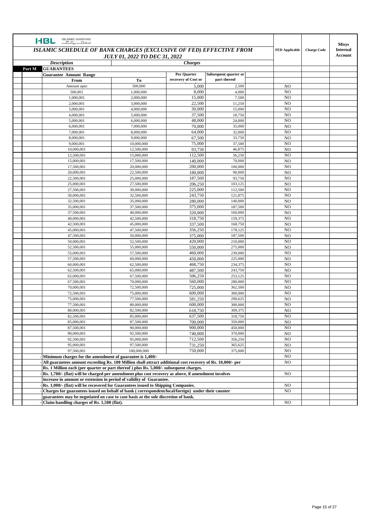| <b>ISLAMIC BANKING</b><br><b>HBL</b><br><u>, E E., , G II.,</u>                                                                                    |                          |                     |                       |                                  |                    | <b>Misys</b>               |
|----------------------------------------------------------------------------------------------------------------------------------------------------|--------------------------|---------------------|-----------------------|----------------------------------|--------------------|----------------------------|
| ISLAMIC SCHEDULE OF BANK CHARGES (EXCLUSIVE OF FED) EFFECTIVE FROM<br><b>JULY 01, 2022 TO DEC 31, 2022</b><br><b>Description</b><br><b>Charges</b> |                          |                     |                       | <b>FED Applicable</b>            | <b>Charge Code</b> | <b>Internal</b><br>Account |
|                                                                                                                                                    |                          |                     |                       |                                  |                    |                            |
| Part M<br><b>GUARANTEES</b>                                                                                                                        |                          |                     |                       |                                  |                    |                            |
| <b>Guarantee Amount Range</b>                                                                                                                      |                          | Per Quarter         | Subsequent quarter or |                                  |                    |                            |
| From                                                                                                                                               | To                       | recovery of Cost or | part thereof          |                                  |                    |                            |
| Amount upto                                                                                                                                        | 500,000                  | 5,000               | 2,500                 | N <sub>O</sub>                   |                    |                            |
| 500,001                                                                                                                                            | 1,000,000                | 8,000               | 4,000                 | N <sub>O</sub>                   |                    |                            |
| 1.000.001                                                                                                                                          | 2,000,000                | 15,000              | 7,500                 | N <sub>O</sub>                   |                    |                            |
| 2,000,001                                                                                                                                          | 3,000,000                | 22,500              | 11,250                | N <sub>O</sub>                   |                    |                            |
| 3,000,001                                                                                                                                          | 4,000,000                | 30,000              | 15,000                | N <sub>O</sub>                   |                    |                            |
| 4,000,001                                                                                                                                          | 5,000,000                | 37,500              | 18,750                | N <sub>O</sub>                   |                    |                            |
| 5,000,001                                                                                                                                          | 6,000,000                | 48,000              | 24,000                | N <sub>O</sub>                   |                    |                            |
| 6,000,001                                                                                                                                          | 7,000,000                | 70,000              | 35,000                | N <sub>O</sub>                   |                    |                            |
| 7,000,001                                                                                                                                          | 8,000,000                | 64,000              | 32,000                | N <sub>O</sub>                   |                    |                            |
| 8,000,001                                                                                                                                          | 9,000,000                | 67,500              | 33,750                | N <sub>O</sub>                   |                    |                            |
| 9,000,001                                                                                                                                          | 10,000,000               | 75,000              | 37,500                | N <sub>O</sub>                   |                    |                            |
| 10,000,001                                                                                                                                         | 12,500,000               | 93,750              | 46,875                | N <sub>O</sub>                   |                    |                            |
| 12,500,001                                                                                                                                         | 15,000,000               | 112,500             | 56,250                | N <sub>O</sub>                   |                    |                            |
| 15,000,001                                                                                                                                         | 17,500,000               | 140,000             | 70,000                | N <sub>O</sub>                   |                    |                            |
| 17,500,001                                                                                                                                         | 20,000,000               | 200,000             | 100,000               | N <sub>O</sub>                   |                    |                            |
| 20,000,001                                                                                                                                         | 22,500,000               | 180,000             | 90,000                | N <sub>O</sub>                   |                    |                            |
| 22,500,001                                                                                                                                         | 25,000,000               | 187,500             | 93,750                | N <sub>O</sub>                   |                    |                            |
| 25,000,001                                                                                                                                         | 27,500,000               | 206,250             | 103,125               | N <sub>O</sub>                   |                    |                            |
| 27,500,001                                                                                                                                         | 30,000,000               | 225,000             | 112,500               | N <sub>O</sub>                   |                    |                            |
| 30,000,001<br>32,500,001                                                                                                                           | 32,500,000<br>35,000,000 | 243,750<br>280,000  | 121,875<br>140,000    | N <sub>O</sub><br>N <sub>O</sub> |                    |                            |
| 35,000,001                                                                                                                                         | 37,500,000               | 375,000             | 187,500               | N <sub>O</sub>                   |                    |                            |
| 37,500,001                                                                                                                                         | 40,000,000               | 320,000             | 160,000               | N <sub>O</sub>                   |                    |                            |
| 40,000,001                                                                                                                                         | 42,500,000               | 318,750             | 159,375               | N <sub>O</sub>                   |                    |                            |
| 42,500,001                                                                                                                                         | 45,000,000               | 337,500             | 168,750               | N <sub>O</sub>                   |                    |                            |
| 45,000,001                                                                                                                                         | 47,500,000               | 356,250             | 178,125               | N <sub>O</sub>                   |                    |                            |
| 47,500,001                                                                                                                                         | 50,000,000               | 375,000             | 187,500               | N <sub>O</sub>                   |                    |                            |
| 50,000,001                                                                                                                                         | 52,500,000               | 420,000             | 210,000               | N <sub>O</sub>                   |                    |                            |
| 52,500,001                                                                                                                                         | 55,000,000               | 550,000             | 275,000               | N <sub>O</sub>                   |                    |                            |
| 55,000,001                                                                                                                                         | 57,500,000               | 460,000             | 230,000               | N <sub>O</sub>                   |                    |                            |
| 57,500,001                                                                                                                                         | 60,000,000               | 450,000             | 225,000               | N <sub>O</sub>                   |                    |                            |
| 60,000,001                                                                                                                                         | 62,500,000               | 468,750             | 234,375               | N <sub>O</sub>                   |                    |                            |
| 62,500,001                                                                                                                                         | 65,000,000               | 487,500             | 243,750               | N <sub>O</sub>                   |                    |                            |
| 65,000,001                                                                                                                                         | 67,500,000               | 506,250             | 253,125               | N <sub>O</sub>                   |                    |                            |
| 67,500,001                                                                                                                                         | 70,000,000               | 560,000             | 280,000               | NO                               |                    |                            |
| 70,000,001                                                                                                                                         | 72,500,000               | 725,000             | 362,500               | N <sub>O</sub>                   |                    |                            |
| 72,500,001                                                                                                                                         | 75,000,000               | 600,000             | 300,000               | N <sub>O</sub>                   |                    |                            |
| 75,000,001                                                                                                                                         | 77,500,000               | 581,250             | 290,625               | N <sub>O</sub>                   |                    |                            |
| 77,500,001                                                                                                                                         | 80,000,000               | 600,000             | 300,000               | N <sub>O</sub>                   |                    |                            |
| 80,000,001                                                                                                                                         | 82,500,000               | 618,750             | 309,375               | N <sub>O</sub>                   |                    |                            |
| 82,500,001                                                                                                                                         | 85,000,000               | 637,500             | 318,750               | NO                               |                    |                            |
| 85,000,001                                                                                                                                         | 87,500,000               | 700,000             | 350,000               | NO                               |                    |                            |
| 87,500,001                                                                                                                                         | 90,000,000               | 900,000             | 450,000               | NO                               |                    |                            |
| 90,000,001                                                                                                                                         | 92,500,000               | 740,000             | 370,000               | NO                               |                    |                            |
| 92,500,001                                                                                                                                         | 95,000,000<br>97,500,000 | 712,500             | 356,250               | NO                               |                    |                            |
| 95,000,001<br>97,500,001                                                                                                                           | 100,000,000              | 731,250<br>750,000  | 365,625<br>375,000    | NO                               |                    |                            |
| Minimum charges for the amendment of guarantee is 1,400/-                                                                                          |                          |                     |                       | NO<br>NO                         |                    |                            |
| All guarantees amount exceeding Rs. 100 Million shall attract additional cost recovery of Rs. 10,000/- per                                         |                          |                     |                       | NO.                              |                    |                            |
| Rs. 1 Million each (per quarter or part thereof) plus Rs. 5,000/- subsequent charges.                                                              |                          |                     |                       |                                  |                    |                            |
| Rs. 1,700/- (flat) will be charged per amendment plus cost recovery as above, if amendment involves                                                |                          |                     |                       | NO                               |                    |                            |
| increase in amount or extension in period of validity of Guarantee.                                                                                |                          |                     |                       |                                  |                    |                            |
| Rs. 1,000/- (flat) will be recovered for Guarantees issued to Shipping Companies.                                                                  |                          |                     |                       | NO                               |                    |                            |
| Charges for guarantees issued on behalf of bank (correspondent/local/foreign) under their counter                                                  |                          |                     |                       | NO                               |                    |                            |
| guarantees may be negotiated on case to case basis at the sole discretion of bank.                                                                 |                          |                     |                       |                                  |                    |                            |
| Claim handling charges of Rs. 1,500 (flat).                                                                                                        |                          |                     |                       | NO                               |                    |                            |
|                                                                                                                                                    |                          |                     |                       |                                  |                    |                            |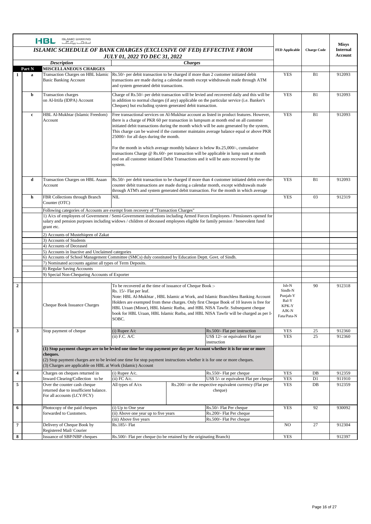|                         |             | <b>ISLAMIC BANKING</b><br><b>HBL</b><br>اسلامات بہائے ا                                                                                                    |                                                                                                                                                                                                                                                                                                                                                                                                                                                                                                                                                                                                                                                                                                          |                                                                                                                         |                                                                                                                                                                                                                                                                                                                                                       |                                                                        |                    | <b>Misys</b>               |
|-------------------------|-------------|------------------------------------------------------------------------------------------------------------------------------------------------------------|----------------------------------------------------------------------------------------------------------------------------------------------------------------------------------------------------------------------------------------------------------------------------------------------------------------------------------------------------------------------------------------------------------------------------------------------------------------------------------------------------------------------------------------------------------------------------------------------------------------------------------------------------------------------------------------------------------|-------------------------------------------------------------------------------------------------------------------------|-------------------------------------------------------------------------------------------------------------------------------------------------------------------------------------------------------------------------------------------------------------------------------------------------------------------------------------------------------|------------------------------------------------------------------------|--------------------|----------------------------|
|                         |             | ISLAMIC SCHEDULE OF BANK CHARGES (EXCLUSIVE OF FED) EFFECTIVE FROM                                                                                         | <b>JULY 01, 2022 TO DEC 31, 2022</b>                                                                                                                                                                                                                                                                                                                                                                                                                                                                                                                                                                                                                                                                     |                                                                                                                         |                                                                                                                                                                                                                                                                                                                                                       | <b>FED Applicable</b>                                                  | <b>Charge Code</b> | <b>Internal</b><br>Account |
|                         |             | <b>Description</b>                                                                                                                                         |                                                                                                                                                                                                                                                                                                                                                                                                                                                                                                                                                                                                                                                                                                          | <b>Charges</b>                                                                                                          |                                                                                                                                                                                                                                                                                                                                                       |                                                                        |                    |                            |
|                         | Part N      | <b>MISCELLANEOUS CHARGES</b>                                                                                                                               |                                                                                                                                                                                                                                                                                                                                                                                                                                                                                                                                                                                                                                                                                                          |                                                                                                                         |                                                                                                                                                                                                                                                                                                                                                       |                                                                        |                    |                            |
| 1                       | a           | Transaction Charges on HBL Islamic<br><b>Basic Banking Account</b>                                                                                         | Rs.50/- per debit transaction to be charged if more than 2 customer initiated debit<br>and system generated debit transactions.                                                                                                                                                                                                                                                                                                                                                                                                                                                                                                                                                                          |                                                                                                                         | transactions are made during a calendar month except withdrawals made through ATM                                                                                                                                                                                                                                                                     | <b>YES</b>                                                             | B1                 | 912093                     |
|                         | b           | Transaction charges<br>on Al-Irtifa (IDPA) Account                                                                                                         | Cheques) but excluding system generated debit transaction.                                                                                                                                                                                                                                                                                                                                                                                                                                                                                                                                                                                                                                               |                                                                                                                         | Charge of Rs.50/- per debit transaction will be levied and recovered daily and this will be<br>in addition to normal charges (if any) applicable on the particular service (i.e. Banker's                                                                                                                                                             | <b>YES</b>                                                             | B1                 | 912093                     |
|                         | $\mathbf c$ | HBL Al-Mukhtar (Islamic Freedom)<br>Account                                                                                                                | Free transactional services on Al-Mukhtar account as listed in product features. However,<br>there is a charge of PKR 60 per transaction in lumpsum at month end on all customer<br>initiated debit transactions during the month which will be auto generated by the system,<br>This charge can be waived if the customer maintains average balance equal or above PKR<br>25000/- for all days during the month.<br>For the month in which average monthly balance is below Rs.25,000/-, cumulative<br>transactions Charge $\omega$ Rs.60/- per transaction will be applicable in lump sum at month<br>end on all customer initiated Debit Transactions and it will be auto recovered by the<br>system. |                                                                                                                         | <b>YES</b>                                                                                                                                                                                                                                                                                                                                            | B1                                                                     | 912093             |                            |
|                         | d           | Transaction Charges on HBL Asaan<br>Account                                                                                                                |                                                                                                                                                                                                                                                                                                                                                                                                                                                                                                                                                                                                                                                                                                          |                                                                                                                         | Rs.50/- per debit transaction to be charged if more than 4 customer initiated debit over-the-<br>counter debit transactions are made during a calendar month, except withdrawals made<br>through ATM's and system generated debit transaction. For the month in which average                                                                         | <b>YES</b>                                                             | B1                 | 912093                     |
|                         | h           | FBR Collections through Branch<br>Counter (OTC)                                                                                                            | NIL                                                                                                                                                                                                                                                                                                                                                                                                                                                                                                                                                                                                                                                                                                      |                                                                                                                         |                                                                                                                                                                                                                                                                                                                                                       | <b>YES</b>                                                             | 03                 | 912319                     |
|                         |             | Following categories of Accounts are exempt from recovery of "Transaction Charges"                                                                         |                                                                                                                                                                                                                                                                                                                                                                                                                                                                                                                                                                                                                                                                                                          |                                                                                                                         |                                                                                                                                                                                                                                                                                                                                                       |                                                                        |                    |                            |
|                         |             | salary and pension purposes including widows / children of deceased employees eligible for family pension / benevolent fund<br>grant etc.                  |                                                                                                                                                                                                                                                                                                                                                                                                                                                                                                                                                                                                                                                                                                          |                                                                                                                         | 1) A/cs of employees of Government / Semi-Government institutions including Armed Forces Employees / Pensioners opened for                                                                                                                                                                                                                            |                                                                        |                    |                            |
|                         |             | 2) Accounts of Mustehiqeen of Zakat                                                                                                                        |                                                                                                                                                                                                                                                                                                                                                                                                                                                                                                                                                                                                                                                                                                          |                                                                                                                         |                                                                                                                                                                                                                                                                                                                                                       |                                                                        |                    |                            |
|                         |             | 3) Accounts of Students                                                                                                                                    |                                                                                                                                                                                                                                                                                                                                                                                                                                                                                                                                                                                                                                                                                                          |                                                                                                                         |                                                                                                                                                                                                                                                                                                                                                       |                                                                        |                    |                            |
|                         |             | 4) Accounts of Deceased                                                                                                                                    |                                                                                                                                                                                                                                                                                                                                                                                                                                                                                                                                                                                                                                                                                                          |                                                                                                                         |                                                                                                                                                                                                                                                                                                                                                       |                                                                        |                    |                            |
|                         |             | 5) Accounts in Inactive and Unclaimed categories<br>6) Accounts of School Management Committee (SMCs) duly constituted by Education Deptt. Govt. of Sindh. |                                                                                                                                                                                                                                                                                                                                                                                                                                                                                                                                                                                                                                                                                                          |                                                                                                                         |                                                                                                                                                                                                                                                                                                                                                       |                                                                        |                    |                            |
|                         |             | 7) Nominated accounts against all types of Term Deposits.                                                                                                  |                                                                                                                                                                                                                                                                                                                                                                                                                                                                                                                                                                                                                                                                                                          |                                                                                                                         |                                                                                                                                                                                                                                                                                                                                                       |                                                                        |                    |                            |
|                         |             | 8) Regular Saving Accounts                                                                                                                                 |                                                                                                                                                                                                                                                                                                                                                                                                                                                                                                                                                                                                                                                                                                          |                                                                                                                         |                                                                                                                                                                                                                                                                                                                                                       |                                                                        |                    |                            |
|                         |             | 9) Special Non-Chequeing Accounts of Exporter                                                                                                              |                                                                                                                                                                                                                                                                                                                                                                                                                                                                                                                                                                                                                                                                                                          |                                                                                                                         |                                                                                                                                                                                                                                                                                                                                                       |                                                                        |                    |                            |
|                         |             |                                                                                                                                                            |                                                                                                                                                                                                                                                                                                                                                                                                                                                                                                                                                                                                                                                                                                          |                                                                                                                         |                                                                                                                                                                                                                                                                                                                                                       |                                                                        |                    |                            |
| $\overline{2}$          |             | Cheque Book Issuance Charges                                                                                                                               | To be recovered at the time of issuance of Cheque Book :-<br>Rs. 15/- Flat per leaf.<br>SOBC.                                                                                                                                                                                                                                                                                                                                                                                                                                                                                                                                                                                                            |                                                                                                                         | Note: HBL Al-Mukhtar, HBL Islamic at Work, and Islamic Branchless Banking Account<br>Holders are exempted from these charges. Only first Cheque Book of 10 leaves is free for<br>HBL Uraan (Minor), HBL Islamic Rutba, and HBL NISA Tawfir. Subsequent cheque<br>book for HBL Uraan, HBL Islamic Rutba, and HBL NISA Tawfir will be charged as per I- | Isb-N<br>Sindh-N<br>Punjab-Y<br>Bal-Y<br>KPK-Y<br>AJK-N<br>Fata/Pata-N | 90                 | 912318                     |
| $\mathbf{3}$            |             | Stop payment of cheque                                                                                                                                     | $(i)$ Rupee A/ $c$                                                                                                                                                                                                                                                                                                                                                                                                                                                                                                                                                                                                                                                                                       |                                                                                                                         | Rs.500/- Flat per instruction                                                                                                                                                                                                                                                                                                                         | <b>YES</b>                                                             | 25                 | 912360                     |
|                         |             |                                                                                                                                                            | $(ii)$ F.C. A/C                                                                                                                                                                                                                                                                                                                                                                                                                                                                                                                                                                                                                                                                                          |                                                                                                                         | US\$ 12/- or equivalent Flat per                                                                                                                                                                                                                                                                                                                      | <b>YES</b>                                                             | 25                 | 912360                     |
|                         |             | (1) Stop payment charges are to be levied one time for stop payment per day per Account whether it is for one or more<br>cheques.                          |                                                                                                                                                                                                                                                                                                                                                                                                                                                                                                                                                                                                                                                                                                          |                                                                                                                         | instruction                                                                                                                                                                                                                                                                                                                                           |                                                                        |                    |                            |
|                         |             | (3) Charges are applicable on HBL at Work (Islamic) Account                                                                                                |                                                                                                                                                                                                                                                                                                                                                                                                                                                                                                                                                                                                                                                                                                          | (2) Stop payment charges are to be levied one time for stop payment instructions whether it is for one or more cheques. |                                                                                                                                                                                                                                                                                                                                                       |                                                                        |                    |                            |
| $\overline{\mathbf{4}}$ |             | Charges on cheques returned in                                                                                                                             | $(i)$ Rupee A/c.<br>Rs.550/- Flat per cheque                                                                                                                                                                                                                                                                                                                                                                                                                                                                                                                                                                                                                                                             |                                                                                                                         | <b>YES</b>                                                                                                                                                                                                                                                                                                                                            | DB                                                                     | 912359             |                            |
| 5                       |             | Inward Clearing/Collection to be<br>Over the counter cash cheque                                                                                           | $(ii)$ FC A/c.<br>All types of A/cs                                                                                                                                                                                                                                                                                                                                                                                                                                                                                                                                                                                                                                                                      |                                                                                                                         | US\$ 5/- or equivalent Flat per cheque<br>Rs.200/- or the respective equivalent currency (Flat per                                                                                                                                                                                                                                                    | <b>YES</b><br><b>YES</b>                                               | D1<br>DB           | 911910<br>912359           |
|                         |             | returned due to insufficient balance.<br>For all accounts (LCY/FCY)                                                                                        |                                                                                                                                                                                                                                                                                                                                                                                                                                                                                                                                                                                                                                                                                                          |                                                                                                                         | cheque)                                                                                                                                                                                                                                                                                                                                               |                                                                        |                    |                            |
| 6                       |             | Photocopy of the paid cheques                                                                                                                              | (i) Up to One year                                                                                                                                                                                                                                                                                                                                                                                                                                                                                                                                                                                                                                                                                       |                                                                                                                         | Rs.50/- Flat Per cheque                                                                                                                                                                                                                                                                                                                               | <b>YES</b>                                                             | 92                 | 930092                     |
|                         |             | forwarded to Customers.                                                                                                                                    | (ii) Above one year up to five years                                                                                                                                                                                                                                                                                                                                                                                                                                                                                                                                                                                                                                                                     |                                                                                                                         | Rs.200/- Flat Per cheque                                                                                                                                                                                                                                                                                                                              |                                                                        |                    |                            |
| $\overline{7}$          |             | Delivery of Cheque Book by                                                                                                                                 | (iii) Above five years<br>Rs.185/- Flat                                                                                                                                                                                                                                                                                                                                                                                                                                                                                                                                                                                                                                                                  |                                                                                                                         | Rs.500/- Flat Per cheque                                                                                                                                                                                                                                                                                                                              | NO.                                                                    | 27                 | 912304                     |
|                         |             | Registered Mail/Courier                                                                                                                                    |                                                                                                                                                                                                                                                                                                                                                                                                                                                                                                                                                                                                                                                                                                          |                                                                                                                         |                                                                                                                                                                                                                                                                                                                                                       |                                                                        |                    |                            |
| 8                       |             | Issuance of SBP/NBP cheques                                                                                                                                | Rs.500/- Flat per cheque (to be retained by the originating Branch)                                                                                                                                                                                                                                                                                                                                                                                                                                                                                                                                                                                                                                      |                                                                                                                         |                                                                                                                                                                                                                                                                                                                                                       | <b>YES</b>                                                             |                    | 912397                     |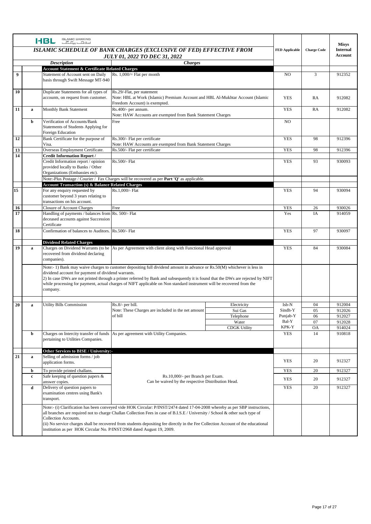|    |   | <b>ISLAMIC BANKING</b><br><b>HBL</b><br>اسلافات بكائكات                                                                                          |                                                                                                                                                                                                                                                                                                                                                                                                   |                     |                       |                    | <b>Misys</b>    |
|----|---|--------------------------------------------------------------------------------------------------------------------------------------------------|---------------------------------------------------------------------------------------------------------------------------------------------------------------------------------------------------------------------------------------------------------------------------------------------------------------------------------------------------------------------------------------------------|---------------------|-----------------------|--------------------|-----------------|
|    |   |                                                                                                                                                  | ISLAMIC SCHEDULE OF BANK CHARGES (EXCLUSIVE OF FED) EFFECTIVE FROM                                                                                                                                                                                                                                                                                                                                |                     | <b>FED Applicable</b> | <b>Charge Code</b> | <b>Internal</b> |
|    |   |                                                                                                                                                  | <b>JULY 01, 2022 TO DEC 31, 2022</b><br><b>Charges</b>                                                                                                                                                                                                                                                                                                                                            |                     |                       |                    | <b>Account</b>  |
|    |   | <b>Description</b><br><b>Account Statement &amp; Certificate Related Charges</b>                                                                 |                                                                                                                                                                                                                                                                                                                                                                                                   |                     |                       |                    |                 |
| 9  |   | Statement of Account sent on Daily                                                                                                               | Rs. $1,000/$ Flat per month                                                                                                                                                                                                                                                                                                                                                                       |                     | N <sub>O</sub>        | 3                  | 912352          |
|    |   | basis through Swift Message MT-940                                                                                                               |                                                                                                                                                                                                                                                                                                                                                                                                   |                     |                       |                    |                 |
| 10 |   | Duplicate Statements for all types of<br>accounts, on request from customer.                                                                     | Rs.29/-Flat, per statement<br>Note: HBL at Work (Islamic) Premium Account and HBL Al-Mukhtar Account (Islamic<br>Freedom Account) is exempted.                                                                                                                                                                                                                                                    |                     | <b>YES</b>            | RA                 | 912082          |
| 11 | a | Monthly Bank Statement                                                                                                                           | Rs.400/- per annum.<br>Note: HAW Accounts are exempted from Bank Statement Charges                                                                                                                                                                                                                                                                                                                |                     | <b>YES</b>            | RA                 | 912082          |
|    | b | Verification of Accounts/Bank<br>Statements of Students Applying for<br>Foreign Education                                                        | Free                                                                                                                                                                                                                                                                                                                                                                                              |                     | N <sub>O</sub>        |                    |                 |
| 12 |   | Bank Certificate for the purpose of<br>Visa.                                                                                                     | Rs.300/- Flat per certificate<br>Note: HAW Accounts are exempted from Bank Statement Charges                                                                                                                                                                                                                                                                                                      |                     | <b>YES</b>            | 98                 | 912396          |
| 13 |   | Overseas Employment Certificate.                                                                                                                 | Rs.500/- Flat per certificate                                                                                                                                                                                                                                                                                                                                                                     |                     | <b>YES</b>            | 98                 | 912396          |
| 14 |   | <b>Credit Information Report /</b><br>Credit Information report / opinion<br>provided locally to Banks / Other<br>Organizations (Embassies etc). | Rs.500/- Flat                                                                                                                                                                                                                                                                                                                                                                                     |                     | <b>YES</b>            | 93                 | 930093          |
|    |   | <b>Account Transaction (s) &amp; Balance Related Charges</b>                                                                                     | Note:-Plus Postage / Courier / Fax Charges will be recovered as per Part 'Q' as applicable.                                                                                                                                                                                                                                                                                                       |                     |                       |                    |                 |
| 15 |   | For any enquiry requested by<br>customer beyond 3 years relating to<br>transactions on his account.                                              | Rs.1,000/- Flat                                                                                                                                                                                                                                                                                                                                                                                   |                     | <b>YES</b>            | 94                 | 930094          |
| 16 |   | <b>Closure of Account Charges</b>                                                                                                                | Free                                                                                                                                                                                                                                                                                                                                                                                              |                     | <b>YES</b>            | 26                 | 930026          |
| 17 |   | Handling of payments / balances from Rs. 500/- Flat<br>deceased accounts against Succession<br>Certificate                                       |                                                                                                                                                                                                                                                                                                                                                                                                   |                     | Yes                   | IA                 | 914059          |
| 18 |   | Confirmation of balances to Auditors. Rs.500/- Flat                                                                                              |                                                                                                                                                                                                                                                                                                                                                                                                   |                     | <b>YES</b>            | 97                 | 930097          |
|    |   | <b>Dividend Related Charges</b>                                                                                                                  |                                                                                                                                                                                                                                                                                                                                                                                                   |                     |                       |                    |                 |
| 19 | a | recovered from dividend declaring<br>companies).                                                                                                 | Charges on Dividend Warrants (to be As per Agreement with client along with Functional Head approval                                                                                                                                                                                                                                                                                              |                     | <b>YES</b>            | 84                 | 930084          |
|    |   | dividend account for payment of dividend warrants.<br>company.                                                                                   | Note:- 1) Bank may waive charges to customer depositing full dividend amount in advance or Rs.50(M) whichever is less in<br>2) In case DWs are not printed through a printer referred by Bank and subsequently it is found that the DWs are rejected by NIFT<br>while processing for payment, actual charges of NIFT applicable on Non standard instrument will be recovered from the             |                     |                       |                    |                 |
| 20 | a | <b>Utility Bills Commission</b>                                                                                                                  | Rs.8/- per bill.                                                                                                                                                                                                                                                                                                                                                                                  | Electricity         | Isb-N                 | 04                 | 912004          |
|    |   |                                                                                                                                                  | Note: These Charges are included in the net amount                                                                                                                                                                                                                                                                                                                                                | Sui Gas             | Sindh-Y               | 05                 | 912026          |
|    |   |                                                                                                                                                  | of bill                                                                                                                                                                                                                                                                                                                                                                                           | Telephone           | Punjab-Y              | 06                 | 912027          |
|    |   |                                                                                                                                                  |                                                                                                                                                                                                                                                                                                                                                                                                   | Water               | Bal-Y                 | 07                 | 912028          |
|    |   |                                                                                                                                                  |                                                                                                                                                                                                                                                                                                                                                                                                   | <b>CDGK Utility</b> | KPK-Y                 | <b>OA</b>          | 914024          |
|    | b | pertaining to Utilities Companies.                                                                                                               | Charges on Intercity transfer of funds As per agreement with Utility Companies.                                                                                                                                                                                                                                                                                                                   |                     | YES                   | 14                 | 910818          |
|    |   | Other Services to BISE / University:-                                                                                                            |                                                                                                                                                                                                                                                                                                                                                                                                   |                     |                       |                    |                 |
| 21 | a | Selling of admission forms / job<br>application forms.                                                                                           |                                                                                                                                                                                                                                                                                                                                                                                                   |                     | <b>YES</b>            | 20                 | 912327          |
|    | b | To provide printed challans.                                                                                                                     |                                                                                                                                                                                                                                                                                                                                                                                                   |                     | <b>YES</b>            | 20                 | 912327          |
|    | c | Safe keeping of question papers &<br>answer copies.                                                                                              | Rs.10,000/- per Branch per Exam.<br>Can be waived by the respective Distribution Head.                                                                                                                                                                                                                                                                                                            |                     | YES                   | 20                 | 912327          |
|    | d | Delivery of question papers to<br>examination centres using Bank's<br>transport.                                                                 |                                                                                                                                                                                                                                                                                                                                                                                                   |                     | YES                   | 20                 | 912327          |
|    |   | Collection Accounts.<br>institution as per HOK Circular No. P/INST/2968 dated August 19, 2009.                                                   | Note:- (i) Clarification has been conveyed vide HOK Circular: P/INST/2474 dated 17-04-2008 whereby as per SBP instructions,<br>all branches are required not to charge Challan Collection Fees in case of B.I.S.E / University / School & other such type of<br>(ii) No service charges shall be recovered from students depositing fee directly in the Fee Collection Account of the educational |                     |                       |                    |                 |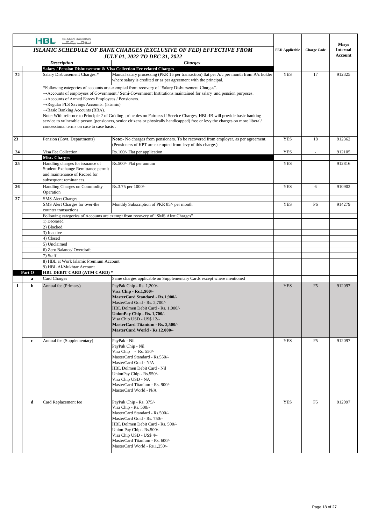|              |             | <b>ISLAMIC BANKING</b><br><b>HBL</b><br>سلافت بكاكب                                                                                                                                                                                                                                                                                                                                                                                                                                                                                                                                                                                                                           |                                                                                                                                                                                                                                                                                                    |                    | <b>Misys</b>                      |        |
|--------------|-------------|-------------------------------------------------------------------------------------------------------------------------------------------------------------------------------------------------------------------------------------------------------------------------------------------------------------------------------------------------------------------------------------------------------------------------------------------------------------------------------------------------------------------------------------------------------------------------------------------------------------------------------------------------------------------------------|----------------------------------------------------------------------------------------------------------------------------------------------------------------------------------------------------------------------------------------------------------------------------------------------------|--------------------|-----------------------------------|--------|
|              |             | ISLAMIC SCHEDULE OF BANK CHARGES (EXCLUSIVE OF FED) EFFECTIVE FROM<br><b>JULY 01, 2022 TO DEC 31, 2022</b>                                                                                                                                                                                                                                                                                                                                                                                                                                                                                                                                                                    | <b>FED Applicable</b>                                                                                                                                                                                                                                                                              | <b>Charge Code</b> | <b>Internal</b><br><b>Account</b> |        |
|              |             | <b>Description</b>                                                                                                                                                                                                                                                                                                                                                                                                                                                                                                                                                                                                                                                            |                                                                                                                                                                                                                                                                                                    |                    |                                   |        |
| 22           |             | Salary / Pension Disbursement & Visa Collection Fee related Charges<br>Salary Disbursement Charges.*                                                                                                                                                                                                                                                                                                                                                                                                                                                                                                                                                                          | Manual salary processing (PKR 15 per transaction) flat per $A/c$ per month from $A/c$ holder<br>where salary is credited or as per agreement with the principal.                                                                                                                                   | <b>YES</b>         | 17                                | 912325 |
|              |             | *Following categories of accounts are exempted from recovery of "Salary Disbursement Charges".<br>$\rightarrow$ Accounts of employees of Government / Semi-Government Institutions maintained for salary and pension purposes.<br>Accounts of Armed Forces Employees / Pensioners.<br>→Regular PLS Savings Accounts. (Islamic)<br>→ Basic Banking Accounts (BBA).<br>Note: With refernce to Principle 2 of Guiding princples on Fairness if Service Charges, HBL-IB will provide basic banking<br>service to vulnerable person (pensioners, senior citizens or physically handicapped) free or levy the charges on more liberal/<br>concessional terms on case to case basis. |                                                                                                                                                                                                                                                                                                    |                    |                                   |        |
| 23           |             | Pension (Govt. Departments)                                                                                                                                                                                                                                                                                                                                                                                                                                                                                                                                                                                                                                                   | Note:- No charges from pensioners. To be recovered from employer, as per agreement.<br>(Pensioners of KPT are exempted from levy of this charge.)                                                                                                                                                  | <b>YES</b>         | 18                                | 912362 |
| 24           |             | Visa Fee Collection                                                                                                                                                                                                                                                                                                                                                                                                                                                                                                                                                                                                                                                           | Rs.100/- Flat per application                                                                                                                                                                                                                                                                      | <b>YES</b>         | $\overline{\phantom{a}}$          | 912105 |
| 25           |             | Misc. Charges<br>Handling charges for issuance of<br>Student Exchange Remittance permit<br>and maintenance of Record for<br>subsequent remittances.                                                                                                                                                                                                                                                                                                                                                                                                                                                                                                                           | Rs.500/- Flat per annum                                                                                                                                                                                                                                                                            | <b>YES</b>         |                                   | 912816 |
| 26           |             | Handling Charges on Commodity<br>Operation                                                                                                                                                                                                                                                                                                                                                                                                                                                                                                                                                                                                                                    | Rs.3.75 per 1000/-                                                                                                                                                                                                                                                                                 | <b>YES</b>         | 6                                 | 910902 |
| 27           |             | <b>SMS Alert Charges</b><br>SMS Alert Charges for over-the<br>counter transactions                                                                                                                                                                                                                                                                                                                                                                                                                                                                                                                                                                                            | Monthly Subscription of PKR 85/- per month                                                                                                                                                                                                                                                         | <b>YES</b>         | P <sub>6</sub>                    | 914279 |
|              |             | 1) Deceased                                                                                                                                                                                                                                                                                                                                                                                                                                                                                                                                                                                                                                                                   | Following categories of Accounts are exempt from recovery of "SMS Alert Charges"                                                                                                                                                                                                                   |                    |                                   |        |
|              |             | 2) Blocked                                                                                                                                                                                                                                                                                                                                                                                                                                                                                                                                                                                                                                                                    |                                                                                                                                                                                                                                                                                                    |                    |                                   |        |
|              |             | 3) Inactive                                                                                                                                                                                                                                                                                                                                                                                                                                                                                                                                                                                                                                                                   |                                                                                                                                                                                                                                                                                                    |                    |                                   |        |
|              |             | 4) Closed                                                                                                                                                                                                                                                                                                                                                                                                                                                                                                                                                                                                                                                                     |                                                                                                                                                                                                                                                                                                    |                    |                                   |        |
|              |             | 5) Unclaimed                                                                                                                                                                                                                                                                                                                                                                                                                                                                                                                                                                                                                                                                  |                                                                                                                                                                                                                                                                                                    |                    |                                   |        |
|              |             | 6) Zero Balance/ Overdraft<br>7) Staff                                                                                                                                                                                                                                                                                                                                                                                                                                                                                                                                                                                                                                        |                                                                                                                                                                                                                                                                                                    |                    |                                   |        |
|              |             | 8) HBL at Work Islamic Premium Account                                                                                                                                                                                                                                                                                                                                                                                                                                                                                                                                                                                                                                        |                                                                                                                                                                                                                                                                                                    |                    |                                   |        |
|              |             | 9) HBL Al-Mukhtar Account                                                                                                                                                                                                                                                                                                                                                                                                                                                                                                                                                                                                                                                     |                                                                                                                                                                                                                                                                                                    |                    |                                   |        |
|              | Part O      | <b>HBL DEBIT CARD (ATM CARD) *</b>                                                                                                                                                                                                                                                                                                                                                                                                                                                                                                                                                                                                                                            |                                                                                                                                                                                                                                                                                                    |                    |                                   |        |
|              | $\bf{a}$    | Card Charges                                                                                                                                                                                                                                                                                                                                                                                                                                                                                                                                                                                                                                                                  | Same charges applicable on Supplementary Cards except where mentioned                                                                                                                                                                                                                              |                    |                                   |        |
| $\mathbf{1}$ | b           | Annual fee (Primary)                                                                                                                                                                                                                                                                                                                                                                                                                                                                                                                                                                                                                                                          | PayPak Chip - Rs. 1,200/-<br>Visa Chip - Rs.1,900/-<br>MasterCard Standard - Rs.1,900/-<br>MasterCard Gold - Rs. 2,700/-<br>HBL Dolmen Debit Card - Rs. 1,000/-<br>UnionPay Chip - Rs. 1,700/-<br>Visa Chip USD - US\$ 12/-<br>MasterCard Titanium - Rs. 2,500/-<br>MasterCard World - Rs.12,000/- | <b>YES</b>         | F <sub>5</sub>                    | 912097 |
|              | $\mathbf c$ | Annual fee (Supplementary)                                                                                                                                                                                                                                                                                                                                                                                                                                                                                                                                                                                                                                                    | PayPak - Nil<br>PayPak Chip - Nil<br>Visa Chip - Rs. 550/-<br>MasterCard Standard - Rs.550/-<br>MasterCard Gold - N/A<br>HBL Dolmen Debit Card - Nil<br>UnionPay Chip - Rs.550/-<br>Visa Chip USD - NA<br>MasterCard Titanium - Rs. 900/-<br>MasterCard World - N/A                                | <b>YES</b>         | F <sub>5</sub>                    | 912097 |
|              | d           | Card Replacement fee                                                                                                                                                                                                                                                                                                                                                                                                                                                                                                                                                                                                                                                          | PayPak Chip - Rs. 375/-<br>Visa Chip - Rs. 500/-<br>MasterCard Standard - Rs.500/-<br>MasterCard Gold - Rs. 750/-<br>HBL Dolmen Debit Card - Rs. 500/-<br>Union Pay Chip - Rs.500/-<br>Visa Chip USD - US\$ 4/-<br>MasterCard Titanium - Rs. 600/-<br>MasterCard World - Rs.1,250/-                | <b>YES</b>         | F <sub>5</sub>                    | 912097 |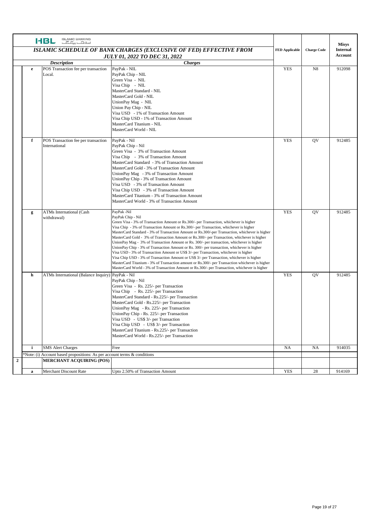|                  |              | <b>ISLAMIC BANKING</b><br>HBL<br>اسلافتك بيكا كآب                                                                                                                                                            |                                                                                                                                                                                                                                                                                                                                                                                                                                                                                                                                                                                                                                                                                                                                                                                                                                                                                                                                                                                                        |                       |                    | <b>Misys</b>    |
|------------------|--------------|--------------------------------------------------------------------------------------------------------------------------------------------------------------------------------------------------------------|--------------------------------------------------------------------------------------------------------------------------------------------------------------------------------------------------------------------------------------------------------------------------------------------------------------------------------------------------------------------------------------------------------------------------------------------------------------------------------------------------------------------------------------------------------------------------------------------------------------------------------------------------------------------------------------------------------------------------------------------------------------------------------------------------------------------------------------------------------------------------------------------------------------------------------------------------------------------------------------------------------|-----------------------|--------------------|-----------------|
|                  |              |                                                                                                                                                                                                              | ISLAMIC SCHEDULE OF BANK CHARGES (EXCLUSIVE OF FED) EFFECTIVE FROM                                                                                                                                                                                                                                                                                                                                                                                                                                                                                                                                                                                                                                                                                                                                                                                                                                                                                                                                     | <b>FED Applicable</b> | <b>Charge Code</b> | <b>Internal</b> |
|                  |              | <b>JULY 01, 2022 TO DEC 31, 2022</b><br><b><i>Charges</i></b><br><b>Description</b><br>POS Transaction fee per transaction<br>PayPak - NIL<br>$\mathbf e$<br>PayPak Chip - NIL<br>Local.<br>Green Visa - NIL |                                                                                                                                                                                                                                                                                                                                                                                                                                                                                                                                                                                                                                                                                                                                                                                                                                                                                                                                                                                                        |                       |                    | Account         |
|                  |              |                                                                                                                                                                                                              |                                                                                                                                                                                                                                                                                                                                                                                                                                                                                                                                                                                                                                                                                                                                                                                                                                                                                                                                                                                                        |                       |                    |                 |
|                  |              |                                                                                                                                                                                                              | Visa Chip - NIL<br>MasterCard Standard - NIL<br>MasterCard Gold - NIL<br>UnionPay Mag - NIL<br>Union Pay Chip - NIL<br>Visa USD - 1% of Transaction Amount<br>Visa Chip USD - 1% of Transaction Amount<br>MasterCard Titanium - NIL<br>MasterCard World - NIL                                                                                                                                                                                                                                                                                                                                                                                                                                                                                                                                                                                                                                                                                                                                          | <b>YES</b>            | N8                 | 912098          |
|                  | f            | POS Transaction fee per transaction<br>International                                                                                                                                                         | PayPak - Nil<br>PayPak Chip - Nil<br>Green Visa - 3% of Transaction Amount<br>Visa Chip - 3% of Transaction Amount<br>MasterCard Standard - 3% of Transaction Amount<br>MasterCard Gold - 3% of Transaction Amount<br>UnionPay Mag - 3% of Transaction Amount<br>UnionPay Chip - 3% of Transaction Amount<br>Visa USD - 3% of Transaction Amount<br>Visa Chip USD - 3% of Transaction Amount<br>MasterCard Titanium - 3% of Transaction Amount<br>MasterCard World - 3% of Transaction Amount                                                                                                                                                                                                                                                                                                                                                                                                                                                                                                          | <b>YES</b>            | QV                 | 912485          |
|                  | g            | <b>ATMs International (Cash</b><br>withdrawal)                                                                                                                                                               | PayPak -Nil<br>PayPak Chip - Nil<br>Green Visa - 3% of Transaction Amount or Rs.300/- per Transaction, whichever is higher<br>Visa Chip - 3% of Transaction Amount or Rs.300/- per Transaction, whichever is higher<br>MasterCard Standard - 3% of Transaction Amount or Rs.300/-per Transaction, whichever is higher<br>MasterCard Gold - 3% of Transaction Amount or Rs.300/- per Transaction, whichever is higher<br>UnionPay Mag - 3% of Transaction Amount or Rs. 300/- per transaction, whichever is higher<br>UnionPay Chip - 3% of Transaction Amount or Rs. 300/- per transaction, whichever is higher<br>Visa USD - 3% of Transaction Amount or US\$ 3/- per Transaction, whichever is higher<br>Visa Chip USD - 3% of Transaction Amount or US\$ 3/- per Transaction, whichever is higher<br>MasterCard Titanium - 3% of Transaction amount or Rs.300/- per Transaction whichever is higher<br>MasterCard World - 3% of Transaction Amount or Rs.300/- per Transaction, whichever is higher | <b>YES</b>            | QV                 | 912485          |
|                  | h            | ATMs International (Balance Inquiry) PayPak - Nil                                                                                                                                                            | PayPak Chip - Nil<br>Green Visa - Rs. 225/- per Transaction<br>Visa Chip - Rs. 225/- per Transaction<br>MasterCard Standard - Rs.225/- per Transaction<br>MasterCard Gold - Rs.225/- per Transaction<br>UnionPay Mag - Rs. 225/- per Transaction<br>UnionPay Chip - Rs. 225/- per Transaction<br>Visa USD - US\$ 3/- per Transaction<br>Visa Chip USD - US\$ 3/- per Transaction<br>MasterCard Titanium - Rs.225/- per Transaction<br>MasterCard World - Rs.225/- per Transaction                                                                                                                                                                                                                                                                                                                                                                                                                                                                                                                      | <b>YES</b>            | QV                 | 912485          |
|                  | $\mathbf{i}$ | <b>SMS</b> Alert Charges                                                                                                                                                                                     | Free                                                                                                                                                                                                                                                                                                                                                                                                                                                                                                                                                                                                                                                                                                                                                                                                                                                                                                                                                                                                   | NA                    | NA                 | 914035          |
|                  |              | *Note: (i) Account based propositions: As per account terms & conditions                                                                                                                                     |                                                                                                                                                                                                                                                                                                                                                                                                                                                                                                                                                                                                                                                                                                                                                                                                                                                                                                                                                                                                        |                       |                    |                 |
| $\boldsymbol{2}$ |              | <b>MERCHANT ACQUIRING (POS)</b>                                                                                                                                                                              |                                                                                                                                                                                                                                                                                                                                                                                                                                                                                                                                                                                                                                                                                                                                                                                                                                                                                                                                                                                                        |                       |                    |                 |
|                  | $\mathbf{a}$ | Merchant Discount Rate                                                                                                                                                                                       | Upto 2.50% of Transaction Amount                                                                                                                                                                                                                                                                                                                                                                                                                                                                                                                                                                                                                                                                                                                                                                                                                                                                                                                                                                       | <b>YES</b>            | 28                 | 914169          |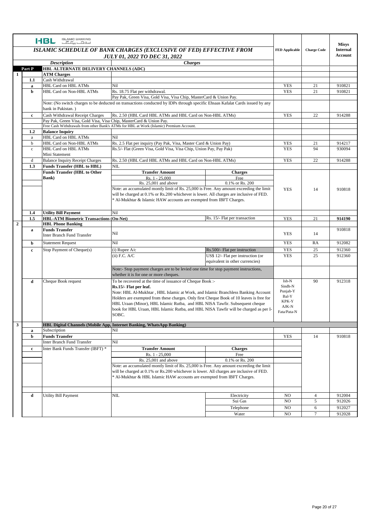|                | <b>ISLAMIC BANKING</b><br><b>HBL</b><br>سلافت بكاكب |                                                                                                                                                                                    |                                                                                                                                         |                                    |                          |                    |                                 |
|----------------|-----------------------------------------------------|------------------------------------------------------------------------------------------------------------------------------------------------------------------------------------|-----------------------------------------------------------------------------------------------------------------------------------------|------------------------------------|--------------------------|--------------------|---------------------------------|
|                |                                                     |                                                                                                                                                                                    | ISLAMIC SCHEDULE OF BANK CHARGES (EXCLUSIVE OF FED) EFFECTIVE FROM                                                                      |                                    | <b>FED Applicable</b>    | <b>Charge Code</b> | <b>Misys</b><br><b>Internal</b> |
|                |                                                     |                                                                                                                                                                                    | <b>JULY 01, 2022 TO DEC 31, 2022</b>                                                                                                    |                                    |                          |                    | Account                         |
|                |                                                     | <b>Description</b>                                                                                                                                                                 | <b>Charges</b>                                                                                                                          |                                    |                          |                    |                                 |
|                | Part P                                              | HBL ALTERNATE DELIVERY CHANNELS (ADC)                                                                                                                                              |                                                                                                                                         |                                    |                          |                    |                                 |
| $\mathbf{1}$   |                                                     | <b>ATM Charges</b>                                                                                                                                                                 |                                                                                                                                         |                                    |                          |                    |                                 |
|                | 1.1                                                 | Cash Withdrawal                                                                                                                                                                    |                                                                                                                                         |                                    |                          |                    |                                 |
|                | a<br>$\mathbf b$                                    | <b>HBL Card on HBL ATMs</b><br>HBL Card on Non-HBL ATMs                                                                                                                            | Nil<br>Rs. 18.75 Flat per withdrawal.                                                                                                   |                                    | <b>YES</b><br><b>YES</b> | 21<br>21           | 910821<br>910821                |
|                |                                                     |                                                                                                                                                                                    | Pay Pak, Green Visa, Gold Visa, Visa Chip, MasterCard & Union Pay.                                                                      |                                    |                          |                    |                                 |
|                |                                                     |                                                                                                                                                                                    | Note: (No switch charges to be deducted on transactions conducted by IDPs through specific Ehsaas Kafalat Cards issued by any           |                                    |                          |                    |                                 |
|                |                                                     | bank in Pakistan.)                                                                                                                                                                 |                                                                                                                                         |                                    |                          |                    |                                 |
|                | $\mathbf c$                                         | Cash Withdrawal Receipt Charges                                                                                                                                                    | Rs. 2.50 (HBL Card HBL ATMs and HBL Card on Non-HBL ATMs)                                                                               |                                    | <b>YES</b>               | 22                 | 914288                          |
|                |                                                     | Pay Pak, Green Visa, Gold Visa, Visa Chip, MasterCard & Union Pay.                                                                                                                 |                                                                                                                                         |                                    |                          |                    |                                 |
|                |                                                     |                                                                                                                                                                                    | Free Cash Withdrawals from other Bank's ATMs for HBL at Work (Islamic) Premium Account.                                                 |                                    |                          |                    |                                 |
|                | 1.2                                                 | <b>Balance Inquiry</b>                                                                                                                                                             |                                                                                                                                         |                                    |                          |                    |                                 |
|                | a<br>b                                              | HBL Card on HBL ATMs<br>HBL Card on Non-HBL ATMs                                                                                                                                   | Nil                                                                                                                                     |                                    | YES                      |                    | 914217                          |
|                | $\rm c$                                             | HBL Card on HBL ATMs                                                                                                                                                               | Rs. 2.5 Flat per inquiry (Pay Pak, Visa, Master Card & Union Pay)<br>Rs.5/- Flat (Green Visa, Gold Visa, Visa Chip, Union Pay, Pay Pak) |                                    | <b>YES</b>               | 21<br>94           | 930094                          |
|                |                                                     | Mini Statement                                                                                                                                                                     |                                                                                                                                         |                                    |                          |                    |                                 |
|                | d                                                   | <b>Balance Inquiry Receipt Charges</b>                                                                                                                                             | Rs. 2.50 (HBL Card HBL ATMs and HBL Card on Non-HBL ATMs)                                                                               |                                    | <b>YES</b>               | 22                 | 914288                          |
|                | 1.3                                                 | <b>Funds Transfer (HBL to HBL)</b>                                                                                                                                                 | NIL                                                                                                                                     |                                    |                          |                    |                                 |
|                |                                                     | <b>Funds Transfer (HBL to Other)</b>                                                                                                                                               | <b>Transfer Amount</b>                                                                                                                  | <b>Charges</b>                     |                          |                    |                                 |
|                |                                                     | <b>Bank</b> )                                                                                                                                                                      | Rs. 1 - 25,000                                                                                                                          | Free                               |                          |                    |                                 |
|                |                                                     |                                                                                                                                                                                    | $Rs. 25,001$ and above                                                                                                                  | 0.1% or Rs. 200                    |                          |                    |                                 |
|                |                                                     |                                                                                                                                                                                    | Note: an accumulated montly limit of Rs. 25,000 is Free. Any amount exceeding the limit                                                 |                                    | <b>YES</b>               | 14                 | 910818                          |
|                |                                                     |                                                                                                                                                                                    | will be charged at 0.1% or Rs.200 whichever is lower. All charges are inclusive of FED.                                                 |                                    |                          |                    |                                 |
|                |                                                     |                                                                                                                                                                                    | * Al-Mukhtar & Islamic HAW accounts are exempted from IBFT Charges.                                                                     |                                    |                          |                    |                                 |
|                |                                                     |                                                                                                                                                                                    |                                                                                                                                         |                                    |                          |                    |                                 |
|                | 1.4<br>1.5                                          | <b>Utility Bill Payment</b><br><b>HBL-ATM Biometric Transactions (On-Net)</b>                                                                                                      | Nil                                                                                                                                     | Rs. 15/- Flat per transaction      | <b>YES</b>               | 21                 | 914190                          |
| $\overline{2}$ |                                                     | <b>HBL Phone Banking</b>                                                                                                                                                           |                                                                                                                                         |                                    |                          |                    |                                 |
|                | a                                                   | <b>Funds Transfer</b>                                                                                                                                                              |                                                                                                                                         |                                    |                          |                    | 910818                          |
|                |                                                     | Inter Branch Fund Transfer                                                                                                                                                         | Nil                                                                                                                                     |                                    | <b>YES</b>               | 14                 |                                 |
|                | b                                                   | <b>Statement Request</b>                                                                                                                                                           | Nil                                                                                                                                     |                                    | <b>YES</b>               | RA                 | 912082                          |
|                | $\mathbf c$                                         | Stop Payment of Cheque(s)                                                                                                                                                          | $(i)$ Rupee $A/c$                                                                                                                       | Rs.500/- Flat per instruction      | <b>YES</b>               | 25                 | 912360                          |
|                |                                                     |                                                                                                                                                                                    | $(ii)$ F.C. $A/C$                                                                                                                       | US\$ 12/- Flat per instruction (or | <b>YES</b>               | 25                 | 912360                          |
|                |                                                     |                                                                                                                                                                                    |                                                                                                                                         | equivalent in other currencies)    |                          |                    |                                 |
|                |                                                     |                                                                                                                                                                                    | Note:- Stop payment charges are to be levied one time for stop payment instructions,                                                    |                                    |                          |                    |                                 |
|                |                                                     |                                                                                                                                                                                    | whether it is for one or more cheques.                                                                                                  |                                    |                          |                    |                                 |
|                | d                                                   | Cheque Book request                                                                                                                                                                | To be recovered at the time of issuance of Cheque Book :-                                                                               |                                    | Isb-N                    | 90                 | 912318                          |
|                |                                                     |                                                                                                                                                                                    | Rs.15/- Flat per leaf.                                                                                                                  |                                    | Sindh-N                  |                    |                                 |
|                |                                                     |                                                                                                                                                                                    | Note: HBL Al-Mukhtar, HBL Islamic at Work, and Islamic Branchless Banking Account                                                       |                                    | Punjab-Y                 |                    |                                 |
|                |                                                     |                                                                                                                                                                                    | Holders are exempted from these charges. Only first Cheque Book of 10 leaves is free for                                                |                                    | Bal-Y<br>KPK-Y           |                    |                                 |
|                |                                                     |                                                                                                                                                                                    | HBL Uraan (Minor), HBL Islamic Rutba, and HBL NISA Tawfir. Subsequent cheque                                                            |                                    | AJK-N                    |                    |                                 |
|                |                                                     |                                                                                                                                                                                    | book for HBL Uraan, HBL Islamic Rutba, and HBL NISA Tawfir will be charged as per I-                                                    |                                    | Fata/Pata-N              |                    |                                 |
|                |                                                     |                                                                                                                                                                                    | SOBC.                                                                                                                                   |                                    |                          |                    |                                 |
| 3              |                                                     |                                                                                                                                                                                    | <b>HBL Digital Channels (Mobile App, Internet Banking, WhatsApp Banking)</b>                                                            |                                    |                          |                    |                                 |
|                | a                                                   | Subscription                                                                                                                                                                       | Nil                                                                                                                                     |                                    |                          |                    |                                 |
|                | b                                                   | <b>Funds Transfer</b>                                                                                                                                                              |                                                                                                                                         |                                    | <b>YES</b>               | 14                 | 910818                          |
|                |                                                     | Inter Branch Fund Transfer                                                                                                                                                         | Nil                                                                                                                                     |                                    |                          |                    |                                 |
|                | $\mathbf c$                                         | Inter Bank Funds Transfer (IBFT) *                                                                                                                                                 | <b>Transfer Amount</b>                                                                                                                  | <b>Charges</b>                     |                          |                    |                                 |
|                |                                                     |                                                                                                                                                                                    | Rs. 1 - 25,000                                                                                                                          | Free                               |                          |                    |                                 |
|                |                                                     |                                                                                                                                                                                    | Rs. 25,001 and above                                                                                                                    | 0.1% or Rs. 200                    |                          |                    |                                 |
|                |                                                     | Note: an accumulated montly limit of Rs. 25,000 is Free. Any amount exceeding the limit<br>will be charged at 0.1% or Rs.200 whichever is lower. All charges are inclusive of FED. |                                                                                                                                         |                                    |                          |                    |                                 |
|                |                                                     |                                                                                                                                                                                    | * Al-Mukhtar & HBL Islamic HAW accounts are exempted from IBFT Charges.                                                                 |                                    |                          |                    |                                 |
|                |                                                     |                                                                                                                                                                                    |                                                                                                                                         |                                    |                          |                    |                                 |
|                |                                                     |                                                                                                                                                                                    |                                                                                                                                         |                                    |                          |                    |                                 |
|                | d                                                   | <b>Utility Bill Payment</b>                                                                                                                                                        | $\rm NIL$                                                                                                                               | Electricity                        | N <sub>O</sub>           | $\overline{4}$     | 912004                          |
|                |                                                     |                                                                                                                                                                                    |                                                                                                                                         | Sui Gas                            | N <sub>O</sub>           | 5                  | 912026                          |
|                |                                                     |                                                                                                                                                                                    |                                                                                                                                         | Telephone                          | NO.                      | 6                  | 912027                          |
|                |                                                     |                                                                                                                                                                                    |                                                                                                                                         | Water                              | NO                       | $\tau$             | 912028                          |
|                |                                                     |                                                                                                                                                                                    |                                                                                                                                         |                                    |                          |                    |                                 |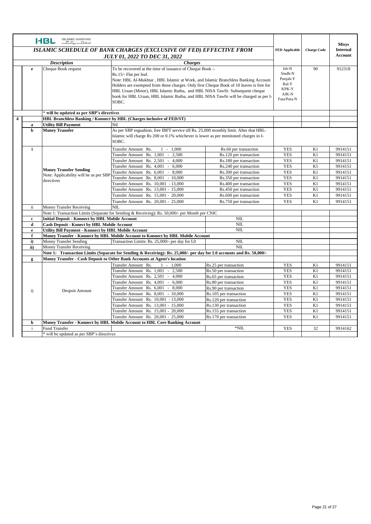|                         |                                                                                       | <b>ISLAMIC BANKING</b><br>HBL<br>$E_{\rm tot}$                                                 |                                                                                                                                                                          |                        |                       |                                                                                                                                                       |                                 |  |
|-------------------------|---------------------------------------------------------------------------------------|------------------------------------------------------------------------------------------------|--------------------------------------------------------------------------------------------------------------------------------------------------------------------------|------------------------|-----------------------|-------------------------------------------------------------------------------------------------------------------------------------------------------|---------------------------------|--|
|                         |                                                                                       |                                                                                                | ISLAMIC SCHEDULE OF BANK CHARGES (EXCLUSIVE OF FED) EFFECTIVE FROM                                                                                                       |                        | <b>FED Applicable</b> | <b>Charge Code</b>                                                                                                                                    | <b>Misys</b><br><b>Internal</b> |  |
|                         |                                                                                       |                                                                                                |                                                                                                                                                                          |                        |                       |                                                                                                                                                       | Account                         |  |
|                         |                                                                                       |                                                                                                | <b>JULY 01, 2022 TO DEC 31, 2022</b>                                                                                                                                     |                        |                       |                                                                                                                                                       |                                 |  |
|                         |                                                                                       | <b>Description</b>                                                                             | <b>Charges</b>                                                                                                                                                           |                        |                       |                                                                                                                                                       |                                 |  |
|                         | Cheque Book request<br>To be recovered at the time of issuance of Cheque Book :-<br>e |                                                                                                |                                                                                                                                                                          |                        | Isb-N<br>Sindh-N      | 90                                                                                                                                                    | 912318                          |  |
|                         |                                                                                       |                                                                                                | Rs.15/- Flat per leaf.                                                                                                                                                   |                        | Punjab-Y              |                                                                                                                                                       |                                 |  |
|                         |                                                                                       |                                                                                                | Note: HBL Al-Mukhtar, HBL Islamic at Work, and Islamic Branchless Banking Account                                                                                        |                        | Bal-Y                 |                                                                                                                                                       |                                 |  |
|                         |                                                                                       |                                                                                                | Holders are exempted from these charges. Only first Cheque Book of 10 leaves is free for<br>HBL Uraan (Minor), HBL Islamic Rutba, and HBL NISA Tawfir. Subsequent cheque |                        | KPK-Y                 |                                                                                                                                                       |                                 |  |
|                         |                                                                                       |                                                                                                | book for HBL Uraan, HBL Islamic Rutba, and HBL NISA Tawfir will be charged as per I-                                                                                     |                        | $AJK-N$               |                                                                                                                                                       |                                 |  |
|                         |                                                                                       |                                                                                                | SOBC.                                                                                                                                                                    |                        | Fata/Pata-N           |                                                                                                                                                       |                                 |  |
|                         |                                                                                       |                                                                                                |                                                                                                                                                                          |                        |                       |                                                                                                                                                       |                                 |  |
|                         |                                                                                       | * will be updated as per SBP's directives                                                      |                                                                                                                                                                          |                        |                       |                                                                                                                                                       |                                 |  |
| $\overline{\mathbf{4}}$ |                                                                                       |                                                                                                | HBL Branchless Banking / Konnect by HBL (Charges inclusive of FED/ST)                                                                                                    |                        |                       |                                                                                                                                                       |                                 |  |
|                         | a                                                                                     | <b>Utility Bill Payment</b>                                                                    | Nil                                                                                                                                                                      |                        |                       |                                                                                                                                                       |                                 |  |
|                         | $\mathbf b$                                                                           | <b>Money Transfer</b>                                                                          | As per SBP regualtion, free IBFT service till Rs. 25,000 monthly limit. After that HBL-                                                                                  |                        |                       |                                                                                                                                                       |                                 |  |
|                         |                                                                                       |                                                                                                | Islamic will charge Rs 200 or 0.1% whichever is lower as per menitoned charges in I-                                                                                     |                        |                       | K1<br>9914151<br>K1<br>9914151<br>K1<br>9914151<br>K1<br>9914151<br>K1<br>9914151<br>K1<br>9914151<br>K1<br>9914151<br>K1<br>9914151<br>K1<br>9914151 |                                 |  |
|                         |                                                                                       |                                                                                                | SOBC.                                                                                                                                                                    |                        |                       |                                                                                                                                                       |                                 |  |
|                         | i                                                                                     |                                                                                                | $1 - 1,000$<br>Transfer Amount Rs.                                                                                                                                       | Rs.60 per transaction  | <b>YES</b>            |                                                                                                                                                       |                                 |  |
|                         |                                                                                       |                                                                                                | Transfer Amount Rs. 1,001 -<br>2,500                                                                                                                                     | Rs.120 per transaction | <b>YES</b>            |                                                                                                                                                       |                                 |  |
|                         |                                                                                       |                                                                                                | Transfer Amount Rs. 2,501<br>$\sim$<br>4,000                                                                                                                             | Rs.180 per transaction | <b>YES</b>            |                                                                                                                                                       |                                 |  |
|                         |                                                                                       |                                                                                                | Transfer Amount Rs. 4,001<br>$-6,000$                                                                                                                                    | Rs.240 per transaction | <b>YES</b>            |                                                                                                                                                       |                                 |  |
|                         |                                                                                       | <b>Money Transfer Sending</b>                                                                  | Transfer Amount Rs. 6,001 - 8,000                                                                                                                                        | Rs.300 per transaction | <b>YES</b>            |                                                                                                                                                       |                                 |  |
|                         |                                                                                       | Note: Applicability will be as per SBP<br>directives                                           | Transfer Amount Rs. 8,001 - 10,000                                                                                                                                       | Rs.350 per transaction | <b>YES</b>            |                                                                                                                                                       |                                 |  |
|                         |                                                                                       |                                                                                                | Transfer Amount Rs. 10,001 - 13,000                                                                                                                                      | Rs.400 per transaction | <b>YES</b>            |                                                                                                                                                       |                                 |  |
|                         |                                                                                       |                                                                                                | Transfer Amount Rs. 13,001 - 15,000                                                                                                                                      | Rs.450 per transaction | <b>YES</b>            |                                                                                                                                                       |                                 |  |
|                         |                                                                                       |                                                                                                | Transfer Amount Rs. 15,001 - 20,000                                                                                                                                      | Rs.600 per transaction | <b>YES</b>            |                                                                                                                                                       |                                 |  |
|                         |                                                                                       |                                                                                                | Transfer Amount Rs. 20,001 - 25,000                                                                                                                                      | Rs.750 per transaction | <b>YES</b>            | K1                                                                                                                                                    | 9914151                         |  |
|                         | ii.                                                                                   | <b>Money Transfer Receiving</b>                                                                | NIL                                                                                                                                                                      |                        |                       |                                                                                                                                                       |                                 |  |
|                         |                                                                                       | Note 1: Transaction Limits (Separate for Sending & Receiving): Rs. 50,000/- per Month per CNIC |                                                                                                                                                                          |                        |                       |                                                                                                                                                       |                                 |  |
|                         | $\mathbf c$                                                                           | <b>Initial Deposit - Konnect by HBL Mobile Account</b>                                         |                                                                                                                                                                          | <b>NIL</b>             |                       |                                                                                                                                                       |                                 |  |
|                         | d                                                                                     | Cash Deposit - Konect by HBL Mobile Account                                                    |                                                                                                                                                                          | NIL                    |                       |                                                                                                                                                       |                                 |  |
|                         | e                                                                                     | <b>Utility Bill Payment - Konnect by HBL Mobile Account</b>                                    |                                                                                                                                                                          | NIL                    |                       |                                                                                                                                                       |                                 |  |
|                         | f                                                                                     |                                                                                                | Money Transfer - Konnect by HBL Mobile Account to Konnect by HBL Mobile Account                                                                                          | <b>NIL</b>             |                       |                                                                                                                                                       |                                 |  |
|                         | $\mathbf{i}$                                                                          | <b>Money Transfer Sending</b>                                                                  | Transaction Limits: Rs. 25,000/- per day for L0                                                                                                                          | <b>NIL</b>             |                       |                                                                                                                                                       |                                 |  |
|                         | ii)                                                                                   | <b>Money Transfer Receiving</b>                                                                | Note 1: Transaction Limits (Separate for Sending & Receiving): Rs. 25,000/- per day for L0 accounts and Rs. 50,000/-                                                     |                        |                       |                                                                                                                                                       |                                 |  |
|                         | g                                                                                     |                                                                                                | Money Transfer - Cash Deposit to Other Bank Accounts at Agent's location                                                                                                 |                        |                       |                                                                                                                                                       |                                 |  |
|                         |                                                                                       |                                                                                                | Transfer Amount Rs.<br>$1 - 1,000$                                                                                                                                       | Rs.25 per transaction  | <b>YES</b>            | K1                                                                                                                                                    | 9914151                         |  |
|                         |                                                                                       |                                                                                                | Rs. 1,001<br>2,500<br>$\sim$<br>Transfer Amount                                                                                                                          | Rs.50 per transaction  | <b>YES</b>            | K1                                                                                                                                                    | 9914151                         |  |
|                         |                                                                                       |                                                                                                | Transfer Amount Rs. 2,501 -<br>4,000                                                                                                                                     | Rs.65 per transaction  | <b>YES</b>            | K1                                                                                                                                                    | 9914151                         |  |
|                         |                                                                                       |                                                                                                | Transfer Amount Rs. 4,001<br>$\sim$<br>6,000                                                                                                                             | Rs.80 per transaction  | <b>YES</b>            | K1                                                                                                                                                    | 9914151                         |  |
|                         |                                                                                       |                                                                                                | Transfer Amount Rs. 6,001<br>$-8,000$                                                                                                                                    | Rs.90 per transaction  | <b>YES</b>            | K1                                                                                                                                                    | 9914151                         |  |
|                         | $\mathbf{i}$                                                                          | Despoit Amount                                                                                 | Transfer Amount Rs. 8,001 - 10,000                                                                                                                                       | Rs.105 per transaction | <b>YES</b>            | K1                                                                                                                                                    | 9914151                         |  |
|                         |                                                                                       |                                                                                                | Transfer Amount Rs. 10,001 - 13,000                                                                                                                                      | Rs.120 per transaction | <b>YES</b>            | K1                                                                                                                                                    | 9914151                         |  |
|                         |                                                                                       |                                                                                                | Transfer Amount Rs. 13,001 - 15,000                                                                                                                                      | Rs.130 per transaction | <b>YES</b>            | K1                                                                                                                                                    | 9914151                         |  |
|                         |                                                                                       |                                                                                                | Transfer Amount Rs. 15,001 - 20,000                                                                                                                                      | Rs.155 per transaction | <b>YES</b>            | K1                                                                                                                                                    | 9914151                         |  |
|                         |                                                                                       |                                                                                                | Transfer Amount Rs. 20,001 - 25,000                                                                                                                                      | Rs.170 per transaction | <b>YES</b>            | K1                                                                                                                                                    | 9914151                         |  |
|                         | $\mathbf h$                                                                           |                                                                                                | Money Transfer - Konnect by HBL Mobile Account to HBL Core Banking Account                                                                                               |                        |                       |                                                                                                                                                       |                                 |  |
|                         | $\mathbf{i}$                                                                          | Fund Transfer                                                                                  |                                                                                                                                                                          | $*$ NIL                | <b>YES</b>            | 32                                                                                                                                                    | 9914162                         |  |
|                         |                                                                                       | * will be updated as per SBP's directives                                                      |                                                                                                                                                                          |                        |                       |                                                                                                                                                       |                                 |  |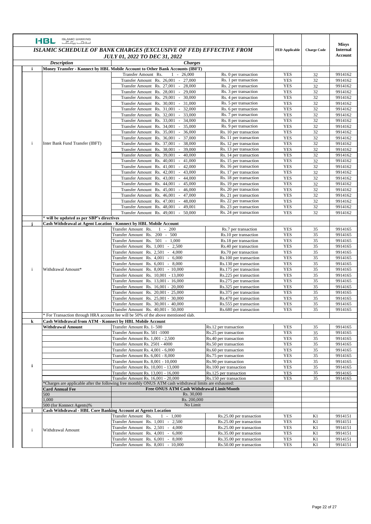|              | <b>ISLAMIC BANKING</b><br><b>HBL</b><br>$E_{\text{max}}$ $E_{\text{max}}$                  |                                                                                                              |                                                      |                          |                            |                                                                           |
|--------------|--------------------------------------------------------------------------------------------|--------------------------------------------------------------------------------------------------------------|------------------------------------------------------|--------------------------|----------------------------|---------------------------------------------------------------------------|
|              | <b>ISLAMIC SCHEDULE OF BANK CHARGES (EXCLUSIVE OF FED) EFFECTIVE FROM</b>                  |                                                                                                              |                                                      |                          |                            | <b>Misys</b><br><b>Internal</b>                                           |
|              | <b>JULY 01, 2022 TO DEC 31, 2022</b>                                                       |                                                                                                              |                                                      | Account                  |                            |                                                                           |
|              | <b>Description</b>                                                                         | <b>Charges</b>                                                                                               |                                                      |                          |                            |                                                                           |
| i            | Money Transfer - Konnect by HBL Mobile Account to Other Bank Accounts (IBFT)               |                                                                                                              |                                                      |                          |                            |                                                                           |
|              |                                                                                            | Transfer Amount Rs.<br>26,000<br>$1 -$<br>Transfer Amount Rs. 26,001 - 27,000                                | Rs. 0 per transaction<br>Rs. 1 per transaction       | <b>YES</b><br><b>YES</b> | 32<br>32                   | 9914162<br>9914162                                                        |
|              |                                                                                            | Transfer Amount Rs. 27,001 - 28,000                                                                          | Rs. 2 per transaction                                | <b>YES</b>               | 32                         | 9914162                                                                   |
|              |                                                                                            | $-29,000$<br>Transfer Amount Rs. 28,001                                                                      | Rs. 3 per transaction                                | <b>YES</b>               | 32                         | 9914162                                                                   |
|              |                                                                                            | <b>Transfer Amount</b><br>Rs. 29,001<br>$-30,000$                                                            | Rs. 4 per transaction                                | <b>YES</b>               | 32                         | 9914162                                                                   |
|              |                                                                                            | Transfer Amount Rs. 30,001<br>$-31,000$                                                                      | Rs. 5 per transaction                                | <b>YES</b>               | 32                         | 9914162                                                                   |
|              |                                                                                            | Transfer Amount Rs. 31,001<br>$-32,000$                                                                      | Rs. 6 per transaction                                | <b>YES</b>               | 32                         | 9914162                                                                   |
|              |                                                                                            | Transfer Amount Rs. 32,001<br>$-33,000$<br>Transfer Amount Rs. 33,001<br>$-34,000$                           | Rs. 7 per transaction<br>Rs. 8 per transaction       | <b>YES</b><br><b>YES</b> | 32<br>32                   | 9914162<br>9914162                                                        |
|              |                                                                                            | Transfer Amount Rs. 34,001<br>35,000<br>$\sim$                                                               | Rs. 9 per transaction                                | <b>YES</b>               | 32                         | 9914162                                                                   |
|              |                                                                                            | Rs. 35,001<br>36,000<br>Transfer Amount<br>$\sim$                                                            | Rs. 10 per transaction                               | <b>YES</b>               | 32                         | 9914162                                                                   |
|              |                                                                                            | <b>Transfer Amount</b><br>Rs. 36,001<br>$-37,000$                                                            | Rs. 11 per transaction                               | <b>YES</b>               | 32                         | 9914162                                                                   |
| $\mathbf{i}$ | Inter Bank Fund Transfer (IBFT)                                                            | <b>Transfer Amount</b><br>Rs. 37,001<br>$-38,000$                                                            | Rs. 12 per transaction                               | <b>YES</b>               | 32                         | 9914162                                                                   |
|              |                                                                                            | Rs. 38,001<br><b>Transfer Amount</b><br>$-39,000$                                                            | Rs. 13 per transaction                               | <b>YES</b>               | 32                         | 9914162                                                                   |
|              |                                                                                            | Rs. 39,001<br>$-40,000$<br><b>Transfer Amount</b><br>Transfer Amount Rs. 40,001 - 41,000                     | Rs. 14 per transaction<br>Rs. 15 per transaction     | <b>YES</b><br><b>YES</b> | 32<br>32                   | 9914162<br>9914162                                                        |
|              |                                                                                            | Transfer Amount Rs. 41,001<br>$-42,000$                                                                      | Rs. 16 per transaction                               | <b>YES</b>               | 32                         | 9914162                                                                   |
|              |                                                                                            | <b>Transfer Amount</b><br>Rs. 42,001<br>$-43,000$                                                            | Rs. 17 per transaction                               | <b>YES</b>               | 32                         | 9914162                                                                   |
|              |                                                                                            | Transfer Amount Rs. 43,001<br>$-44,000$                                                                      | Rs. 18 per transaction                               | <b>YES</b>               | 32                         | 9914162                                                                   |
|              |                                                                                            | Transfer Amount Rs. 44,001<br>45,000<br>$\omega$                                                             | Rs. 19 per transaction                               | <b>YES</b>               | 32                         | 9914162                                                                   |
|              |                                                                                            | Transfer Amount Rs. 45,001<br>46,000<br>$\sim$                                                               | Rs. 20 per transaction                               | <b>YES</b>               | 32                         | 9914162                                                                   |
|              |                                                                                            | Rs. 46,001<br>$-47,000$<br><b>Transfer Amount</b>                                                            | Rs. 21 per transaction                               | <b>YES</b>               | 32                         | 9914162                                                                   |
|              |                                                                                            | Rs. 47,001<br>48,000<br>Transfer Amount<br>$\blacksquare$                                                    | Rs. 22 per transaction                               | <b>YES</b>               | 32                         | 9914162                                                                   |
|              |                                                                                            | Rs. 48,001<br>49,001<br><b>Transfer Amount</b><br>$\omega$<br>Transfer Amount Rs. 49,001<br>50,000<br>$\sim$ | Rs. 23 per transaction<br>Rs. 24 per transaction     | <b>YES</b><br><b>YES</b> | 32<br>32                   | 9914162<br>9914162                                                        |
|              | will be updated as per SBP's directives                                                    |                                                                                                              |                                                      |                          |                            |                                                                           |
|              |                                                                                            | Cash Withdrawal at Agent Location - Konnect by HBL Mobile Account                                            |                                                      |                          |                            |                                                                           |
|              |                                                                                            | Rs.<br>200<br>Transfer Amount<br>$\sim$                                                                      | Rs.7 per transaction                                 | <b>YES</b>               | 35                         | 9914165                                                                   |
|              |                                                                                            | $200 - 500$<br>Transfer Amount Rs.                                                                           | Rs.10 per transaction                                | <b>YES</b>               | 35                         | 9914165<br>9914165<br>9914165<br>9914165<br>9914165<br>9914165<br>9914165 |
|              |                                                                                            | $501 - 1,000$<br>Rs.<br>Transfer Amount                                                                      | Rs.18 per transaction                                | <b>YES</b>               |                            |                                                                           |
|              |                                                                                            | Transfer Amount Rs. 1,001 -<br>2,500<br>Rs. 2,501<br>$-4,000$<br>Transfer Amount                             | Rs.40 per transaction<br>Rs.70 per transaction       | <b>YES</b><br><b>YES</b> |                            |                                                                           |
|              |                                                                                            | Rs. 4,001<br>6,000<br><b>Transfer Amount</b><br>$\sim$                                                       | Rs.100 per transaction                               | <b>YES</b>               | 35<br>35<br>35<br>35<br>35 |                                                                           |
|              |                                                                                            | Rs. 6,001<br>8,000<br>Transfer Amount<br>$\sim$                                                              | Rs.130 per transaction                               | <b>YES</b>               |                            |                                                                           |
| $\mathbf{i}$ | Withdrawal Amount*                                                                         | Rs. 8,001<br>$-10,000$<br>Transfer Amount                                                                    | Rs.175 per transaction                               | <b>YES</b>               | 35                         |                                                                           |
|              |                                                                                            | Transfer Amount Rs. 10,001 - 13,000                                                                          | Rs.225 per transaction                               | <b>YES</b>               | 35                         | 9914165                                                                   |
|              |                                                                                            | <b>Transfer Amount</b><br>Rs. 13,001 - 16,000                                                                | Rs.275 per transaction                               | <b>YES</b>               | 35                         | 9914165                                                                   |
|              |                                                                                            | Rs. 16,001 - 20,000<br>Transfer Amount<br>Rs. 20,001 - 25,000<br>Transfer Amount                             | Rs.325 per transaction<br>Rs.375 per transaction     | <b>YES</b><br><b>YES</b> | 35<br>35                   | 9914165<br>9914165                                                        |
|              |                                                                                            | Transfer Amount Rs. 25,001 - 30,000                                                                          | Rs.470 per transaction                               | <b>YES</b>               | 35                         | 9914165                                                                   |
|              |                                                                                            | Rs. 30,001 - 40,000<br><b>Transfer Amount</b>                                                                | Rs.555 per transaction                               | <b>YES</b>               | 35                         | 9914165                                                                   |
|              |                                                                                            | Transfer Amount Rs. 40,001 - 50,000                                                                          | Rs.680 per transaction                               | <b>YES</b>               | 35                         | 9914165                                                                   |
|              |                                                                                            | * For Transaction through HRA account fee will be 50% of the above mentioned slab.                           |                                                      |                          |                            |                                                                           |
| $\bf k$      | Cash Withdrawal from ATM - Konnect by HBL Mobile Account                                   |                                                                                                              |                                                      |                          |                            |                                                                           |
|              | Withdrawal Amount                                                                          | Transfer Amount Rs. 1-500                                                                                    | Rs.12 per transaction                                | <b>YES</b>               | 35                         | 9914165                                                                   |
|              |                                                                                            | Transfer Amount Rs. 501 -1000<br>Transfer Amount Rs. 1,001 - 2,500                                           | Rs.25 per transaction<br>Rs.40 per transaction       | <b>YES</b><br><b>YES</b> | 35<br>35                   | 9914165<br>9914165                                                        |
|              |                                                                                            | Transfer Amount Rs. 2501 - 4000                                                                              | Rs.50 per transaction                                | <b>YES</b>               | 35                         | 9914165                                                                   |
|              |                                                                                            | Transfer Amount Rs. 4,001 - 6,000                                                                            | Rs.60 per transaction                                | <b>YES</b>               | 35                         | 9914165                                                                   |
|              |                                                                                            | Transfer Amount Rs. 6,001 - 8,000                                                                            | Rs.75 per transaction                                | <b>YES</b>               | 35                         | 9914165                                                                   |
|              |                                                                                            | Transfer Amount Rs. 8,001 - 10,000                                                                           | Rs.90 per transaction                                | <b>YES</b>               | 35                         | 9914165                                                                   |
| $\mathbf{i}$ |                                                                                            | Transfer Amount Rs. 10,001 - 13,000                                                                          | Rs.100 per transaction                               | <b>YES</b>               | 35                         | 9914165                                                                   |
|              |                                                                                            | Transfer Amount Rs. 13,001 - 16,000<br>Transfer Amount Rs. 16,001 - 20,000                                   | Rs.125 per transaction<br>Rs.150 per transaction     | <b>YES</b><br><b>YES</b> | 35<br>35                   | 9914165<br>9914165                                                        |
|              |                                                                                            | *Charges are applicable after the following free monthly ONUS ATM cash withdrawal limits are exhausted:      |                                                      |                          |                            |                                                                           |
|              | <b>Card Annual Fee</b>                                                                     | Free ONUS ATM Cash Withdrawal Limit/Month                                                                    |                                                      |                          |                            |                                                                           |
|              | 500                                                                                        | Rs. 30,000                                                                                                   |                                                      |                          |                            |                                                                           |
|              | 1,000                                                                                      | Rs. 200,000<br>No Limit                                                                                      |                                                      |                          |                            |                                                                           |
|              | 500 (for Konnect Agents)%<br>Cash Withdrawal - HBL Core Banking Account at Agents Location |                                                                                                              |                                                      |                          |                            |                                                                           |
|              |                                                                                            | Transfer Amount Rs.<br>$1 - 1,000$                                                                           | Rs.25.00 per transaction                             | <b>YES</b>               | K1                         | 9914151                                                                   |
|              |                                                                                            | Transfer Amount Rs. 1,001 - 2,500                                                                            | Rs.25.00 per transaction                             | <b>YES</b>               | K1                         | 9914151                                                                   |
| $\rm i$      | Withdrawal Amount                                                                          | Transfer Amount Rs. 2,501 - 4,000                                                                            | Rs.25.00 per transaction                             | <b>YES</b>               | K1                         | 9914151                                                                   |
|              |                                                                                            | Transfer Amount Rs. 4,001 - 6,000                                                                            | Rs.35.00 per transaction                             | <b>YES</b>               | K1                         | 9914151                                                                   |
|              |                                                                                            | Transfer Amount Rs. 6,001 - 8,000<br>Transfer Amount Rs. 8,001 - 10,000                                      | Rs.35.00 per transaction<br>Rs.50.00 per transaction | <b>YES</b><br><b>YES</b> | K1<br>K1                   | 9914151<br>9914151                                                        |
|              |                                                                                            |                                                                                                              |                                                      |                          |                            |                                                                           |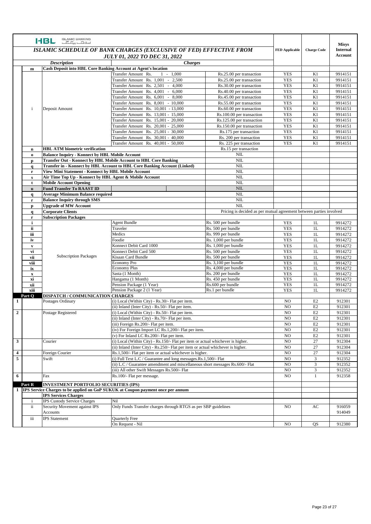|                         |                                                                    | <b>ISLAMIC BANKING</b><br><b>I-BL ISLAMIC BANKING</b>                                                          |                                                                                          |                                                                     |                          |                                 |                    |
|-------------------------|--------------------------------------------------------------------|----------------------------------------------------------------------------------------------------------------|------------------------------------------------------------------------------------------|---------------------------------------------------------------------|--------------------------|---------------------------------|--------------------|
|                         | ISLAMIC SCHEDULE OF BANK CHARGES (EXCLUSIVE OF FED) EFFECTIVE FROM |                                                                                                                |                                                                                          | <b>FED Applicable</b>                                               | <b>Charge Code</b>       | <b>Misys</b><br><b>Internal</b> |                    |
|                         |                                                                    |                                                                                                                | <b>JULY 01, 2022 TO DEC 31, 2022</b>                                                     |                                                                     |                          |                                 | <b>Account</b>     |
|                         |                                                                    | <b>Description</b>                                                                                             | <b>Charges</b>                                                                           |                                                                     |                          |                                 |                    |
|                         | $\mathbf m$                                                        | <b>Cash Deposit into HBL Core Banking Account at Agent's location</b>                                          |                                                                                          |                                                                     |                          |                                 |                    |
|                         |                                                                    |                                                                                                                | Transfer Amount Rs.<br>$1 - 1,000$                                                       | Rs.25.00 per transaction                                            | <b>YES</b>               | K1                              | 9914151            |
|                         |                                                                    |                                                                                                                | 2,500<br>Transfer Amount Rs. 1,001 -                                                     | Rs.25.00 per transaction                                            | <b>YES</b>               | K1                              | 9914151            |
|                         |                                                                    |                                                                                                                | Transfer Amount Rs. 2,501<br>$-4,000$                                                    | Rs.30.00 per transaction                                            | <b>YES</b>               | K1                              | 9914151            |
|                         |                                                                    |                                                                                                                | Transfer Amount Rs. 4,001<br>$\sim$<br>6,000                                             | Rs.40.00 per transaction                                            | <b>YES</b>               | K1                              | 9914151            |
|                         |                                                                    |                                                                                                                | Transfer Amount Rs. 6,001 - 8,000                                                        | Rs.45.00 per transaction                                            | <b>YES</b>               | K1                              | 9914151            |
|                         | i                                                                  |                                                                                                                | Transfer Amount Rs. 8,001 - 10,000<br>Transfer Amount Rs. 10,001 - 13,000                | Rs.55.00 per transaction<br>Rs.60.00 per transaction                | <b>YES</b><br><b>YES</b> | K1<br>K1                        | 9914151<br>9914151 |
|                         |                                                                    | Deposit Amount                                                                                                 | Transfer Amount Rs. 13,001 - 15,000                                                      | Rs.100.00 per transaction                                           | <b>YES</b>               | K1                              | 9914151            |
|                         |                                                                    |                                                                                                                | Transfer Amount Rs. 15,001 - 20,000                                                      | Rs.125.00 per transaction                                           | <b>YES</b>               | K1                              | 9914151            |
|                         |                                                                    |                                                                                                                | Transfer Amount Rs. 20,001 - 25,000                                                      | Rs.150.00 per transaction                                           | <b>YES</b>               | K1                              | 9914151            |
|                         |                                                                    |                                                                                                                | Transfer Amount Rs. 25,001 - 30,000                                                      | Rs.175 per transaction                                              | <b>YES</b>               | K1                              | 9914151            |
|                         |                                                                    |                                                                                                                | Transfer Amount Rs. 30,001 - 40,000                                                      | Rs. 200 per transaction                                             | <b>YES</b>               | K1                              | 9914151            |
|                         |                                                                    |                                                                                                                | Transfer Amount Rs. 40,001 - 50,000                                                      | Rs. 225 per transaction                                             | <b>YES</b>               | K1                              | 9914151            |
|                         | $\bf n$                                                            | <b>HBL ATM biometric verification</b>                                                                          |                                                                                          | Rs.15 per transaction                                               |                          |                                 |                    |
|                         | $\mathbf 0$                                                        | <b>Balance Inquiry - Konnect by HBL Mobile Account</b>                                                         |                                                                                          | <b>NIL</b>                                                          |                          |                                 |                    |
|                         | p                                                                  |                                                                                                                | Transfer Out - Konnect by HBL Mobile Account to HBL Core Banking                         | NIL                                                                 |                          |                                 |                    |
|                         | $\mathbf q$                                                        |                                                                                                                | Transfer in - Konnect by HBL Account to HBL Core Banking Account (Linked)                | NIL                                                                 |                          |                                 |                    |
|                         | r                                                                  | View Mini Statement - Konnect by HBL Mobile Account<br>Air Time Top Up - Konnect by HBL Agent & Mobile Account |                                                                                          | <b>NIL</b><br>NIL                                                   |                          |                                 |                    |
|                         | s<br>t                                                             | <b>Mobile Account Opening</b>                                                                                  |                                                                                          | <b>NIL</b>                                                          |                          |                                 |                    |
|                         | $\mathbf{u}$                                                       | <b>Fund Transfer To RAAST ID</b>                                                                               |                                                                                          | <b>NIL</b>                                                          |                          |                                 |                    |
|                         | q                                                                  | <b>Average Minimum Balance required</b>                                                                        |                                                                                          | <b>NIL</b>                                                          |                          |                                 |                    |
|                         | r                                                                  | <b>Balance Inquiry through SMS</b>                                                                             |                                                                                          | NIL                                                                 |                          |                                 |                    |
|                         | p                                                                  | <b>Upgrade of MW Account</b>                                                                                   |                                                                                          | <b>NIL</b>                                                          |                          |                                 |                    |
|                         | $\mathbf{q}$                                                       | <b>Corporate Clients</b>                                                                                       |                                                                                          | Pricing is decided as per mutual agreement between parties involved |                          |                                 |                    |
|                         | $\mathbf r$                                                        | <b>Subscription Packages</b>                                                                                   |                                                                                          |                                                                     |                          |                                 |                    |
|                         | i                                                                  |                                                                                                                | <b>Agent Bundle</b>                                                                      | Rs. 500 per bundle                                                  | <b>YES</b>               | 1L                              | 9914272            |
|                         | ii                                                                 |                                                                                                                | Traveler                                                                                 | Rs. 500 per bundle                                                  | <b>YES</b>               | 1 <sub>L</sub>                  | 9914272            |
|                         | iii                                                                |                                                                                                                | Medics                                                                                   | Rs. 999 per bundle                                                  | <b>YES</b>               | 1L                              | 9914272            |
|                         | iv                                                                 |                                                                                                                | Foodie                                                                                   | Rs. 1,000 per bundle                                                | <b>YES</b>               | 1 <sub>L</sub>                  | 9914272            |
|                         | $\mathbf{v}$                                                       |                                                                                                                | Konnect Debit Card 1000                                                                  | Rs. 1,000 per bundle                                                | <b>YES</b>               | 1L                              | 9914272            |
|                         | vi<br>vii                                                          | <b>Subscription Packages</b>                                                                                   | Konnect Debit Card 500<br>Kisaan Card Bundle                                             | Rs. 500 per bundle<br>Rs. 500 per bundle                            | <b>YES</b><br><b>YES</b> | 1L<br>1L                        | 9914272<br>9914272 |
|                         | viii                                                               |                                                                                                                | <b>Economy Pro</b>                                                                       | Rs. 3,100 per bundle                                                | <b>YES</b>               | 1L                              | 9914272            |
|                         | ix                                                                 |                                                                                                                | <b>Economy Plus</b>                                                                      | Rs. 4,000 per bundle                                                | <b>YES</b>               | 1L                              | 9914272            |
|                         | $\mathbf x$                                                        |                                                                                                                | Sasta (1 Month)                                                                          | Rs. 200 per bundle                                                  | <b>YES</b>               | 1 <sub>L</sub>                  | 9914272            |
|                         | хi                                                                 |                                                                                                                | Hangama (1 Month)                                                                        | Rs. 450 per bundle                                                  | <b>YES</b>               | 1 <sub>L</sub>                  | 9914272            |
|                         | xii                                                                |                                                                                                                | Pension Package (1 Year)                                                                 | Rs.600 per bundle                                                   | <b>YES</b>               | 1 <sub>L</sub>                  | 9914272            |
|                         | xiii                                                               |                                                                                                                | Pension Package 2 (1 Year)                                                               | Rs.1 per bundle                                                     | <b>YES</b>               | 1L                              | 9914272            |
| 1                       | Part Q                                                             | <b>DISPATCH / COMMUNICATION CHARGES</b>                                                                        | (i) Local (Within City) - Rs.30/- Flat per item.                                         |                                                                     | N <sub>O</sub>           | E2                              | 912301             |
|                         |                                                                    | Postages Ordinary                                                                                              | (ii) Inland (Inter City) - Rs.50/- Flat per item.                                        |                                                                     | N <sub>O</sub>           | E <sub>2</sub>                  | 912301             |
| $\mathbf{2}$            |                                                                    | Postage Registered                                                                                             | (i) Local (Within City) - Rs.50/- Flat per item.                                         |                                                                     | N <sub>O</sub>           | E2                              | 912301             |
|                         |                                                                    |                                                                                                                | (ii) Inland (Inter City) - Rs.70/- Flat per item.                                        |                                                                     | N <sub>O</sub>           | E2                              | 912301             |
|                         |                                                                    |                                                                                                                | (iii) Foreign Rs.200/- Flat per item.                                                    |                                                                     | N <sub>O</sub>           | E <sub>2</sub>                  | 912301             |
|                         |                                                                    |                                                                                                                | (iv) For Foreign Import LC Rs.1,200/- Flat per item.                                     |                                                                     | N <sub>O</sub>           | E2                              | 912301             |
|                         |                                                                    |                                                                                                                | (v) For Inland LC Rs.200/- Flat per item.                                                |                                                                     | N <sub>O</sub>           | E2                              | 912301             |
| $\mathbf{3}$            |                                                                    | Courier                                                                                                        | (i) Local (Within City) - Rs.150/- Flat per item or actual whichever is higher.          |                                                                     | N <sub>O</sub>           | 27                              | 912304             |
|                         |                                                                    |                                                                                                                | (ii) Inland (Inter City) - Rs.250/- Flat per item or actual whichever is higher.         |                                                                     | N <sub>O</sub>           | 27                              | 912304             |
| $\overline{\mathbf{4}}$ |                                                                    | Foreign Courier                                                                                                | Rs.1,500/- Flat per item or actual whichever is higher.                                  |                                                                     | NO                       | 27                              | 912304             |
| 5                       |                                                                    | Swift                                                                                                          | (i) Full Text L.C / Guarantee and long messages.Rs.1,500/- Flat                          |                                                                     | NO.                      | 3                               | 912352             |
|                         |                                                                    |                                                                                                                | (ii) L.C / Guarantee amendment and miscellaneous short messages Rs.600/- Flat            |                                                                     | NO.                      | 3                               | 912352             |
|                         |                                                                    |                                                                                                                | (iii) All other Swift Messages Rs.500/- Flat                                             |                                                                     | NO.                      | 3                               | 912352             |
| 6                       |                                                                    | Fax                                                                                                            | Rs.100/- Flat per message.                                                               |                                                                     | NO.                      | $\mathbf{1}$                    | 912358             |
|                         | Part R                                                             | <b>INVESTMENT PORTFOLIO SECURITIES (IPS)</b>                                                                   |                                                                                          |                                                                     |                          |                                 |                    |
|                         |                                                                    |                                                                                                                | 1 <b>IPS</b> Service Charges to be applied on GoP SUKUK at Coupon payment once per annum |                                                                     |                          |                                 |                    |
|                         |                                                                    | <b>IPS Services Charges</b>                                                                                    |                                                                                          |                                                                     |                          |                                 |                    |
|                         | $\mathbf{i}$                                                       | <b>IPS Custody Service Charges</b>                                                                             | Nil                                                                                      |                                                                     |                          |                                 |                    |
|                         | ii                                                                 | Security Movement against IPS<br>Accounts                                                                      | Only Funds Transfer charges through RTGS as per SBP guidelines                           |                                                                     | N <sub>O</sub>           | AC                              | 916059<br>914049   |
|                         | iii                                                                | <b>IPS</b> Statement                                                                                           | Quarterly Free                                                                           |                                                                     |                          |                                 |                    |
|                         |                                                                    |                                                                                                                | On Request - Nil                                                                         |                                                                     | NO.                      | QS                              | 912380             |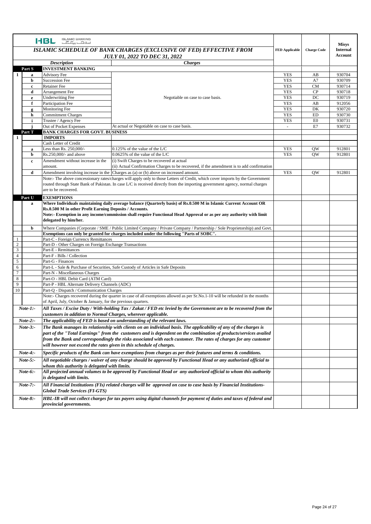|                 | <b>ISLAMIC BANKING</b><br><b>I-BL EFW</b>                                                                                       |                                                                                                                                                                                                                                                                                                                                                                                                                                                                                                                                                                                                                                                                                                                                                                                                                                                                                                                                                                                                                                                                                                                                                                                                                                                                                                                     |                       |                                                                                                                                                                                                                                                                                 |                 |
|-----------------|---------------------------------------------------------------------------------------------------------------------------------|---------------------------------------------------------------------------------------------------------------------------------------------------------------------------------------------------------------------------------------------------------------------------------------------------------------------------------------------------------------------------------------------------------------------------------------------------------------------------------------------------------------------------------------------------------------------------------------------------------------------------------------------------------------------------------------------------------------------------------------------------------------------------------------------------------------------------------------------------------------------------------------------------------------------------------------------------------------------------------------------------------------------------------------------------------------------------------------------------------------------------------------------------------------------------------------------------------------------------------------------------------------------------------------------------------------------|-----------------------|---------------------------------------------------------------------------------------------------------------------------------------------------------------------------------------------------------------------------------------------------------------------------------|-----------------|
|                 |                                                                                                                                 | <b>ISLAMIC SCHEDULE OF BANK CHARGES (EXCLUSIVE OF FED) EFFECTIVE FROM</b>                                                                                                                                                                                                                                                                                                                                                                                                                                                                                                                                                                                                                                                                                                                                                                                                                                                                                                                                                                                                                                                                                                                                                                                                                                           | <b>FED Applicable</b> |                                                                                                                                                                                                                                                                                 | <b>Internal</b> |
|                 |                                                                                                                                 |                                                                                                                                                                                                                                                                                                                                                                                                                                                                                                                                                                                                                                                                                                                                                                                                                                                                                                                                                                                                                                                                                                                                                                                                                                                                                                                     |                       |                                                                                                                                                                                                                                                                                 | <b>Account</b>  |
|                 | <b>Description</b>                                                                                                              |                                                                                                                                                                                                                                                                                                                                                                                                                                                                                                                                                                                                                                                                                                                                                                                                                                                                                                                                                                                                                                                                                                                                                                                                                                                                                                                     |                       |                                                                                                                                                                                                                                                                                 |                 |
| Part S          | <b>INVESTMENT BANKING</b>                                                                                                       |                                                                                                                                                                                                                                                                                                                                                                                                                                                                                                                                                                                                                                                                                                                                                                                                                                                                                                                                                                                                                                                                                                                                                                                                                                                                                                                     |                       |                                                                                                                                                                                                                                                                                 |                 |
| 1<br>a          | <b>Advisory Fee</b>                                                                                                             |                                                                                                                                                                                                                                                                                                                                                                                                                                                                                                                                                                                                                                                                                                                                                                                                                                                                                                                                                                                                                                                                                                                                                                                                                                                                                                                     | YES                   | AB                                                                                                                                                                                                                                                                              | 930704          |
| b               | <b>Succession Fee</b>                                                                                                           |                                                                                                                                                                                                                                                                                                                                                                                                                                                                                                                                                                                                                                                                                                                                                                                                                                                                                                                                                                                                                                                                                                                                                                                                                                                                                                                     | <b>YES</b>            | A7                                                                                                                                                                                                                                                                              | 930709          |
| c               | <b>Retainer</b> Fee                                                                                                             |                                                                                                                                                                                                                                                                                                                                                                                                                                                                                                                                                                                                                                                                                                                                                                                                                                                                                                                                                                                                                                                                                                                                                                                                                                                                                                                     | <b>YES</b>            | <b>CM</b>                                                                                                                                                                                                                                                                       | 930714          |
| d               | Arrangement Fee                                                                                                                 |                                                                                                                                                                                                                                                                                                                                                                                                                                                                                                                                                                                                                                                                                                                                                                                                                                                                                                                                                                                                                                                                                                                                                                                                                                                                                                                     | <b>YES</b>            | CP                                                                                                                                                                                                                                                                              | 930718          |
| e               | <b>Underwriting Fee</b>                                                                                                         | Negotiable on case to case basis.                                                                                                                                                                                                                                                                                                                                                                                                                                                                                                                                                                                                                                                                                                                                                                                                                                                                                                                                                                                                                                                                                                                                                                                                                                                                                   | <b>YES</b>            | DC                                                                                                                                                                                                                                                                              | 930719          |
| f               | Participation Fee                                                                                                               |                                                                                                                                                                                                                                                                                                                                                                                                                                                                                                                                                                                                                                                                                                                                                                                                                                                                                                                                                                                                                                                                                                                                                                                                                                                                                                                     | <b>YES</b>            | <b>Misys</b><br><b>Charge Code</b><br>AB<br><b>YES</b><br>DK<br><b>YES</b><br>ED<br>930730<br><b>YES</b><br>E <sub>0</sub><br>930731<br>930732<br>$\omega$<br>E7<br>912801<br><b>YES</b><br><b>OW</b><br><b>YES</b><br><b>OW</b><br>912801<br><b>YES</b><br>912801<br><b>OW</b> | 912056          |
| g               | Monitoring Fee                                                                                                                  |                                                                                                                                                                                                                                                                                                                                                                                                                                                                                                                                                                                                                                                                                                                                                                                                                                                                                                                                                                                                                                                                                                                                                                                                                                                                                                                     |                       |                                                                                                                                                                                                                                                                                 | 930720          |
| h               | <b>Commitment Charges</b>                                                                                                       | <b>JULY 01, 2022 TO DEC 31, 2022</b><br><b>Charges</b><br>At actual or Negotiable on case to case basis.<br>$0.125\%$ of the value of the L/C<br>$0.0625\%$ of the value of the L/C<br>(i) Swift Charges to be recovered at actual<br>(ii) Actual Confirmation Charges to be recovered, if the amendment is to add confirmation<br>Amendment involving increase in the Charges as (a) or (b) above on increased amount.<br>Note:- The above concessionary rates/charges will apply only to those Letters of Credit, which cover imports by the Government<br>routed through State Bank of Pakistan. In case L/C is received directly from the importing government agency, normal charges<br>Where Individuals maintaining daily average balance (Quarterly basis) of Rs.0.500 M in Islamic Current Account OR<br>Rs.0.500 M in other Profit Earning Deposits / Accounts.<br>Note:- Exemption in any income/commission shall require Functional Head Approval or as per any authority with limit<br>Exemptions can only be granted for charges included under the following "Parts of SOBC".<br>Part-L - Sale & Purchase of Securities, Safe Custody of Articles in Safe Deposits<br>Note:- Charges recovered during the quarter in case of all exemptions allowed as per Sr.No.1-10 will be refunded in the months |                       |                                                                                                                                                                                                                                                                                 |                 |
| i               | Trustee / Agency Fee                                                                                                            |                                                                                                                                                                                                                                                                                                                                                                                                                                                                                                                                                                                                                                                                                                                                                                                                                                                                                                                                                                                                                                                                                                                                                                                                                                                                                                                     |                       |                                                                                                                                                                                                                                                                                 |                 |
|                 | Out of Pocket Expenses                                                                                                          |                                                                                                                                                                                                                                                                                                                                                                                                                                                                                                                                                                                                                                                                                                                                                                                                                                                                                                                                                                                                                                                                                                                                                                                                                                                                                                                     |                       |                                                                                                                                                                                                                                                                                 |                 |
| Part T          | <b>BANK CHARGES FOR GOVT. BUSINESS</b>                                                                                          |                                                                                                                                                                                                                                                                                                                                                                                                                                                                                                                                                                                                                                                                                                                                                                                                                                                                                                                                                                                                                                                                                                                                                                                                                                                                                                                     |                       |                                                                                                                                                                                                                                                                                 |                 |
| 1               | <b>IMPORTS</b><br>Cash Letter of Credit                                                                                         |                                                                                                                                                                                                                                                                                                                                                                                                                                                                                                                                                                                                                                                                                                                                                                                                                                                                                                                                                                                                                                                                                                                                                                                                                                                                                                                     |                       |                                                                                                                                                                                                                                                                                 |                 |
|                 | Less than Rs. 250,000/-                                                                                                         |                                                                                                                                                                                                                                                                                                                                                                                                                                                                                                                                                                                                                                                                                                                                                                                                                                                                                                                                                                                                                                                                                                                                                                                                                                                                                                                     |                       |                                                                                                                                                                                                                                                                                 |                 |
| a<br>b          | Rs.250,000/- and above                                                                                                          |                                                                                                                                                                                                                                                                                                                                                                                                                                                                                                                                                                                                                                                                                                                                                                                                                                                                                                                                                                                                                                                                                                                                                                                                                                                                                                                     |                       |                                                                                                                                                                                                                                                                                 |                 |
|                 | Amendment without increase in the                                                                                               |                                                                                                                                                                                                                                                                                                                                                                                                                                                                                                                                                                                                                                                                                                                                                                                                                                                                                                                                                                                                                                                                                                                                                                                                                                                                                                                     |                       |                                                                                                                                                                                                                                                                                 |                 |
| c               | amount.                                                                                                                         |                                                                                                                                                                                                                                                                                                                                                                                                                                                                                                                                                                                                                                                                                                                                                                                                                                                                                                                                                                                                                                                                                                                                                                                                                                                                                                                     |                       |                                                                                                                                                                                                                                                                                 |                 |
| d               |                                                                                                                                 |                                                                                                                                                                                                                                                                                                                                                                                                                                                                                                                                                                                                                                                                                                                                                                                                                                                                                                                                                                                                                                                                                                                                                                                                                                                                                                                     |                       |                                                                                                                                                                                                                                                                                 |                 |
|                 |                                                                                                                                 |                                                                                                                                                                                                                                                                                                                                                                                                                                                                                                                                                                                                                                                                                                                                                                                                                                                                                                                                                                                                                                                                                                                                                                                                                                                                                                                     |                       |                                                                                                                                                                                                                                                                                 |                 |
|                 |                                                                                                                                 |                                                                                                                                                                                                                                                                                                                                                                                                                                                                                                                                                                                                                                                                                                                                                                                                                                                                                                                                                                                                                                                                                                                                                                                                                                                                                                                     |                       |                                                                                                                                                                                                                                                                                 |                 |
|                 | are to be recovered.                                                                                                            |                                                                                                                                                                                                                                                                                                                                                                                                                                                                                                                                                                                                                                                                                                                                                                                                                                                                                                                                                                                                                                                                                                                                                                                                                                                                                                                     |                       |                                                                                                                                                                                                                                                                                 |                 |
|                 |                                                                                                                                 |                                                                                                                                                                                                                                                                                                                                                                                                                                                                                                                                                                                                                                                                                                                                                                                                                                                                                                                                                                                                                                                                                                                                                                                                                                                                                                                     |                       |                                                                                                                                                                                                                                                                                 |                 |
| Part U          | <b>EXEMPTIONS</b>                                                                                                               |                                                                                                                                                                                                                                                                                                                                                                                                                                                                                                                                                                                                                                                                                                                                                                                                                                                                                                                                                                                                                                                                                                                                                                                                                                                                                                                     |                       |                                                                                                                                                                                                                                                                                 |                 |
| a               |                                                                                                                                 |                                                                                                                                                                                                                                                                                                                                                                                                                                                                                                                                                                                                                                                                                                                                                                                                                                                                                                                                                                                                                                                                                                                                                                                                                                                                                                                     |                       |                                                                                                                                                                                                                                                                                 |                 |
|                 |                                                                                                                                 |                                                                                                                                                                                                                                                                                                                                                                                                                                                                                                                                                                                                                                                                                                                                                                                                                                                                                                                                                                                                                                                                                                                                                                                                                                                                                                                     |                       |                                                                                                                                                                                                                                                                                 |                 |
|                 | delegated by him/her.                                                                                                           |                                                                                                                                                                                                                                                                                                                                                                                                                                                                                                                                                                                                                                                                                                                                                                                                                                                                                                                                                                                                                                                                                                                                                                                                                                                                                                                     |                       |                                                                                                                                                                                                                                                                                 |                 |
|                 |                                                                                                                                 |                                                                                                                                                                                                                                                                                                                                                                                                                                                                                                                                                                                                                                                                                                                                                                                                                                                                                                                                                                                                                                                                                                                                                                                                                                                                                                                     |                       |                                                                                                                                                                                                                                                                                 |                 |
|                 | Where Companies (Corporate / SME / Public Limited Company / Private Company / Partnership / Sole Proprietorship) and Govt.<br>b |                                                                                                                                                                                                                                                                                                                                                                                                                                                                                                                                                                                                                                                                                                                                                                                                                                                                                                                                                                                                                                                                                                                                                                                                                                                                                                                     |                       |                                                                                                                                                                                                                                                                                 |                 |
| -1              | Part-C - Foreign Currency Remittances                                                                                           |                                                                                                                                                                                                                                                                                                                                                                                                                                                                                                                                                                                                                                                                                                                                                                                                                                                                                                                                                                                                                                                                                                                                                                                                                                                                                                                     |                       |                                                                                                                                                                                                                                                                                 |                 |
| 2               | Part-D - Other Charges on Foreign Exchange Transactions                                                                         |                                                                                                                                                                                                                                                                                                                                                                                                                                                                                                                                                                                                                                                                                                                                                                                                                                                                                                                                                                                                                                                                                                                                                                                                                                                                                                                     |                       |                                                                                                                                                                                                                                                                                 |                 |
| 3               | Part-E - Remittances                                                                                                            |                                                                                                                                                                                                                                                                                                                                                                                                                                                                                                                                                                                                                                                                                                                                                                                                                                                                                                                                                                                                                                                                                                                                                                                                                                                                                                                     |                       |                                                                                                                                                                                                                                                                                 |                 |
| $\overline{4}$  | Part-F - Bills / Collection                                                                                                     |                                                                                                                                                                                                                                                                                                                                                                                                                                                                                                                                                                                                                                                                                                                                                                                                                                                                                                                                                                                                                                                                                                                                                                                                                                                                                                                     |                       |                                                                                                                                                                                                                                                                                 |                 |
| 5               | Part-G - Finances                                                                                                               |                                                                                                                                                                                                                                                                                                                                                                                                                                                                                                                                                                                                                                                                                                                                                                                                                                                                                                                                                                                                                                                                                                                                                                                                                                                                                                                     |                       |                                                                                                                                                                                                                                                                                 |                 |
| 6               |                                                                                                                                 |                                                                                                                                                                                                                                                                                                                                                                                                                                                                                                                                                                                                                                                                                                                                                                                                                                                                                                                                                                                                                                                                                                                                                                                                                                                                                                                     |                       |                                                                                                                                                                                                                                                                                 |                 |
| $\overline{7}$  | Part-N - Miscellaneous Charges                                                                                                  |                                                                                                                                                                                                                                                                                                                                                                                                                                                                                                                                                                                                                                                                                                                                                                                                                                                                                                                                                                                                                                                                                                                                                                                                                                                                                                                     |                       |                                                                                                                                                                                                                                                                                 |                 |
| 8               | Part-O - HBL Debit Card (ATM Card)                                                                                              |                                                                                                                                                                                                                                                                                                                                                                                                                                                                                                                                                                                                                                                                                                                                                                                                                                                                                                                                                                                                                                                                                                                                                                                                                                                                                                                     |                       |                                                                                                                                                                                                                                                                                 |                 |
| 9               | Part-P - HBL Alternate Delivery Channels (ADC)                                                                                  |                                                                                                                                                                                                                                                                                                                                                                                                                                                                                                                                                                                                                                                                                                                                                                                                                                                                                                                                                                                                                                                                                                                                                                                                                                                                                                                     |                       |                                                                                                                                                                                                                                                                                 |                 |
| 10              | Part-Q - Dispatch / Communication Charges                                                                                       |                                                                                                                                                                                                                                                                                                                                                                                                                                                                                                                                                                                                                                                                                                                                                                                                                                                                                                                                                                                                                                                                                                                                                                                                                                                                                                                     |                       |                                                                                                                                                                                                                                                                                 |                 |
|                 |                                                                                                                                 |                                                                                                                                                                                                                                                                                                                                                                                                                                                                                                                                                                                                                                                                                                                                                                                                                                                                                                                                                                                                                                                                                                                                                                                                                                                                                                                     |                       |                                                                                                                                                                                                                                                                                 |                 |
|                 | of April, July, October & January, for the previous quarters.                                                                   |                                                                                                                                                                                                                                                                                                                                                                                                                                                                                                                                                                                                                                                                                                                                                                                                                                                                                                                                                                                                                                                                                                                                                                                                                                                                                                                     |                       |                                                                                                                                                                                                                                                                                 |                 |
| $Note-1:-$      |                                                                                                                                 | All Taxes / Excise Duty / With-holding Tax / Zakat / FED etc levied by the Government are to be recovered from the                                                                                                                                                                                                                                                                                                                                                                                                                                                                                                                                                                                                                                                                                                                                                                                                                                                                                                                                                                                                                                                                                                                                                                                                  |                       |                                                                                                                                                                                                                                                                                 |                 |
|                 | customers in addition to Normal Charges, wherever applicable.                                                                   |                                                                                                                                                                                                                                                                                                                                                                                                                                                                                                                                                                                                                                                                                                                                                                                                                                                                                                                                                                                                                                                                                                                                                                                                                                                                                                                     |                       |                                                                                                                                                                                                                                                                                 |                 |
| $Note-2:$       |                                                                                                                                 | The applicability of FED is based on understanding of the relevant laws.                                                                                                                                                                                                                                                                                                                                                                                                                                                                                                                                                                                                                                                                                                                                                                                                                                                                                                                                                                                                                                                                                                                                                                                                                                            |                       |                                                                                                                                                                                                                                                                                 |                 |
| $Note-3: -$     |                                                                                                                                 | The Bank manages its relationship with clients on an individual basis. The applicability of any of the charges is                                                                                                                                                                                                                                                                                                                                                                                                                                                                                                                                                                                                                                                                                                                                                                                                                                                                                                                                                                                                                                                                                                                                                                                                   |                       |                                                                                                                                                                                                                                                                                 |                 |
|                 |                                                                                                                                 | part of the "Total Earnings" from the customers and is dependent on the combination of products/services availed                                                                                                                                                                                                                                                                                                                                                                                                                                                                                                                                                                                                                                                                                                                                                                                                                                                                                                                                                                                                                                                                                                                                                                                                    |                       |                                                                                                                                                                                                                                                                                 |                 |
|                 |                                                                                                                                 | from the Bank and correspondingly the risks associated with each customer. The rates of charges for any customer                                                                                                                                                                                                                                                                                                                                                                                                                                                                                                                                                                                                                                                                                                                                                                                                                                                                                                                                                                                                                                                                                                                                                                                                    |                       |                                                                                                                                                                                                                                                                                 |                 |
|                 | will however not exceed the rates given in this schedule of charges.                                                            |                                                                                                                                                                                                                                                                                                                                                                                                                                                                                                                                                                                                                                                                                                                                                                                                                                                                                                                                                                                                                                                                                                                                                                                                                                                                                                                     |                       |                                                                                                                                                                                                                                                                                 |                 |
| $Note-4: -$     | Specific products of the Bank can have exemptions from charges as per their features and terms & conditions.                    |                                                                                                                                                                                                                                                                                                                                                                                                                                                                                                                                                                                                                                                                                                                                                                                                                                                                                                                                                                                                                                                                                                                                                                                                                                                                                                                     |                       |                                                                                                                                                                                                                                                                                 |                 |
|                 |                                                                                                                                 |                                                                                                                                                                                                                                                                                                                                                                                                                                                                                                                                                                                                                                                                                                                                                                                                                                                                                                                                                                                                                                                                                                                                                                                                                                                                                                                     |                       |                                                                                                                                                                                                                                                                                 |                 |
| $Note-5:-$      |                                                                                                                                 | All negotiable charges / waiver of any charge should be approved by Functional Head or any authorized official to                                                                                                                                                                                                                                                                                                                                                                                                                                                                                                                                                                                                                                                                                                                                                                                                                                                                                                                                                                                                                                                                                                                                                                                                   |                       |                                                                                                                                                                                                                                                                                 |                 |
|                 | whom this authority is delegated with limits.                                                                                   |                                                                                                                                                                                                                                                                                                                                                                                                                                                                                                                                                                                                                                                                                                                                                                                                                                                                                                                                                                                                                                                                                                                                                                                                                                                                                                                     |                       |                                                                                                                                                                                                                                                                                 |                 |
| $Note-6:-$      | is delegated with limits.                                                                                                       | All projected annual volumes to be approved by Functional Head or any authorized official to whom this authority                                                                                                                                                                                                                                                                                                                                                                                                                                                                                                                                                                                                                                                                                                                                                                                                                                                                                                                                                                                                                                                                                                                                                                                                    |                       |                                                                                                                                                                                                                                                                                 |                 |
| Note-7:-        |                                                                                                                                 | All Financial Institutions (FIs) related charges will be approved on case to case basis by Financial Institutions-                                                                                                                                                                                                                                                                                                                                                                                                                                                                                                                                                                                                                                                                                                                                                                                                                                                                                                                                                                                                                                                                                                                                                                                                  |                       |                                                                                                                                                                                                                                                                                 |                 |
|                 | <b>Global Trade Services (FI-GTS)</b>                                                                                           |                                                                                                                                                                                                                                                                                                                                                                                                                                                                                                                                                                                                                                                                                                                                                                                                                                                                                                                                                                                                                                                                                                                                                                                                                                                                                                                     |                       |                                                                                                                                                                                                                                                                                 |                 |
| <i>Note-8:-</i> |                                                                                                                                 | HBL-IB will not collect charges for tax payers using digital channels for payment of duties and taxes of federal and                                                                                                                                                                                                                                                                                                                                                                                                                                                                                                                                                                                                                                                                                                                                                                                                                                                                                                                                                                                                                                                                                                                                                                                                |                       |                                                                                                                                                                                                                                                                                 |                 |
|                 | provincial governments.                                                                                                         |                                                                                                                                                                                                                                                                                                                                                                                                                                                                                                                                                                                                                                                                                                                                                                                                                                                                                                                                                                                                                                                                                                                                                                                                                                                                                                                     |                       |                                                                                                                                                                                                                                                                                 |                 |
|                 |                                                                                                                                 |                                                                                                                                                                                                                                                                                                                                                                                                                                                                                                                                                                                                                                                                                                                                                                                                                                                                                                                                                                                                                                                                                                                                                                                                                                                                                                                     |                       |                                                                                                                                                                                                                                                                                 |                 |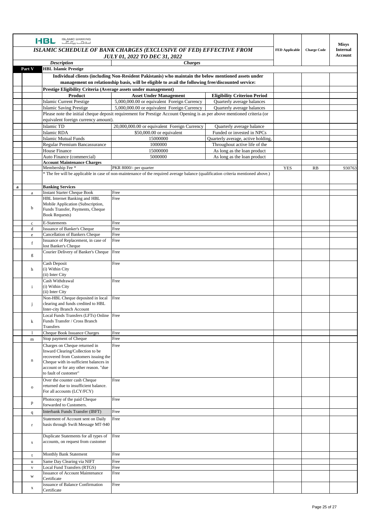|             |                  | <b>ISLAMIC BANKING</b><br>I-BL <b>EE</b>                                       |                                                                                                                                   |                                                            |            |                    |                                 |
|-------------|------------------|--------------------------------------------------------------------------------|-----------------------------------------------------------------------------------------------------------------------------------|------------------------------------------------------------|------------|--------------------|---------------------------------|
|             |                  | ISLAMIC SCHEDULE OF BANK CHARGES (EXCLUSIVE OF FED) EFFECTIVE FROM             |                                                                                                                                   |                                                            |            | <b>Charge Code</b> | <b>Misys</b><br><b>Internal</b> |
|             |                  |                                                                                | <b>JULY 01, 2022 TO DEC 31, 2022</b>                                                                                              |                                                            |            |                    | <b>Account</b>                  |
|             | Part V           | <b>Description</b><br><b>HBL Islamic Prestige</b>                              | <b>Charges</b>                                                                                                                    |                                                            |            |                    |                                 |
|             |                  |                                                                                | Individual clients (including Non-Resident Pakistanis) who maintain the below mentioned assets under                              |                                                            |            |                    |                                 |
|             |                  |                                                                                | management on relationship basis, will be eligible to avail the following free/discounted service:                                |                                                            |            |                    |                                 |
|             |                  | <b>Prestige Eligibility Criteria (Average assets under management)</b>         |                                                                                                                                   |                                                            |            |                    |                                 |
|             |                  | Product                                                                        | <b>Asset Under Management</b>                                                                                                     | <b>Eligibility Criterion Period</b>                        |            |                    |                                 |
|             |                  | <b>Islamic Current Prestige</b><br><b>Islamic Saving Prestige</b>              | 5,000,000.00 or equivalent Foreign Currency<br>5,000,000.00 or equivalent Foreign Currency                                        | Quarterly average balances<br>Quarterly average balances   |            |                    |                                 |
|             |                  |                                                                                | Please note the initial cheque deposit requirement for Prestige Account Opening is as per above mentioned criteria (or            |                                                            |            |                    |                                 |
|             |                  | equivalent foreign currency amount).                                           |                                                                                                                                   |                                                            |            |                    |                                 |
|             |                  | Islamic TD                                                                     | 20,000,000.00 or equivalent Foreign Currency                                                                                      | Quarterly average balance                                  |            |                    |                                 |
|             |                  | Islamic RDA                                                                    | \$50,000.00 or equivalent                                                                                                         | Funded or invested in NPCs                                 |            |                    |                                 |
|             |                  | <b>Islamic Mutual Funds</b>                                                    | 15000000                                                                                                                          | Quarterly average, active holding,                         |            |                    |                                 |
|             |                  | Regular Premium Bancassurance<br><b>House Finance</b>                          | 1000000<br>15000000                                                                                                               | Throughout active life of the                              |            |                    |                                 |
|             |                  | Auto Finance (commercial)                                                      | 5000000                                                                                                                           | As long as the loan product<br>As long as the loan product |            |                    |                                 |
|             |                  | <b>Account Maintenance Charges</b>                                             |                                                                                                                                   |                                                            |            |                    |                                 |
|             |                  | Membership Fee *                                                               | PKR 8000/- per quarter                                                                                                            |                                                            | <b>YES</b> | RB                 | 930763                          |
|             |                  |                                                                                | * The fee will be applicable in case of non-maintenance of the required average balance (qualification criteria mentioned above.) |                                                            |            |                    |                                 |
|             |                  |                                                                                |                                                                                                                                   |                                                            |            |                    |                                 |
| $\mathbf a$ | a                | <b>Banking Services</b><br><b>Instant Starter Cheque Book</b>                  | Free                                                                                                                              |                                                            |            |                    |                                 |
|             |                  | HBL Internet Banking and HBL                                                   | Free                                                                                                                              |                                                            |            |                    |                                 |
|             | b                | Mobile Application (Subscription,                                              |                                                                                                                                   |                                                            |            |                    |                                 |
|             |                  | Funds Transfer, Payments, Cheque<br><b>Book Requests)</b>                      |                                                                                                                                   |                                                            |            |                    |                                 |
|             |                  |                                                                                |                                                                                                                                   |                                                            |            |                    |                                 |
|             | $\mathbf c$<br>d | E-Statements<br>Issuance of Banker's Cheque                                    | Free<br>Free                                                                                                                      |                                                            |            |                    |                                 |
|             | $\rm e$          | <b>Cancellation of Bankers Cheque</b>                                          | Free                                                                                                                              |                                                            |            |                    |                                 |
|             | $\mathbf f$      | Issuance of Replacement, in case of                                            | Free                                                                                                                              |                                                            |            |                    |                                 |
|             |                  | lost Banker's Cheque                                                           |                                                                                                                                   |                                                            |            |                    |                                 |
|             | g                | Courier Delivery of Banker's Cheque Free                                       |                                                                                                                                   |                                                            |            |                    |                                 |
|             |                  | Cash Deposit                                                                   | Free                                                                                                                              |                                                            |            |                    |                                 |
|             | h                | (i) Within City                                                                |                                                                                                                                   |                                                            |            |                    |                                 |
|             |                  | (ii) Inter City<br>Cash Withdrawal                                             | Free                                                                                                                              |                                                            |            |                    |                                 |
|             | $\mathbf{i}$     | (i) Within City                                                                |                                                                                                                                   |                                                            |            |                    |                                 |
|             |                  | (ii) Inter City                                                                |                                                                                                                                   |                                                            |            |                    |                                 |
|             |                  | Non-HBL Cheque deposited in local                                              | Free                                                                                                                              |                                                            |            |                    |                                 |
|             | j                | clearing and funds credited to HBL<br>Inter-city Branch Account                |                                                                                                                                   |                                                            |            |                    |                                 |
|             |                  | Local Funds Transfers (LFTs) Online Free                                       |                                                                                                                                   |                                                            |            |                    |                                 |
|             | k                | Funds Transfer / Cross Branch                                                  |                                                                                                                                   |                                                            |            |                    |                                 |
|             |                  | <b>Transfers</b>                                                               |                                                                                                                                   |                                                            |            |                    |                                 |
|             | -1               | Cheque Book Issuance Charges<br>Stop payment of Cheque                         | Free<br>Free                                                                                                                      |                                                            |            |                    |                                 |
|             | m                | Charges on Cheque returned in                                                  | Free                                                                                                                              |                                                            |            |                    |                                 |
|             |                  | Inward Clearing/Collection to be                                               |                                                                                                                                   |                                                            |            |                    |                                 |
|             | $\mathbf n$      | recovered from Customers issuing the                                           |                                                                                                                                   |                                                            |            |                    |                                 |
|             |                  | Cheque with in-sufficient balances in<br>account or for any other reason. "due |                                                                                                                                   |                                                            |            |                    |                                 |
|             |                  | to fault of customer"                                                          |                                                                                                                                   |                                                            |            |                    |                                 |
|             |                  | Over the counter cash Cheque                                                   | Free                                                                                                                              |                                                            |            |                    |                                 |
|             | $\mathbf 0$      | returned due to insufficient balance.                                          |                                                                                                                                   |                                                            |            |                    |                                 |
|             |                  | For all accounts (LCY/FCY)                                                     |                                                                                                                                   |                                                            |            |                    |                                 |
|             | p                | Photocopy of the paid Cheque                                                   | Free                                                                                                                              |                                                            |            |                    |                                 |
|             |                  | forwarded to Customers.                                                        |                                                                                                                                   |                                                            |            |                    |                                 |
|             | $q_{\parallel}$  | Interbank Funds Transfer (IBFT)<br>Statement of Account sent on Daily          | Free<br>Free                                                                                                                      |                                                            |            |                    |                                 |
|             | $\mathbf r$      | basis through Swift Message MT-940                                             |                                                                                                                                   |                                                            |            |                    |                                 |
|             |                  |                                                                                |                                                                                                                                   |                                                            |            |                    |                                 |
|             |                  | Duplicate Statements for all types of                                          | Free                                                                                                                              |                                                            |            |                    |                                 |
|             | $\mathbf S$      | accounts, on request from customer                                             |                                                                                                                                   |                                                            |            |                    |                                 |
|             |                  | Monthly Bank Statement                                                         | Free                                                                                                                              |                                                            |            |                    |                                 |
|             | $\mathbf t$<br>u | Same Day Clearing via NIFT                                                     | Free                                                                                                                              |                                                            |            |                    |                                 |
|             | $\mathbf{V}$     | Local Fund Transfers (RTGS)                                                    | Free                                                                                                                              |                                                            |            |                    |                                 |
|             | W                | <b>Issuance of Account Maintenance</b>                                         | Free                                                                                                                              |                                                            |            |                    |                                 |
|             |                  | Certificate                                                                    |                                                                                                                                   |                                                            |            |                    |                                 |
|             | $\mathbf X$      | issuance of Balance Confirmation<br>Certificate                                | Free                                                                                                                              |                                                            |            |                    |                                 |
|             |                  |                                                                                |                                                                                                                                   |                                                            |            |                    |                                 |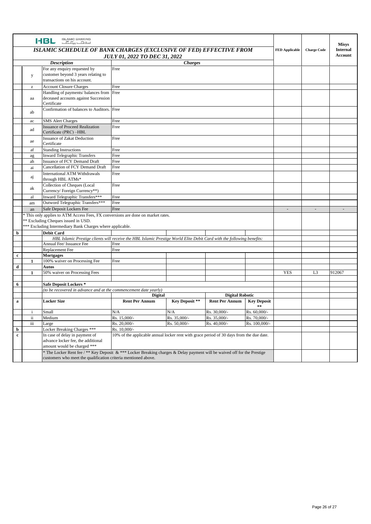|             |              | ISLAMIC BANKING<br>اسلا <del>مات پیکا گ</del><br>HBL                                                                                                                                       |                                                                                                              |                |                       |                                        |                       |                    | <b>Misys</b>                      |
|-------------|--------------|--------------------------------------------------------------------------------------------------------------------------------------------------------------------------------------------|--------------------------------------------------------------------------------------------------------------|----------------|-----------------------|----------------------------------------|-----------------------|--------------------|-----------------------------------|
|             |              | ISLAMIC SCHEDULE OF BANK CHARGES (EXCLUSIVE OF FED) EFFECTIVE FROM                                                                                                                         | <b>JULY 01, 2022 TO DEC 31, 2022</b>                                                                         |                |                       |                                        | <b>FED Applicable</b> | <b>Charge Code</b> | <b>Internal</b><br><b>Account</b> |
|             |              | <b>Description</b>                                                                                                                                                                         |                                                                                                              | <b>Charges</b> |                       |                                        |                       |                    |                                   |
|             | y            | For any enquiry requested by<br>customer beyond 3 years relating to<br>transactions on his account.                                                                                        | Free                                                                                                         |                |                       |                                        |                       |                    |                                   |
|             | z            | <b>Account Closure Charges</b>                                                                                                                                                             | Free                                                                                                         |                |                       |                                        |                       |                    |                                   |
|             | aa           | Handling of payments/ balances from<br>deceased accounts against Succession<br>Certificate                                                                                                 | Free                                                                                                         |                |                       |                                        |                       |                    |                                   |
|             | ab           | Confirmation of balances to Auditors. Free                                                                                                                                                 |                                                                                                              |                |                       |                                        |                       |                    |                                   |
|             | ac           | <b>SMS</b> Alert Charges                                                                                                                                                                   | Free                                                                                                         |                |                       |                                        |                       |                    |                                   |
|             | ad           | <b>Issuance of Proceed Realization</b><br>Certificate (PRC) -HBL                                                                                                                           | Free                                                                                                         |                |                       |                                        |                       |                    |                                   |
|             | ae           | <b>Issuance of Zakat Deduction</b><br>Certificate                                                                                                                                          | Free                                                                                                         |                |                       |                                        |                       |                    |                                   |
|             | af           | <b>Standing Instructions</b><br>Free                                                                                                                                                       |                                                                                                              |                |                       |                                        |                       |                    |                                   |
|             | ag           | <b>Inward Telegraphic Transfers</b>                                                                                                                                                        | Free                                                                                                         |                |                       |                                        |                       |                    |                                   |
|             | ah           | Issuance of FCY Demand Draft                                                                                                                                                               | Free                                                                                                         |                |                       |                                        |                       |                    |                                   |
|             | ai           | Cancellation of FCY Demand Draft                                                                                                                                                           | Free                                                                                                         |                |                       |                                        |                       |                    |                                   |
|             | aj           | <b>International ATM Withdrawals</b><br>through HBL ATMs*                                                                                                                                  | Free                                                                                                         |                |                       |                                        |                       |                    |                                   |
|             | ak           | Collection of Cheques (Local<br>Currency/Foreign Currency**)                                                                                                                               | Free                                                                                                         |                |                       |                                        |                       |                    |                                   |
|             | al           | Inward Telegraphic Transfers***                                                                                                                                                            | Free                                                                                                         |                |                       |                                        |                       |                    |                                   |
|             | am           | Outword Telegraphic Transfers***                                                                                                                                                           | Free                                                                                                         |                |                       |                                        |                       |                    |                                   |
|             | an           | Safe Deposit Lockers Fee                                                                                                                                                                   | Free                                                                                                         |                |                       |                                        |                       |                    |                                   |
|             |              | * This only applies to ATM Access Fees, FX conversions are done on market rates.<br>** Excluding Cheques issued in USD.<br>*** Excluding Intermediary Bank Charges where applicable.       |                                                                                                              |                |                       |                                        |                       |                    |                                   |
| b           |              | <b>Debit Card</b>                                                                                                                                                                          |                                                                                                              |                |                       |                                        |                       |                    |                                   |
|             |              | HBL Islamic Prestige clients will receive the HBL Islamic Prestige World Elite Debit Card with the following benefits:                                                                     |                                                                                                              |                |                       |                                        |                       |                    |                                   |
|             |              | Annual Fee/ Issuance Fee                                                                                                                                                                   | Free                                                                                                         |                |                       |                                        |                       |                    |                                   |
|             |              | Replacement Fee                                                                                                                                                                            | Free                                                                                                         |                |                       |                                        |                       |                    |                                   |
| $\mathbf c$ |              | <b>Mortgages</b>                                                                                                                                                                           |                                                                                                              |                |                       |                                        |                       |                    |                                   |
|             | 1            | 100% waiver on Processing Fee                                                                                                                                                              | Free                                                                                                         |                |                       |                                        |                       |                    |                                   |
| d           |              | Autos                                                                                                                                                                                      |                                                                                                              |                |                       |                                        |                       |                    | 912067                            |
|             | 1            | 50% waiver on Processing Fees                                                                                                                                                              |                                                                                                              |                |                       |                                        | <b>YES</b>            | L <sub>3</sub>     |                                   |
| 6           |              | <b>Safe Deposit Lockers *</b>                                                                                                                                                              |                                                                                                              |                |                       |                                        |                       |                    |                                   |
|             |              |                                                                                                                                                                                            |                                                                                                              |                |                       |                                        |                       |                    |                                   |
|             |              |                                                                                                                                                                                            | (to be recovered in advance and at the commencement date yearly)<br><b>Digital Robotic</b><br><b>Digital</b> |                |                       |                                        |                       |                    |                                   |
| $\mathbf a$ |              | <b>Locker Size</b>                                                                                                                                                                         | <b>Rent Per Annum</b>                                                                                        | Key Deposit ** | <b>Rent Per Annum</b> | <b>Key Deposit</b><br>$\approx \infty$ |                       |                    |                                   |
|             | $\mathbf{i}$ | Small                                                                                                                                                                                      | N/A                                                                                                          | N/A            | Rs. 30,000/-          | Rs. 60,000/-                           |                       |                    |                                   |
|             | ii           | Medium                                                                                                                                                                                     | Rs. 15,000/-                                                                                                 | Rs. 35,000/-   | Rs. 35,000/-          | Rs. 70,000/-                           |                       |                    |                                   |
|             | iii          | Large                                                                                                                                                                                      | Rs. 20,000/-                                                                                                 | Rs. 50,000/-   | Rs. 40,000/-          | Rs. 100,000/-                          |                       |                    |                                   |
| b           |              | Locker Breaking Charges ***                                                                                                                                                                | Rs. 10,000/-                                                                                                 |                |                       |                                        |                       |                    |                                   |
| $\mathbf c$ |              | In case of delay in payment of<br>advance locker fee, the additional<br>amount would be charged ***                                                                                        | 10% of the applicable annual locker rent with grace period of 30 days from the due date.                     |                |                       |                                        |                       |                    |                                   |
|             |              | * The Locker Rent fee / ** Key Deposit & *** Locker Breaking charges & Delay payment will be waived off for the Prestige<br>customers who meet the qualification criteria mentioned above. |                                                                                                              |                |                       |                                        |                       |                    |                                   |